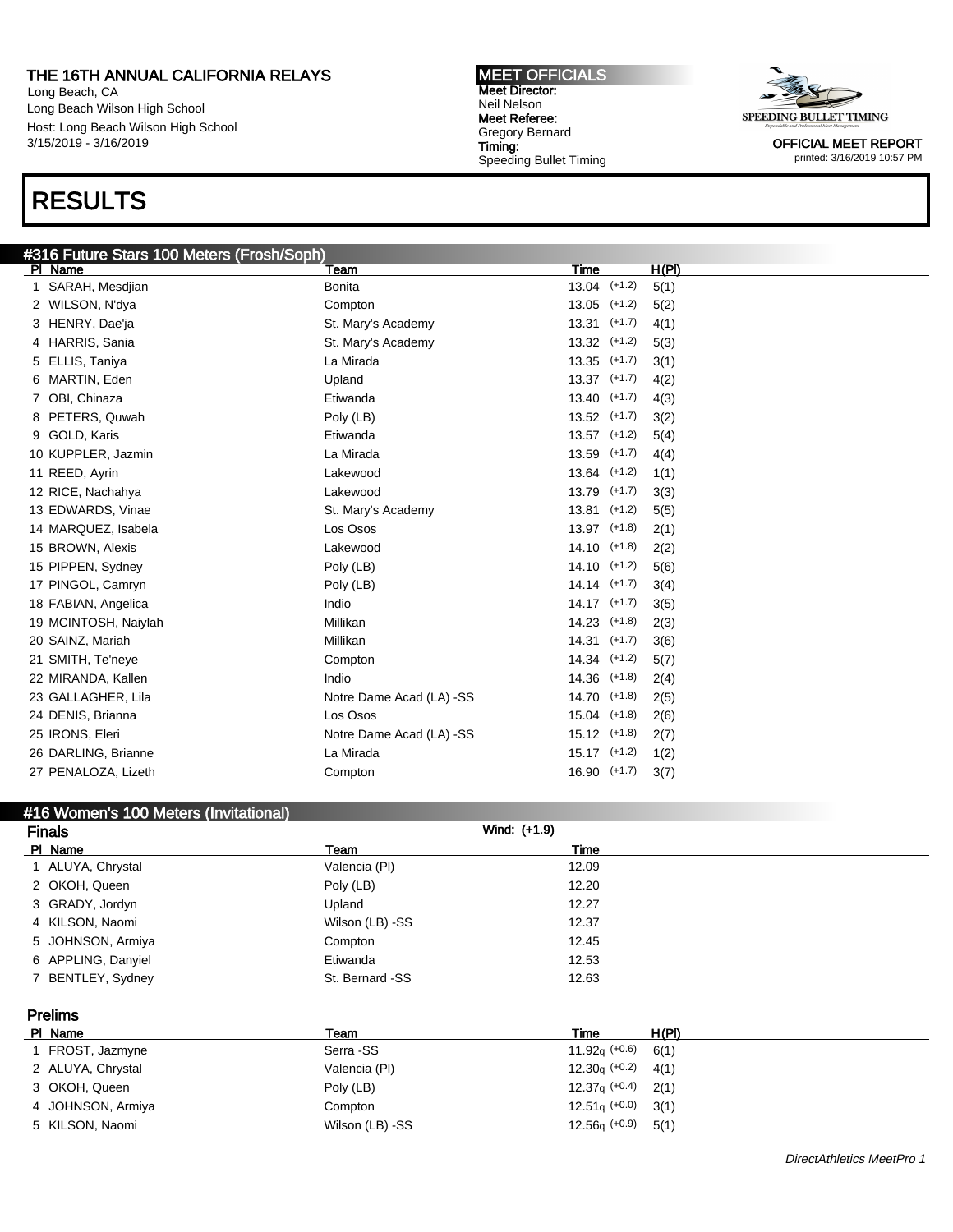Long Beach, CA Long Beach Wilson High School Host: Long Beach Wilson High School 3/15/2019 - 3/16/2019

## RESULTS

### #316 Future Stars 100 Meters (Frosh/Soph)

Pl Name Team Time H(Pl) 1 SARAH, Mesdjian 13.04 (+1.2) 5(1) WILSON, N'dya Compton 13.05 (+1.2) 5(2) HENRY, Dae'ja St. Mary's Academy 13.31 (+1.7) 4(1) HARRIS, Sania St. Mary's Academy 13.32 (+1.2) 5(3) ELLIS, Taniya La Mirada 13.35 (+1.7) 3(1) MARTIN, Eden Upland 13.37 (+1.7) 4(2) OBI, Chinaza Etiwanda 13.40 (+1.7) 4(3) 8 PETERS, Quwah 2(2) 2(2) 2(41.7) 2(2) 2(41.7) 2(2) 2(41.7) 2(2) GOLD, Karis Etiwanda 13.57 (+1.2) 5(4) KUPPLER, Jazmin La Mirada 13.59 (+1.7) 4(4) REED, Ayrin Lakewood 13.64 (+1.2) 1(1) RICE, Nachahya Lakewood 13.79 (+1.7) 3(3) 13 EDWARDS, Vinae St. Mary's Academy 13.81 (+1.2) 5(5) MARQUEZ, Isabela Los Osos 13.97 (+1.8) 2(1) BROWN, Alexis Lakewood 14.10 (+1.8) 2(2) 15 PIPPEN, Sydney **14.10** ( $+1.2$ ) 5(6) **Poly (LB)** 14.10 ( $+1.2$ ) 5(6) 17 PINGOL, Camryn **Poly (LB)** Poly (LB) 14.14 (+1.7) 3(4) 18 FABIAN, Angelica 14.17 (+1.7) 3(5) MCINTOSH, Naiylah Millikan 14.23 (+1.8) 2(3) SAINZ, Mariah Millikan 14.31 (+1.7) 3(6) SMITH, Te'neye Compton 14.34 (+1.2) 5(7) 22 MIRANDA, Kallen 14.36 (+1.8) 2(4) 23 GALLAGHER, Lila **Notre Dame Acad (LA) -SS** 14.70 (+1.8) 2(5) DENIS, Brianna Los Osos 15.04 (+1.8) 2(6) 25 IRONS, Eleri **Notre Dame Acad (LA) -SS** 15.12 (+1.8) 2(7) DARLING, Brianne La Mirada 15.17 (+1.2) 1(2) PENALOZA, Lizeth Compton 16.90 (+1.7) 3(7)

#### #16 Women's 100 Meters (Invitational)

| <b>Finals</b>      |                 | Wind: (+1.9)             |  |
|--------------------|-----------------|--------------------------|--|
| PI Name            | Team            | Time                     |  |
| 1 ALUYA, Chrystal  | Valencia (PI)   | 12.09                    |  |
| 2 OKOH, Queen      | Poly (LB)       | 12.20                    |  |
| 3 GRADY, Jordyn    | Upland          | 12.27                    |  |
| 4 KILSON, Naomi    | Wilson (LB) -SS | 12.37                    |  |
| 5 JOHNSON, Armiya  | Compton         | 12.45                    |  |
| 6 APPLING, Danyiel | Etiwanda        | 12.53                    |  |
| 7 BENTLEY, Sydney  | St. Bernard -SS | 12.63                    |  |
| <b>Prelims</b>     |                 |                          |  |
| PI Name            | Team            | H(PI)<br>Time            |  |
| 1 FROST, Jazmyne   | Serra -SS       | 11.92 $q$ (+0.6)<br>6(1) |  |
| 2 ALUYA, Chrystal  | Valencia (PI)   | $12.30q (+0.2)$<br>4(1)  |  |
| 3 OKOH, Queen      | Poly (LB)       | $12.37q$ (+0.4)<br>2(1)  |  |
| 4 JOHNSON, Armiya  | Compton         | $12.51q$ (+0.0)<br>3(1)  |  |
| 5 KILSON, Naomi    | Wilson (LB) -SS | $12.56q (+0.9)$<br>5(1)  |  |

MEET OFFICIALS Meet Director: Neil Nelson Meet Referee: Gregory Bernard Timing: Speeding Bullet Timing

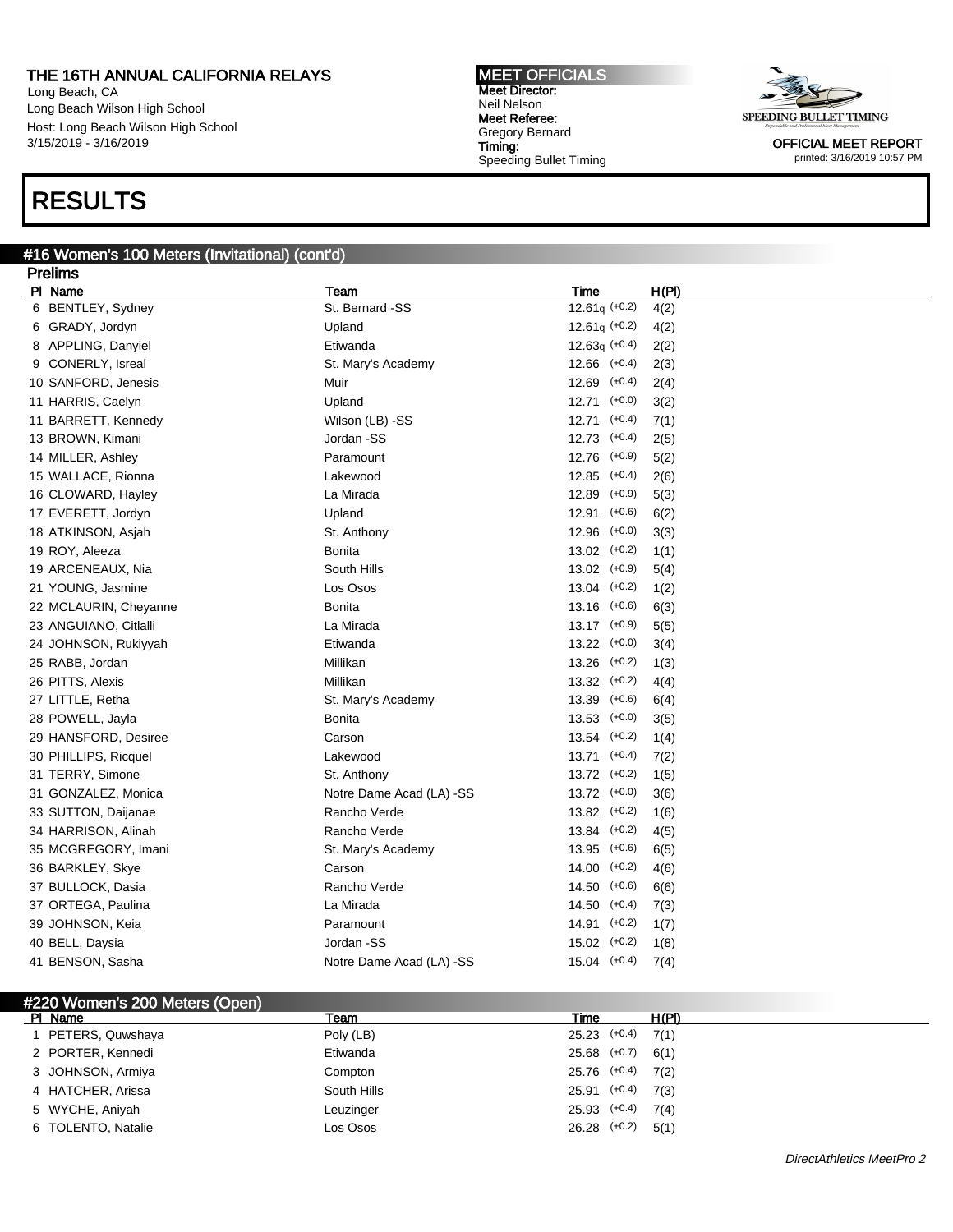Long Beach, CA Long Beach Wilson High School Host: Long Beach Wilson High School 3/15/2019 - 3/16/2019

## RESULTS

#### #16 Women's 100 Meters (Invitational) (cont'd)

Meet Director: Neil Nelson Meet Referee: Gregory Bernard Timing: Speeding Bullet Timing

MEET OFFICIALS



| <b>Prelims</b>        |                          |                   |       |
|-----------------------|--------------------------|-------------------|-------|
| PI Name               | Team                     | <b>Time</b>       | H(PI) |
| 6 BENTLEY, Sydney     | St. Bernard -SS          | $12.61q (+0.2)$   | 4(2)  |
| 6 GRADY, Jordyn       | Upland                   | $12.61q$ (+0.2)   | 4(2)  |
| 8 APPLING, Danyiel    | Etiwanda                 | $12.63q (+0.4)$   | 2(2)  |
| 9 CONERLY, Isreal     | St. Mary's Academy       | $12.66$ $(+0.4)$  | 2(3)  |
| 10 SANFORD, Jenesis   | Muir                     | $12.69$ $(+0.4)$  | 2(4)  |
| 11 HARRIS, Caelyn     | Upland                   | $12.71$ $(+0.0)$  | 3(2)  |
| 11 BARRETT, Kennedy   | Wilson (LB) -SS          | 12.71<br>$(+0.4)$ | 7(1)  |
| 13 BROWN, Kimani      | Jordan -SS               | 12.73<br>$(+0.4)$ | 2(5)  |
| 14 MILLER, Ashley     | Paramount                | 12.76<br>$(+0.9)$ | 5(2)  |
| 15 WALLACE, Rionna    | Lakewood                 | 12.85<br>$(+0.4)$ | 2(6)  |
| 16 CLOWARD, Hayley    | La Mirada                | 12.89<br>$(+0.9)$ | 5(3)  |
| 17 EVERETT, Jordyn    | Upland                   | 12.91<br>$(+0.6)$ | 6(2)  |
| 18 ATKINSON, Asjah    | St. Anthony              | 12.96<br>$(+0.0)$ | 3(3)  |
| 19 ROY, Aleeza        | <b>Bonita</b>            | 13.02<br>$(+0.2)$ | 1(1)  |
| 19 ARCENEAUX, Nia     | South Hills              | 13.02<br>$(+0.9)$ | 5(4)  |
| 21 YOUNG, Jasmine     | Los Osos                 | 13.04<br>$(+0.2)$ | 1(2)  |
| 22 MCLAURIN, Cheyanne | <b>Bonita</b>            | 13.16<br>$(+0.6)$ | 6(3)  |
| 23 ANGUIANO, Citlalli | La Mirada                | 13.17<br>$(+0.9)$ | 5(5)  |
| 24 JOHNSON, Rukiyyah  | Etiwanda                 | 13.22<br>$(+0.0)$ | 3(4)  |
| 25 RABB, Jordan       | Millikan                 | $(+0.2)$<br>13.26 | 1(3)  |
| 26 PITTS, Alexis      | Millikan                 | $(+0.2)$<br>13.32 | 4(4)  |
| 27 LITTLE, Retha      | St. Mary's Academy       | $(+0.6)$<br>13.39 | 6(4)  |
| 28 POWELL, Jayla      | <b>Bonita</b>            | 13.53<br>$(+0.0)$ | 3(5)  |
| 29 HANSFORD, Desiree  | Carson                   | 13.54<br>$(+0.2)$ | 1(4)  |
| 30 PHILLIPS, Ricquel  | Lakewood                 | 13.71<br>$(+0.4)$ | 7(2)  |
| 31 TERRY, Simone      | St. Anthony              | 13.72<br>$(+0.2)$ | 1(5)  |
| 31 GONZALEZ, Monica   | Notre Dame Acad (LA) -SS | 13.72<br>$(+0.0)$ | 3(6)  |
| 33 SUTTON, Daijanae   | Rancho Verde             | 13.82<br>$(+0.2)$ | 1(6)  |
| 34 HARRISON, Alinah   | Rancho Verde             | $(+0.2)$<br>13.84 | 4(5)  |
| 35 MCGREGORY, Imani   | St. Mary's Academy       | 13.95<br>$(+0.6)$ | 6(5)  |
| 36 BARKLEY, Skye      | Carson                   | 14.00<br>$(+0.2)$ | 4(6)  |
| 37 BULLOCK, Dasia     | Rancho Verde             | 14.50<br>$(+0.6)$ | 6(6)  |
| 37 ORTEGA, Paulina    | La Mirada                | 14.50<br>$(+0.4)$ | 7(3)  |
| 39 JOHNSON, Keia      | Paramount                | 14.91<br>$(+0.2)$ | 1(7)  |
| 40 BELL, Daysia       | Jordan -SS               | $15.02$ $(+0.2)$  | 1(8)  |
| 41 BENSON, Sasha      | Notre Dame Acad (LA) -SS | $15.04$ $(+0.4)$  | 7(4)  |

| #220 Women's 200 Meters (Open) |             |                          |  |
|--------------------------------|-------------|--------------------------|--|
| PI Name                        | Team        | Time<br>H(PI)            |  |
| 1 PETERS, Quwshaya             | Poly (LB)   | $25.23$ $(+0.4)$<br>7(1) |  |
| 2 PORTER, Kennedi              | Etiwanda    | $25.68$ $(+0.7)$<br>6(1) |  |
| 3 JOHNSON, Armiya              | Compton     | 25.76 (+0.4)<br>7(2)     |  |
| 4 HATCHER, Arissa              | South Hills | $25.91$ $(+0.4)$<br>7(3) |  |
| 5 WYCHE, Aniyah                | Leuzinger   | $25.93$ $(+0.4)$<br>7(4) |  |
| 6 TOLENTO, Natalie             | Los Osos    | 26.28 (+0.2)<br>5(1)     |  |
|                                |             |                          |  |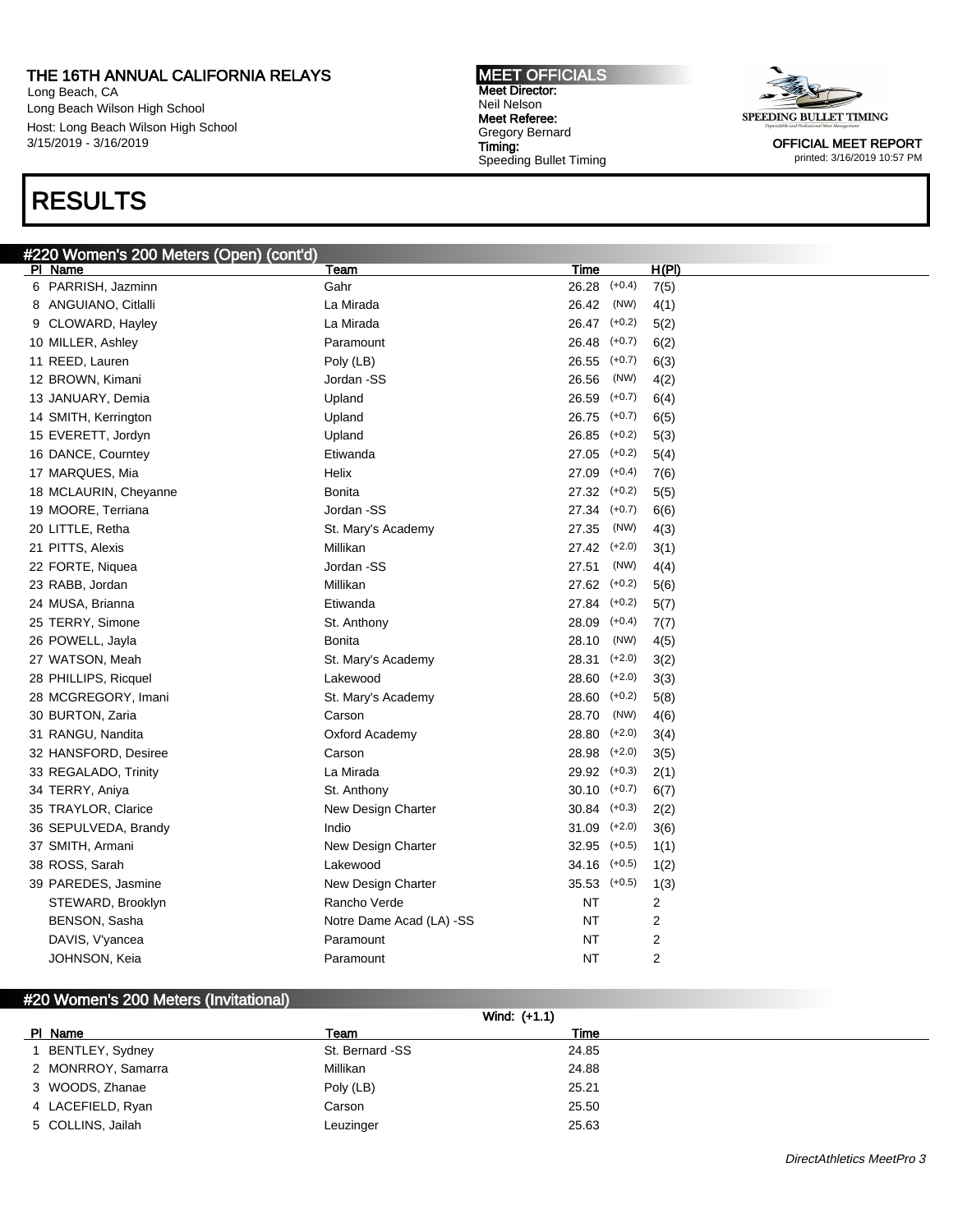Long Beach, CA Long Beach Wilson High School Host: Long Beach Wilson High School 3/15/2019 - 3/16/2019

## RESULTS

### #220 Women's 200 Meters (Open) (cont'd)

MEET OFFICIALS Meet Director: Neil Nelson Meet Referee: Gregory Bernard Timing: Speeding Bullet Timing



OFFICIAL MEET REPORT printed: 3/16/2019 10:57 PM

| <b>#220 WOMEN'S 200 Meters (Open) (Compa</b><br>PI Name | <u>Team</u>              | <b>Time</b>       | H(PI)          |
|---------------------------------------------------------|--------------------------|-------------------|----------------|
| 6 PARRISH, Jazminn                                      | Gahr                     | 26.28 (+0.4)      | 7(5)           |
| 8 ANGUIANO, Citlalli                                    | La Mirada                | 26.42<br>(NW)     | 4(1)           |
| 9 CLOWARD, Hayley                                       | La Mirada                | 26.47 (+0.2)      | 5(2)           |
| 10 MILLER, Ashley                                       | Paramount                | 26.48<br>$(+0.7)$ | 6(2)           |
| 11 REED, Lauren                                         | Poly (LB)                | 26.55<br>$(+0.7)$ | 6(3)           |
| 12 BROWN, Kimani                                        | Jordan -SS               | 26.56<br>(NW)     | 4(2)           |
| 13 JANUARY, Demia                                       | Upland                   | $(+0.7)$<br>26.59 | 6(4)           |
| 14 SMITH, Kerrington                                    | Upland                   | $(+0.7)$<br>26.75 | 6(5)           |
| 15 EVERETT, Jordyn                                      | Upland                   | $(+0.2)$<br>26.85 | 5(3)           |
| 16 DANCE, Courntey                                      | Etiwanda                 | 27.05<br>$(+0.2)$ | 5(4)           |
| 17 MARQUES, Mia                                         | Helix                    | 27.09<br>$(+0.4)$ | 7(6)           |
| 18 MCLAURIN, Cheyanne                                   | <b>Bonita</b>            | $27.32$ $(+0.2)$  | 5(5)           |
| 19 MOORE, Terriana                                      | Jordan -SS               | 27.34 (+0.7)      | 6(6)           |
| 20 LITTLE, Retha                                        | St. Mary's Academy       | 27.35<br>(NW)     | 4(3)           |
| 21 PITTS, Alexis                                        | Millikan                 | 27.42 (+2.0)      | 3(1)           |
| 22 FORTE, Niquea                                        | Jordan -SS               | 27.51<br>(NW)     | 4(4)           |
| 23 RABB, Jordan                                         | Millikan                 | 27.62<br>$(+0.2)$ | 5(6)           |
| 24 MUSA, Brianna                                        | Etiwanda                 | 27.84 (+0.2)      | 5(7)           |
| 25 TERRY, Simone                                        | St. Anthony              | 28.09<br>$(+0.4)$ | 7(7)           |
| 26 POWELL, Jayla                                        | Bonita                   | 28.10<br>(NW)     | 4(5)           |
| 27 WATSON, Meah                                         | St. Mary's Academy       | 28.31<br>$(+2.0)$ | 3(2)           |
| 28 PHILLIPS, Ricquel                                    | Lakewood                 | $(+2.0)$<br>28.60 | 3(3)           |
| 28 MCGREGORY, Imani                                     | St. Mary's Academy       | $(+0.2)$<br>28.60 | 5(8)           |
| 30 BURTON, Zaria                                        | Carson                   | (NW)<br>28.70     | 4(6)           |
| 31 RANGU, Nandita                                       | Oxford Academy           | $(+2.0)$<br>28.80 | 3(4)           |
| 32 HANSFORD, Desiree                                    | Carson                   | $(+2.0)$<br>28.98 | 3(5)           |
| 33 REGALADO, Trinity                                    | La Mirada                | 29.92<br>$(+0.3)$ | 2(1)           |
| 34 TERRY, Aniya                                         | St. Anthony              | 30.10<br>$(+0.7)$ | 6(7)           |
| 35 TRAYLOR, Clarice                                     | New Design Charter       | 30.84<br>$(+0.3)$ | 2(2)           |
| 36 SEPULVEDA, Brandy                                    | Indio                    | 31.09<br>$(+2.0)$ | 3(6)           |
| 37 SMITH, Armani                                        | New Design Charter       | $32.95$ $(+0.5)$  | 1(1)           |
| 38 ROSS, Sarah                                          | Lakewood                 | 34.16 (+0.5)      | 1(2)           |
| 39 PAREDES, Jasmine                                     | New Design Charter       | $35.53$ $(+0.5)$  | 1(3)           |
| STEWARD, Brooklyn                                       | Rancho Verde             | NΤ                | 2              |
| BENSON, Sasha                                           | Notre Dame Acad (LA) -SS | NT                | 2              |
| DAVIS, V'yancea                                         | Paramount                | NΤ                | 2              |
| JOHNSON, Keia                                           | Paramount                | NT                | $\overline{2}$ |

#### #20 Women's 200 Meters (Invitational)

#### Wind: (+1.1)

| PI. | Name               | Team            | Time  |
|-----|--------------------|-----------------|-------|
|     | BENTLEY, Sydney    | St. Bernard -SS | 24.85 |
|     | 2 MONRROY, Samarra | Millikan        | 24.88 |
|     | 3 WOODS, Zhanae    | Poly (LB)       | 25.21 |
|     | 4 LACEFIELD, Ryan  | Carson          | 25.50 |
|     | 5 COLLINS, Jailah  | Leuzinger       | 25.63 |
|     |                    |                 |       |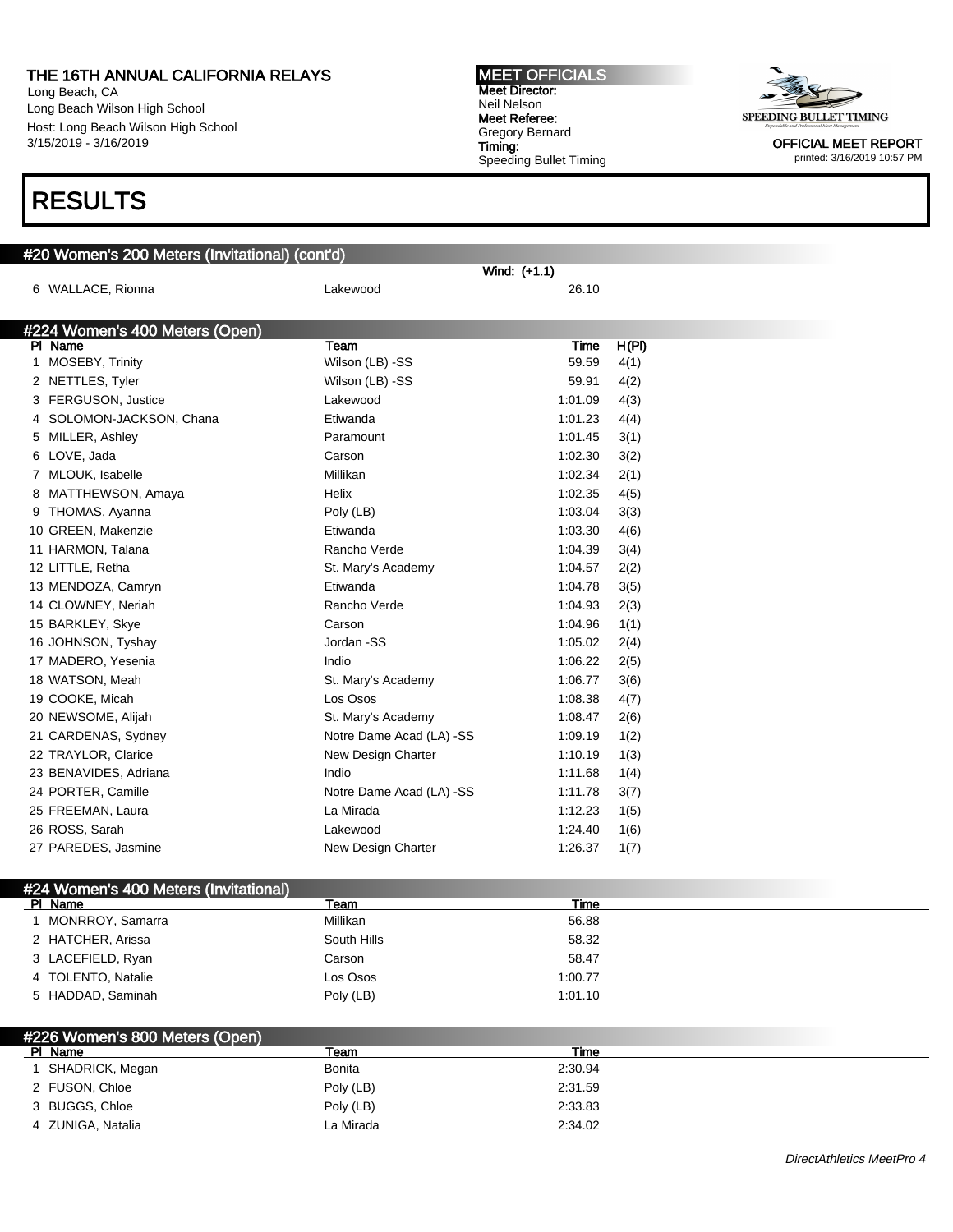Long Beach, CA Long Beach Wilson High School Host: Long Beach Wilson High School 3/15/2019 - 3/16/2019

## RESULTS

#### #20 Women's 200 Meters (Invitational) (cont'd) Wind: (+1.1) 6 WALLACE, Rionna Lakewood 26.10 #224 Women's 400 Meters (Open) Pl Name Team Time H(Pl) 1 MOSEBY, Trinity **1** Wilson (LB) -SS 59.59 4(1) 2 NETTLES, Tyler Case Control (CB) -SS 59.91 4(2) 3 FERGUSON, Justice Lakewood 1:01.09 4(3) 4 SOLOMON-JACKSON, Chana **Etiwanda** Etiwanda 1:01.23 4(4) 5 MILLER, Ashley Paramount 1:01.45 3(1) 6 LOVE, Jada Carson 1:02.30 3(2) 7 MLOUK, Isabelle 1:02.34 2(1) 8 MATTHEWSON, Amaya **Helix** Helix 1:02.35 4(5) 9 THOMAS, Ayanna 1:03.04 3(3) 10 GREEN, Makenzie Etiwanda 1:03.30 4(6) 11 HARMON, Talana **1:04.39** 1:04.39 1:04.39 1:04.39 1:04.39 1:04.39 1:04.39 1:04.39 1:04.39 1:04.39 1:04.39 1:04 12 LITTLE, Retha **St. Mary's Academy** 1:04.57 2(2) 13 MENDOZA, Camryn Etiwanda 1:04.78 3(5) 14 CLOWNEY, Neriah Rancho Verde 1:04.93 2(3) 15 BARKLEY, Skye Carson 1:04.96 1(1) 16 JOHNSON, Tyshay Jordan -SS 1:05.02 2(4) 17 MADERO, Yesenia **1:06.22** 2(5) 18 WATSON, Meah St. Mary's Academy 1:06.77 3(6) 19 COOKE, Micah 2008 COOKE 2008 Los Osos 2010 1:08.38 4(7) 20 NEWSOME, Alijah St. Mary's Academy 1:08.47 2(6) 21 CARDENAS, Sydney Notre Dame Acad (LA) -SS 1:09.19 1(2) 22 TRAYLOR, Clarice **New Design Charter 1:10.19** 1(3) 23 BENAVIDES, Adriana Indio 1:11.68 1(4) 24 PORTER, Camille **Notre Dame Acad (LA) -SS** 1:11.78 3(7) 25 FREEMAN, Laura La Mirada 1:12.23 1(5) 26 ROSS, Sarah Lakewood 1:24.40 1(6) 27 PAREDES, Jasmine New Design Charter 1:26.37 1(7) #24 Women's 400 Meters (Invitational) Pl Name Team Time 1 MONRROY, Samarra **1888** Millikan 36.88 2 HATCHER, Arissa **South Hills** 58.32

| PI Name                        | Team      | Time    |  |
|--------------------------------|-----------|---------|--|
| #226 Women's 800 Meters (Open) |           |         |  |
|                                |           |         |  |
| 5 HADDAD, Saminah              | Poly (LB) | 1:01.10 |  |
| 4 TOLENTO, Natalie             | Los Osos  | 1:00.77 |  |
| 3 LACEFIELD, Ryan              | Carson    | 58.47   |  |

| סוווגשור ו־ד      | ו ו הספו  | шю      |
|-------------------|-----------|---------|
| SHADRICK, Megan   | Bonita    | 2:30.94 |
| 2 FUSON, Chloe    | Poly (LB) | 2:31.59 |
| 3 BUGGS, Chloe    | Poly (LB) | 2:33.83 |
| 4 ZUNIGA, Natalia | La Mirada | 2:34.02 |

MEET OFFICIALS Meet Director: Neil Nelson Meet Referee: Gregory Bernard Timing: Speeding Bullet Timing

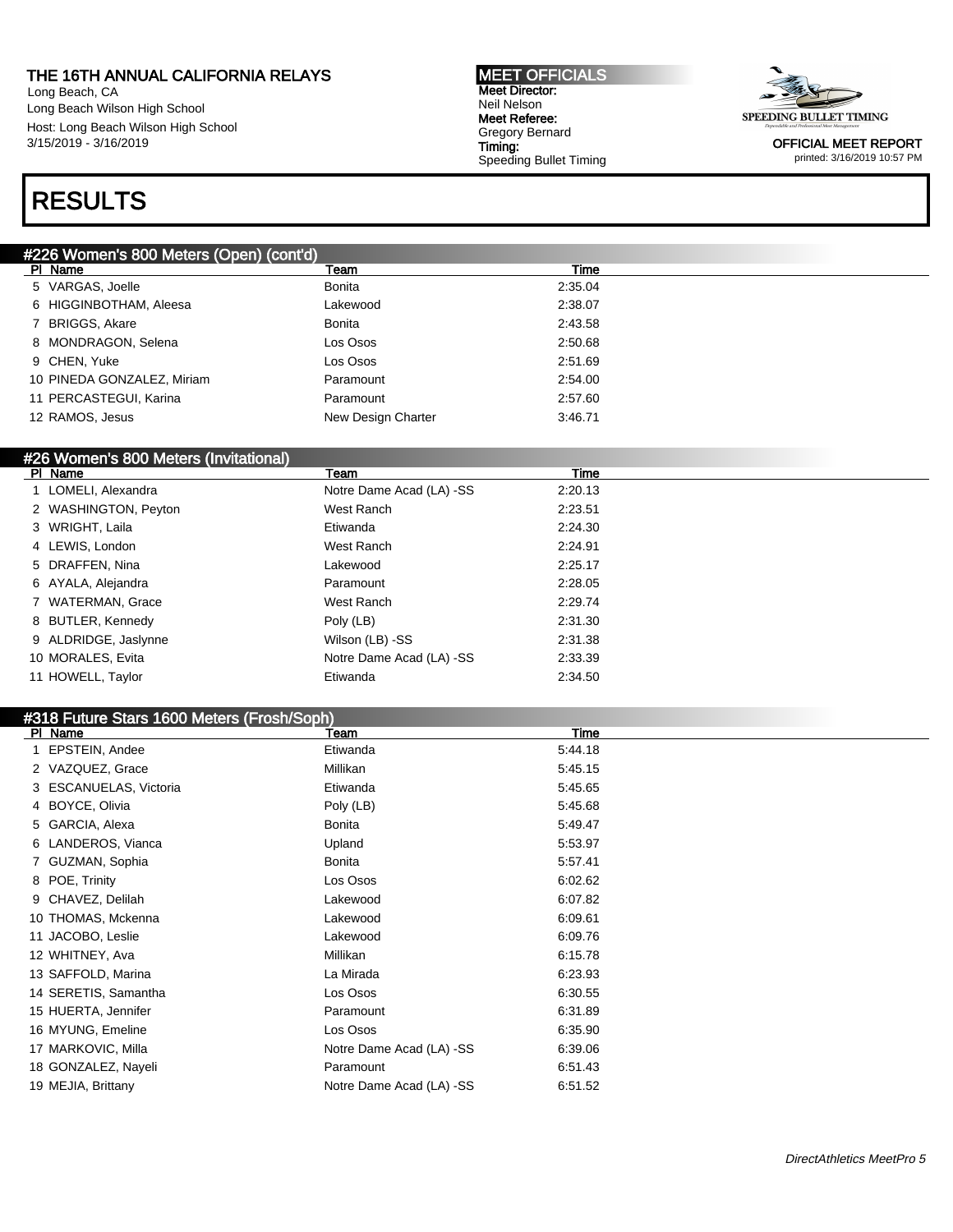Long Beach, CA Long Beach Wilson High School Host: Long Beach Wilson High School 3/15/2019 - 3/16/2019

#### MEET OFFICIALS Meet Director: Neil Nelson Meet Referee: Gregory Bernard Timing: Speeding Bullet Timing



OFFICIAL MEET REPORT printed: 3/16/2019 10:57 PM

### RESULTS

#### #226 Women's 800 Meters (Open) (cont'd)

| PI Name                    | Team               | Time    |
|----------------------------|--------------------|---------|
| 5 VARGAS, Joelle           | Bonita             | 2:35.04 |
| 6 HIGGINBOTHAM, Aleesa     | Lakewood           | 2:38.07 |
| 7 BRIGGS, Akare            | Bonita             | 2:43.58 |
| 8 MONDRAGON, Selena        | Los Osos           | 2:50.68 |
| 9 CHEN, Yuke               | Los Osos           | 2:51.69 |
| 10 PINEDA GONZALEZ, Miriam | Paramount          | 2:54.00 |
| 11 PERCASTEGUI, Karina     | Paramount          | 2:57.60 |
| 12 RAMOS, Jesus            | New Design Charter | 3:46.71 |
|                            |                    |         |

#### #26 Women's 800 Meters (Invitational)

| PI Name              | Team                     | Time    |  |
|----------------------|--------------------------|---------|--|
| LOMELI, Alexandra    | Notre Dame Acad (LA) -SS | 2:20.13 |  |
| 2 WASHINGTON, Peyton | West Ranch               | 2:23.51 |  |
| 3 WRIGHT, Laila      | Etiwanda                 | 2:24.30 |  |
| 4 LEWIS, London      | West Ranch               | 2:24.91 |  |
| 5 DRAFFEN, Nina      | Lakewood                 | 2:25.17 |  |
| 6 AYALA, Alejandra   | Paramount                | 2:28.05 |  |
| 7 WATERMAN, Grace    | West Ranch               | 2:29.74 |  |
| 8 BUTLER, Kennedy    | Poly (LB)                | 2:31.30 |  |
| 9 ALDRIDGE, Jaslynne | Wilson (LB) -SS          | 2:31.38 |  |
| 10 MORALES, Evita    | Notre Dame Acad (LA) -SS | 2:33.39 |  |
| 11 HOWELL, Taylor    | Etiwanda                 | 2:34.50 |  |

#### #318 Future Stars 1600 Meters (Frosh/Soph)

| PI Name                | Team                     | <b>Time</b> |
|------------------------|--------------------------|-------------|
| EPSTEIN, Andee         | Etiwanda                 | 5:44.18     |
| 2 VAZQUEZ, Grace       | Millikan                 | 5:45.15     |
| 3 ESCANUELAS, Victoria | Etiwanda                 | 5:45.65     |
| 4 BOYCE, Olivia        | Poly (LB)                | 5:45.68     |
| 5 GARCIA, Alexa        | Bonita                   | 5:49.47     |
| 6 LANDEROS, Vianca     | Upland                   | 5:53.97     |
| 7 GUZMAN, Sophia       | Bonita                   | 5:57.41     |
| 8 POE, Trinity         | Los Osos                 | 6:02.62     |
| 9 CHAVEZ, Delilah      | Lakewood                 | 6:07.82     |
| 10 THOMAS, Mckenna     | Lakewood                 | 6:09.61     |
| 11 JACOBO, Leslie      | Lakewood                 | 6:09.76     |
| 12 WHITNEY, Ava        | Millikan                 | 6:15.78     |
| 13 SAFFOLD, Marina     | La Mirada                | 6:23.93     |
| 14 SERETIS, Samantha   | Los Osos                 | 6:30.55     |
| 15 HUERTA, Jennifer    | Paramount                | 6:31.89     |
| 16 MYUNG, Emeline      | Los Osos                 | 6:35.90     |
| 17 MARKOVIC, Milla     | Notre Dame Acad (LA) -SS | 6:39.06     |
| 18 GONZALEZ, Nayeli    | Paramount                | 6:51.43     |
| 19 MEJIA, Brittany     | Notre Dame Acad (LA) -SS | 6:51.52     |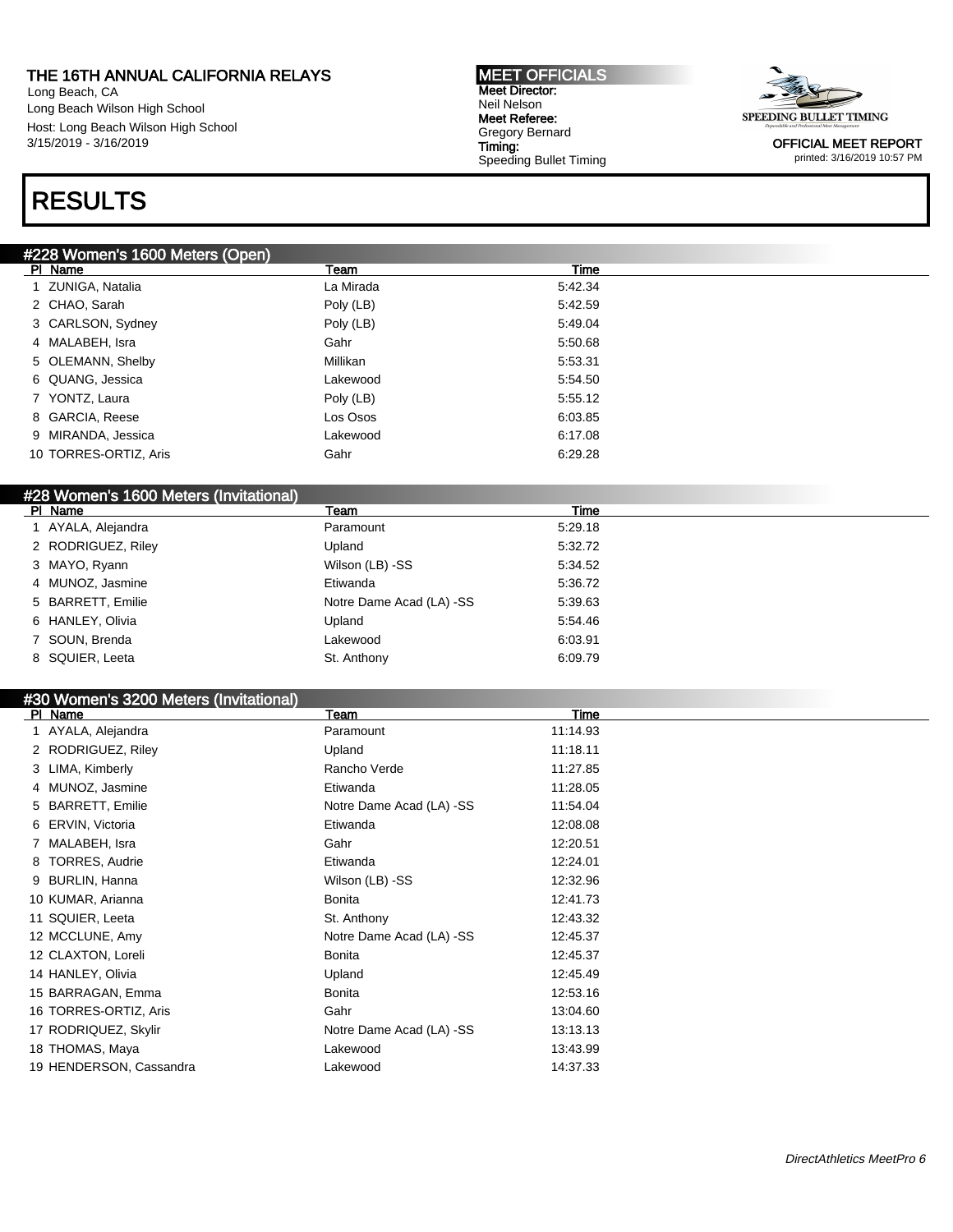Long Beach, CA Long Beach Wilson High School Host: Long Beach Wilson High School 3/15/2019 - 3/16/2019

## RESULTS

#### #228 Women's 1600 Meters (Open)

| PI Name               | Team      | Time    |
|-----------------------|-----------|---------|
| 1 ZUNIGA, Natalia     | La Mirada | 5:42.34 |
| 2 CHAO, Sarah         | Poly (LB) | 5:42.59 |
| 3 CARLSON, Sydney     | Poly (LB) | 5:49.04 |
| 4 MALABEH, Isra       | Gahr      | 5:50.68 |
| 5 OLEMANN, Shelby     | Millikan  | 5:53.31 |
| 6 QUANG, Jessica      | Lakewood  | 5:54.50 |
| 7 YONTZ, Laura        | Poly (LB) | 5:55.12 |
| 8 GARCIA, Reese       | Los Osos  | 6:03.85 |
| 9 MIRANDA, Jessica    | Lakewood  | 6:17.08 |
| 10 TORRES-ORTIZ, Aris | Gahr      | 6:29.28 |
|                       |           |         |

MEET OFFICIALS Meet Director: Neil Nelson Meet Referee: Gregory Bernard Timing:

Speeding Bullet Timing

#### #28 Women's 1600 Meters (Invitational)

| Team                     | Time    |  |
|--------------------------|---------|--|
| Paramount                | 5:29.18 |  |
| Upland                   | 5:32.72 |  |
| Wilson (LB) -SS          | 5:34.52 |  |
| Etiwanda                 | 5:36.72 |  |
| Notre Dame Acad (LA) -SS | 5:39.63 |  |
| Upland                   | 5:54.46 |  |
| Lakewood                 | 6:03.91 |  |
| St. Anthony              | 6:09.79 |  |
|                          |         |  |

### #30 Women's 3200 Meters (Invitational)

| PI Name                    | Team                     | Time     |  |
|----------------------------|--------------------------|----------|--|
| 1 AYALA, Alejandra         | Paramount                | 11:14.93 |  |
| 2 RODRIGUEZ, Riley         | Upland                   | 11:18.11 |  |
| 3 LIMA, Kimberly           | Rancho Verde             | 11:27.85 |  |
| 4 MUNOZ, Jasmine           | Etiwanda                 | 11:28.05 |  |
| 5 BARRETT, Emilie          | Notre Dame Acad (LA) -SS | 11:54.04 |  |
| ERVIN, Victoria<br>6       | Etiwanda                 | 12:08.08 |  |
| MALABEH, Isra              | Gahr                     | 12:20.51 |  |
| <b>TORRES, Audrie</b><br>8 | Etiwanda                 | 12:24.01 |  |
| BURLIN, Hanna<br>9         | Wilson (LB) -SS          | 12:32.96 |  |
| 10 KUMAR, Arianna          | Bonita                   | 12:41.73 |  |
| 11 SQUIER, Leeta           | St. Anthony              | 12:43.32 |  |
| 12 MCCLUNE, Amy            | Notre Dame Acad (LA) -SS | 12:45.37 |  |
| 12 CLAXTON, Loreli         | Bonita                   | 12:45.37 |  |
| 14 HANLEY, Olivia          | Upland                   | 12:45.49 |  |
| 15 BARRAGAN, Emma          | Bonita                   | 12:53.16 |  |
| 16 TORRES-ORTIZ, Aris      | Gahr                     | 13:04.60 |  |
| 17 RODRIQUEZ, Skylir       | Notre Dame Acad (LA) -SS | 13:13.13 |  |
| 18 THOMAS, Maya            | Lakewood                 | 13:43.99 |  |
| 19 HENDERSON, Cassandra    | Lakewood                 | 14:37.33 |  |
|                            |                          |          |  |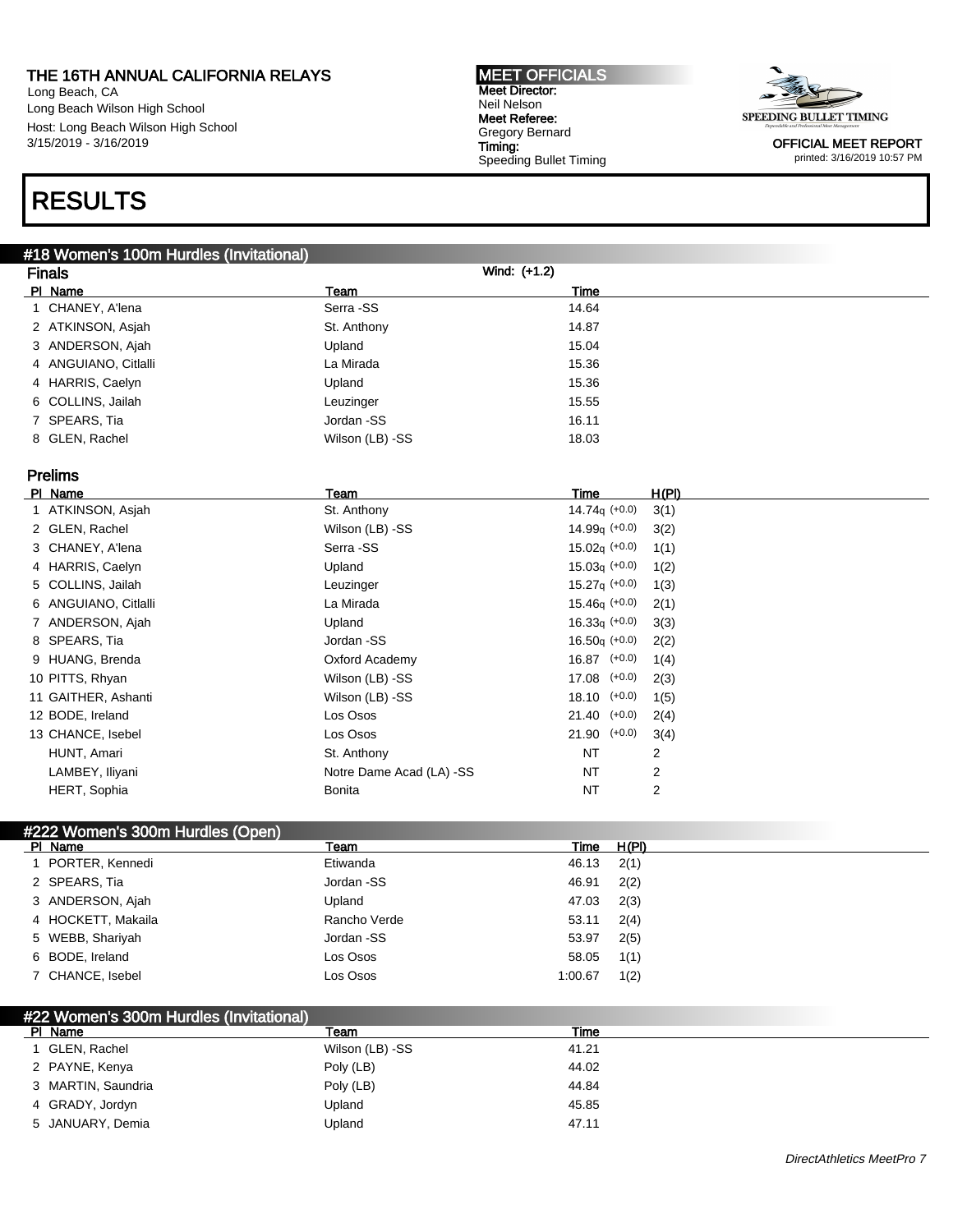Long Beach, CA Long Beach Wilson High School Host: Long Beach Wilson High School 3/15/2019 - 3/16/2019

## RESULTS

#### MEET OFFICIALS Meet Director: Neil Nelson Meet Referee: Gregory Bernard Timing: Speeding Bullet Timing



OFFICIAL MEET REPORT printed: 3/16/2019 10:57 PM

| Wind: $(+1.2)$<br><b>Finals</b><br>PI Name<br>Team<br><b>Time</b><br>Serra -SS<br>1 CHANEY, A'lena<br>14.64<br>14.87<br>2 ATKINSON, Asjah<br>St. Anthony<br>15.04<br>3 ANDERSON, Ajah<br>Upland<br>15.36<br>4 ANGUIANO, Citlalli<br>La Mirada<br>15.36<br>4 HARRIS, Caelyn<br>Upland<br>15.55<br>6 COLLINS, Jailah<br>Leuzinger<br>16.11<br>7 SPEARS, Tia<br>Jordan -SS<br>8 GLEN, Rachel<br>18.03<br>Wilson (LB) -SS<br>Prelims<br>H(PI)<br>PI Name<br>Team<br><b>Time</b><br>$14.74q (+0.0)$<br>1 ATKINSON, Asjah<br>St. Anthony<br>3(1)<br>2 GLEN, Rachel<br>Wilson (LB) -SS<br>14.99 $q$ (+0.0)<br>3(2)<br>Serra -SS<br>$15.02q (+0.0)$<br>3 CHANEY, A'lena<br>1(1)<br>4 HARRIS, Caelyn<br>$15.03q (+0.0)$<br>Upland<br>1(2)<br>$15.27q (+0.0)$<br>5 COLLINS, Jailah<br>Leuzinger<br>1(3)<br>$15.46q (+0.0)$<br>6 ANGUIANO, Citlalli<br>La Mirada<br>2(1)<br>$16.33q (+0.0)$<br>7 ANDERSON, Ajah<br>Upland<br>3(3)<br>$16.50q (+0.0)$<br>8 SPEARS, Tia<br>Jordan -SS<br>2(2)<br>$16.87$ $(+0.0)$<br>9 HUANG, Brenda<br>Oxford Academy<br>1(4)<br>$17.08$ $(+0.0)$<br>10 PITTS, Rhyan<br>Wilson (LB) -SS<br>2(3)<br>$18.10$ $(+0.0)$<br>11 GAITHER, Ashanti<br>Wilson (LB) -SS<br>1(5)<br>Los Osos<br>21.40<br>$(+0.0)$<br>12 BODE, Ireland<br>2(4)<br>Los Osos<br>21.90<br>$(+0.0)$<br>13 CHANCE, Isebel<br>3(4)<br>St. Anthony<br>HUNT, Amari<br><b>NT</b><br>2 | #18 Women's 100m Hurdles (Invitational) |  |  |
|----------------------------------------------------------------------------------------------------------------------------------------------------------------------------------------------------------------------------------------------------------------------------------------------------------------------------------------------------------------------------------------------------------------------------------------------------------------------------------------------------------------------------------------------------------------------------------------------------------------------------------------------------------------------------------------------------------------------------------------------------------------------------------------------------------------------------------------------------------------------------------------------------------------------------------------------------------------------------------------------------------------------------------------------------------------------------------------------------------------------------------------------------------------------------------------------------------------------------------------------------------------------------------------------------------------------------------------------------------------------|-----------------------------------------|--|--|
|                                                                                                                                                                                                                                                                                                                                                                                                                                                                                                                                                                                                                                                                                                                                                                                                                                                                                                                                                                                                                                                                                                                                                                                                                                                                                                                                                                      |                                         |  |  |
|                                                                                                                                                                                                                                                                                                                                                                                                                                                                                                                                                                                                                                                                                                                                                                                                                                                                                                                                                                                                                                                                                                                                                                                                                                                                                                                                                                      |                                         |  |  |
|                                                                                                                                                                                                                                                                                                                                                                                                                                                                                                                                                                                                                                                                                                                                                                                                                                                                                                                                                                                                                                                                                                                                                                                                                                                                                                                                                                      |                                         |  |  |
|                                                                                                                                                                                                                                                                                                                                                                                                                                                                                                                                                                                                                                                                                                                                                                                                                                                                                                                                                                                                                                                                                                                                                                                                                                                                                                                                                                      |                                         |  |  |
|                                                                                                                                                                                                                                                                                                                                                                                                                                                                                                                                                                                                                                                                                                                                                                                                                                                                                                                                                                                                                                                                                                                                                                                                                                                                                                                                                                      |                                         |  |  |
|                                                                                                                                                                                                                                                                                                                                                                                                                                                                                                                                                                                                                                                                                                                                                                                                                                                                                                                                                                                                                                                                                                                                                                                                                                                                                                                                                                      |                                         |  |  |
|                                                                                                                                                                                                                                                                                                                                                                                                                                                                                                                                                                                                                                                                                                                                                                                                                                                                                                                                                                                                                                                                                                                                                                                                                                                                                                                                                                      |                                         |  |  |
|                                                                                                                                                                                                                                                                                                                                                                                                                                                                                                                                                                                                                                                                                                                                                                                                                                                                                                                                                                                                                                                                                                                                                                                                                                                                                                                                                                      |                                         |  |  |
|                                                                                                                                                                                                                                                                                                                                                                                                                                                                                                                                                                                                                                                                                                                                                                                                                                                                                                                                                                                                                                                                                                                                                                                                                                                                                                                                                                      |                                         |  |  |
|                                                                                                                                                                                                                                                                                                                                                                                                                                                                                                                                                                                                                                                                                                                                                                                                                                                                                                                                                                                                                                                                                                                                                                                                                                                                                                                                                                      |                                         |  |  |
|                                                                                                                                                                                                                                                                                                                                                                                                                                                                                                                                                                                                                                                                                                                                                                                                                                                                                                                                                                                                                                                                                                                                                                                                                                                                                                                                                                      |                                         |  |  |
|                                                                                                                                                                                                                                                                                                                                                                                                                                                                                                                                                                                                                                                                                                                                                                                                                                                                                                                                                                                                                                                                                                                                                                                                                                                                                                                                                                      |                                         |  |  |
|                                                                                                                                                                                                                                                                                                                                                                                                                                                                                                                                                                                                                                                                                                                                                                                                                                                                                                                                                                                                                                                                                                                                                                                                                                                                                                                                                                      |                                         |  |  |
|                                                                                                                                                                                                                                                                                                                                                                                                                                                                                                                                                                                                                                                                                                                                                                                                                                                                                                                                                                                                                                                                                                                                                                                                                                                                                                                                                                      |                                         |  |  |
|                                                                                                                                                                                                                                                                                                                                                                                                                                                                                                                                                                                                                                                                                                                                                                                                                                                                                                                                                                                                                                                                                                                                                                                                                                                                                                                                                                      |                                         |  |  |
|                                                                                                                                                                                                                                                                                                                                                                                                                                                                                                                                                                                                                                                                                                                                                                                                                                                                                                                                                                                                                                                                                                                                                                                                                                                                                                                                                                      |                                         |  |  |
|                                                                                                                                                                                                                                                                                                                                                                                                                                                                                                                                                                                                                                                                                                                                                                                                                                                                                                                                                                                                                                                                                                                                                                                                                                                                                                                                                                      |                                         |  |  |
|                                                                                                                                                                                                                                                                                                                                                                                                                                                                                                                                                                                                                                                                                                                                                                                                                                                                                                                                                                                                                                                                                                                                                                                                                                                                                                                                                                      |                                         |  |  |
|                                                                                                                                                                                                                                                                                                                                                                                                                                                                                                                                                                                                                                                                                                                                                                                                                                                                                                                                                                                                                                                                                                                                                                                                                                                                                                                                                                      |                                         |  |  |
|                                                                                                                                                                                                                                                                                                                                                                                                                                                                                                                                                                                                                                                                                                                                                                                                                                                                                                                                                                                                                                                                                                                                                                                                                                                                                                                                                                      |                                         |  |  |
|                                                                                                                                                                                                                                                                                                                                                                                                                                                                                                                                                                                                                                                                                                                                                                                                                                                                                                                                                                                                                                                                                                                                                                                                                                                                                                                                                                      |                                         |  |  |
|                                                                                                                                                                                                                                                                                                                                                                                                                                                                                                                                                                                                                                                                                                                                                                                                                                                                                                                                                                                                                                                                                                                                                                                                                                                                                                                                                                      |                                         |  |  |
|                                                                                                                                                                                                                                                                                                                                                                                                                                                                                                                                                                                                                                                                                                                                                                                                                                                                                                                                                                                                                                                                                                                                                                                                                                                                                                                                                                      |                                         |  |  |
|                                                                                                                                                                                                                                                                                                                                                                                                                                                                                                                                                                                                                                                                                                                                                                                                                                                                                                                                                                                                                                                                                                                                                                                                                                                                                                                                                                      |                                         |  |  |
|                                                                                                                                                                                                                                                                                                                                                                                                                                                                                                                                                                                                                                                                                                                                                                                                                                                                                                                                                                                                                                                                                                                                                                                                                                                                                                                                                                      |                                         |  |  |
|                                                                                                                                                                                                                                                                                                                                                                                                                                                                                                                                                                                                                                                                                                                                                                                                                                                                                                                                                                                                                                                                                                                                                                                                                                                                                                                                                                      |                                         |  |  |
| 2<br>LAMBEY, Iliyani<br>Notre Dame Acad (LA) -SS<br><b>NT</b>                                                                                                                                                                                                                                                                                                                                                                                                                                                                                                                                                                                                                                                                                                                                                                                                                                                                                                                                                                                                                                                                                                                                                                                                                                                                                                        |                                         |  |  |
| 2<br>HERT, Sophia<br><b>Bonita</b><br><b>NT</b>                                                                                                                                                                                                                                                                                                                                                                                                                                                                                                                                                                                                                                                                                                                                                                                                                                                                                                                                                                                                                                                                                                                                                                                                                                                                                                                      |                                         |  |  |
|                                                                                                                                                                                                                                                                                                                                                                                                                                                                                                                                                                                                                                                                                                                                                                                                                                                                                                                                                                                                                                                                                                                                                                                                                                                                                                                                                                      |                                         |  |  |
| #222 Women's 300m Hurdles (Open)<br>Team<br>H(PI)<br><u>Time</u><br>PI Name                                                                                                                                                                                                                                                                                                                                                                                                                                                                                                                                                                                                                                                                                                                                                                                                                                                                                                                                                                                                                                                                                                                                                                                                                                                                                          |                                         |  |  |
| 2(1)<br>1 PORTER, Kennedi<br>Etiwanda<br>46.13                                                                                                                                                                                                                                                                                                                                                                                                                                                                                                                                                                                                                                                                                                                                                                                                                                                                                                                                                                                                                                                                                                                                                                                                                                                                                                                       |                                         |  |  |
| 2 SPEARS, Tia<br>46.91<br>Jordan -SS<br>2(2)                                                                                                                                                                                                                                                                                                                                                                                                                                                                                                                                                                                                                                                                                                                                                                                                                                                                                                                                                                                                                                                                                                                                                                                                                                                                                                                         |                                         |  |  |
| 3 ANDERSON, Ajah<br>47.03<br>Upland<br>2(3)                                                                                                                                                                                                                                                                                                                                                                                                                                                                                                                                                                                                                                                                                                                                                                                                                                                                                                                                                                                                                                                                                                                                                                                                                                                                                                                          |                                         |  |  |
| 4 HOCKETT, Makaila<br>53.11<br>2(4)<br>Rancho Verde                                                                                                                                                                                                                                                                                                                                                                                                                                                                                                                                                                                                                                                                                                                                                                                                                                                                                                                                                                                                                                                                                                                                                                                                                                                                                                                  |                                         |  |  |

| 7 CHANCE, Isebel | Los Osos | $1:00.67$ $1(2)$ |  |
|------------------|----------|------------------|--|
|                  |          |                  |  |

5 WEBB, Shariyah Jordan -SS 53.97 2(5) 6 BODE, Ireland Los Osos 58.05 1(1)

### #22 Women's 300m Hurdles (Invitational)

| PI Name            | Team            | Time  |
|--------------------|-----------------|-------|
| I GLEN, Rachel     | Wilson (LB) -SS | 41.21 |
| 2 PAYNE, Kenya     | Poly (LB)       | 44.02 |
| 3 MARTIN, Saundria | Poly (LB)       | 44.84 |
| 4 GRADY, Jordyn    | Upland          | 45.85 |
| 5 JANUARY, Demia   | Upland          | 47.11 |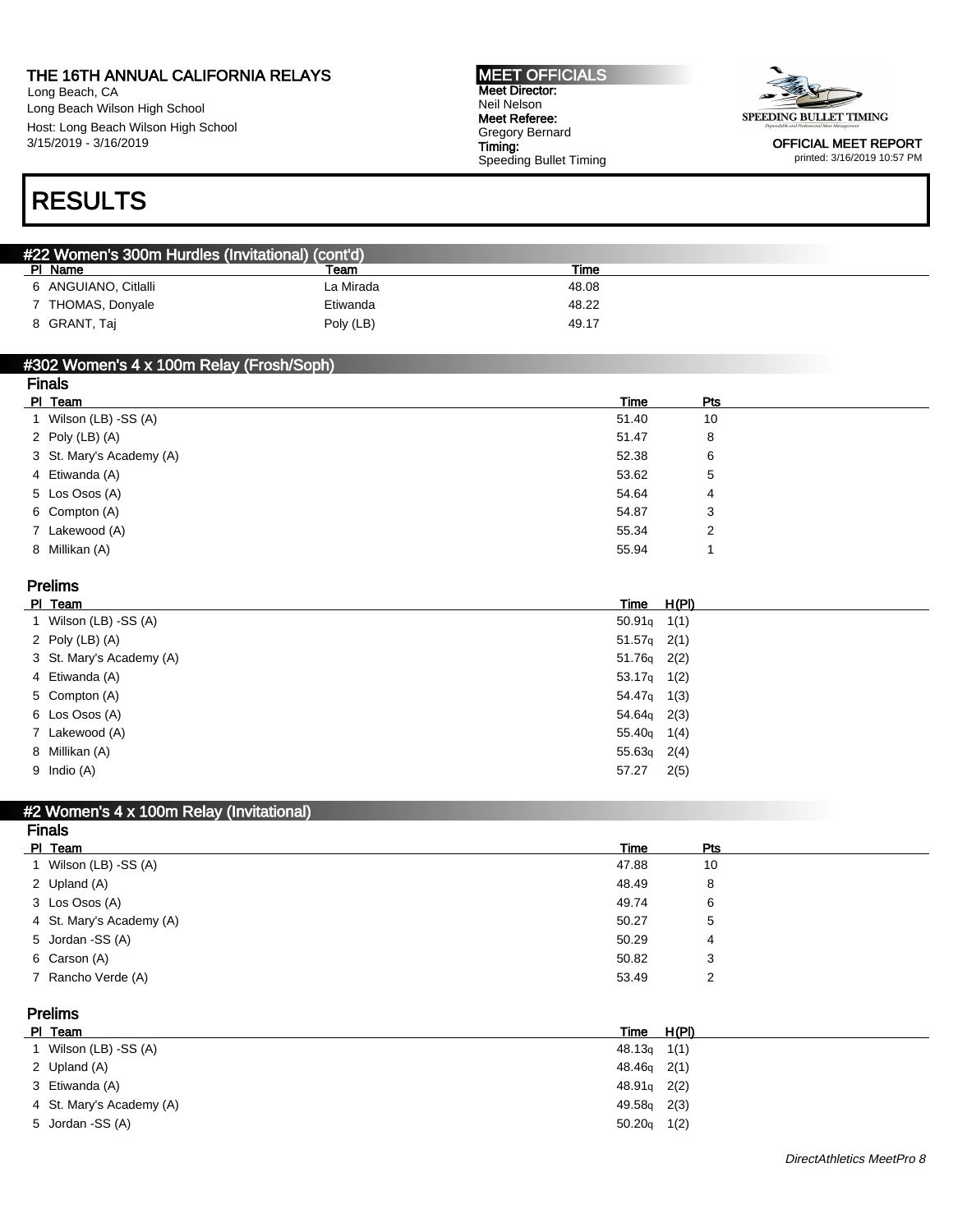Long Beach, CA Long Beach Wilson High School Host: Long Beach Wilson High School 3/15/2019 - 3/16/2019

#### MEET OFFICIALS Meet Director: Neil Nelson Meet Referee: Gregory Bernard Timing: Speeding Bullet Timing



OFFICIAL MEET REPORT printed: 3/16/2019 10:57 PM

## RESULTS

| #22 Women's 300m Hurdles (Invitational) (cont'd) |           |       |  |
|--------------------------------------------------|-----------|-------|--|
| PI Name                                          | Team      | Time  |  |
| 6 ANGUIANO, Citlalli                             | La Mirada | 48.08 |  |
| 7 THOMAS, Donyale                                | Etiwanda  | 48.22 |  |
| 8 GRANT, Taj                                     | Poly (LB) | 49.17 |  |

#### #302 Women's 4 x 100m Relay (Frosh/Soph)

| <b>Finals</b>            |       |     |  |  |  |
|--------------------------|-------|-----|--|--|--|
| PI Team                  | Time  | Pts |  |  |  |
| 1 Wilson (LB) -SS (A)    | 51.40 | 10  |  |  |  |
| 2 Poly (LB) (A)          | 51.47 | 8   |  |  |  |
| 3 St. Mary's Academy (A) | 52.38 | 6   |  |  |  |
| 4 Etiwanda (A)           | 53.62 | 5   |  |  |  |
| 5 Los Osos (A)           | 54.64 | 4   |  |  |  |
| 6 Compton (A)            | 54.87 | 3   |  |  |  |
| 7 Lakewood (A)           | 55.34 | 2   |  |  |  |
| 8 Millikan (A)           | 55.94 |     |  |  |  |
|                          |       |     |  |  |  |

| <b>Prelims</b>      |                          |  |                         |  |
|---------------------|--------------------------|--|-------------------------|--|
| PI Team             |                          |  | Time H(PI)              |  |
|                     | 1 Wilson (LB) -SS (A)    |  | $50.91q$ 1(1)           |  |
| 2 Poly $(LB)$ $(A)$ |                          |  | $51.57q$ 2(1)           |  |
|                     | 3 St. Mary's Academy (A) |  | $51.76q$ 2(2)           |  |
| 4 Etiwanda (A)      |                          |  | $53.17q$ 1(2)           |  |
| 5 Compton (A)       |                          |  | $54.47q$ 1(3)           |  |
| 6 Los Osos (A)      |                          |  | $54.64q$ 2(3)           |  |
| 7 Lakewood (A)      |                          |  | 55.40 <sub>q</sub> 1(4) |  |
| 8 Millikan (A)      |                          |  | $55.63q$ 2(4)           |  |
| 9 Indio (A)         | 57.27                    |  | 2(5)                    |  |

### #2 Women's 4 x 100m Relay (Invitational)

| <b>Finals</b>            |       |     |  |  |
|--------------------------|-------|-----|--|--|
| PI Team                  | Time  | Pts |  |  |
| Wilson (LB) -SS (A)      | 47.88 | 10  |  |  |
| 2 Upland (A)             | 48.49 | 8   |  |  |
| 3 Los Osos (A)           | 49.74 | 6   |  |  |
| 4 St. Mary's Academy (A) | 50.27 | 5   |  |  |
| 5 Jordan - SS (A)        | 50.29 | 4   |  |  |
| 6 Carson (A)             | 50.82 | 3   |  |  |
| 7 Rancho Verde (A)       | 53.49 | 2   |  |  |

### Prelims

| PI Team                  | Time                | H(PI) |
|--------------------------|---------------------|-------|
| Wilson (LB) -SS (A)      | $48.13q \quad 1(1)$ |       |
| 2 Upland (A)             | $48.46q$ 2(1)       |       |
| 3 Etiwanda (A)           | 48.91g 2(2)         |       |
| 4 St. Mary's Academy (A) | $49.58q$ 2(3)       |       |
| 5 Jordan -SS (A)         | $50.20q$ 1(2)       |       |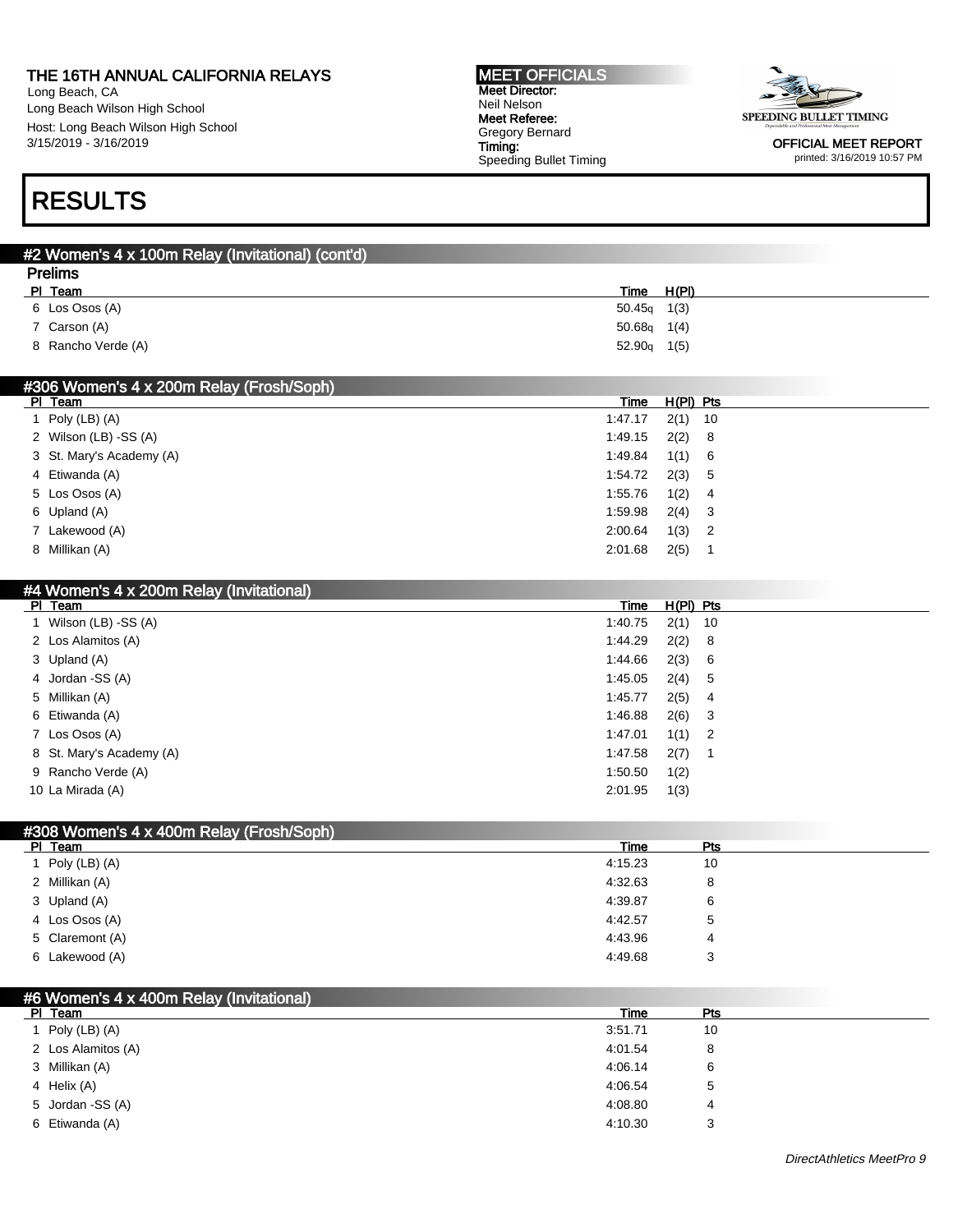Long Beach, CA Long Beach Wilson High School Host: Long Beach Wilson High School 3/15/2019 - 3/16/2019

#### MEET OFFICIALS Meet Director: Neil Nelson Meet Referee: Gregory Bernard Timing: Speeding Bullet Timing



OFFICIAL MEET REPORT printed: 3/16/2019 10:57 PM

## RESULTS

| <b>Prelims</b><br>PI Team<br>H(PI)<br>Time<br>6 Los Osos (A)<br>50.45q<br>1(3)<br>7 Carson (A)<br>50.68q<br>1(4) |
|------------------------------------------------------------------------------------------------------------------|
|                                                                                                                  |
|                                                                                                                  |
|                                                                                                                  |
|                                                                                                                  |
| 8 Rancho Verde (A)<br>52.90q<br>1(5)                                                                             |
|                                                                                                                  |
| #306 Women's 4 x 200m Relay (Frosh/Soph)                                                                         |
| $H(PI)$ Pts<br>PI Team<br>Time                                                                                   |
| 1 Poly (LB) $(A)$<br>1:47.17<br>2(1)<br>10                                                                       |
| 2 Wilson (LB) -SS (A)<br>1:49.15<br>2(2)<br>8                                                                    |
| 3 St. Mary's Academy (A)<br>1(1)<br>1:49.84<br>6                                                                 |
| 4 Etiwanda (A)<br>1:54.72<br>2(3)<br>5                                                                           |
| 5 Los Osos (A)<br>1:55.76<br>1(2)<br>4                                                                           |
| 6 Upland (A)<br>1:59.98<br>2(4)<br>3                                                                             |
| 7 Lakewood (A)<br>2:00.64<br>1(3)<br>2                                                                           |
| 8 Millikan (A)<br>2(5)<br>2:01.68<br>$\mathbf{1}$                                                                |
|                                                                                                                  |
| #4 Women's 4 x 200m Relay (Invitational)                                                                         |
| PI Team<br>Time<br>$H(PI)$ Pts                                                                                   |
| 1 Wilson (LB) -SS (A)<br>2(1)<br>1:40.75<br>10                                                                   |
| 2 Los Alamitos (A)<br>1:44.29<br>2(2)<br>8                                                                       |
| 3 Upland (A)<br>1:44.66<br>2(3)<br>6                                                                             |
| 4 Jordan - SS (A)<br>1:45.05<br>2(4)<br>5                                                                        |
| 5 Millikan (A)<br>1:45.77<br>2(5)<br>4                                                                           |
| 6 Etiwanda (A)<br>2(6)<br>1:46.88<br>3                                                                           |
| 7 Los Osos (A)<br>1:47.01<br>1(1)<br>2                                                                           |
| 8 St. Mary's Academy (A)<br>1:47.58<br>2(7)<br>1                                                                 |
| 9 Rancho Verde (A)<br>1(2)<br>1:50.50                                                                            |
| 10 La Mirada (A)<br>2:01.95<br>1(3)                                                                              |
|                                                                                                                  |
|                                                                                                                  |

| <b>HOUGHTS</b> + A HOUGHT NEIGY (THOSITOUPIT) |         |            |  |
|-----------------------------------------------|---------|------------|--|
| PI Team                                       | Time    | <b>Pts</b> |  |
| Poly (LB) (A)                                 | 4:15.23 | 10         |  |
| 2 Millikan (A)                                | 4:32.63 | 8          |  |
| 3 Upland (A)                                  | 4:39.87 | 6          |  |
| 4 Los Osos (A)                                | 4:42.57 | ა          |  |
| 5 Claremont (A)                               | 4:43.96 | 4          |  |
| 6 Lakewood (A)                                | 4:49.68 | 3          |  |

| #6 Women's 4 x 400m Relay (Invitational) |         |     |  |
|------------------------------------------|---------|-----|--|
| PI Team                                  | Time    | Pts |  |
| Poly (LB) (A)                            | 3:51.71 | 10  |  |
| 2 Los Alamitos (A)                       | 4:01.54 | 8   |  |
| 3 Millikan (A)                           | 4:06.14 | 6   |  |
| 4 Helix (A)                              | 4:06.54 | 5   |  |
| 5 Jordan -SS (A)                         | 4:08.80 | 4   |  |
| 6 Etiwanda (A)                           | 4:10.30 | 3   |  |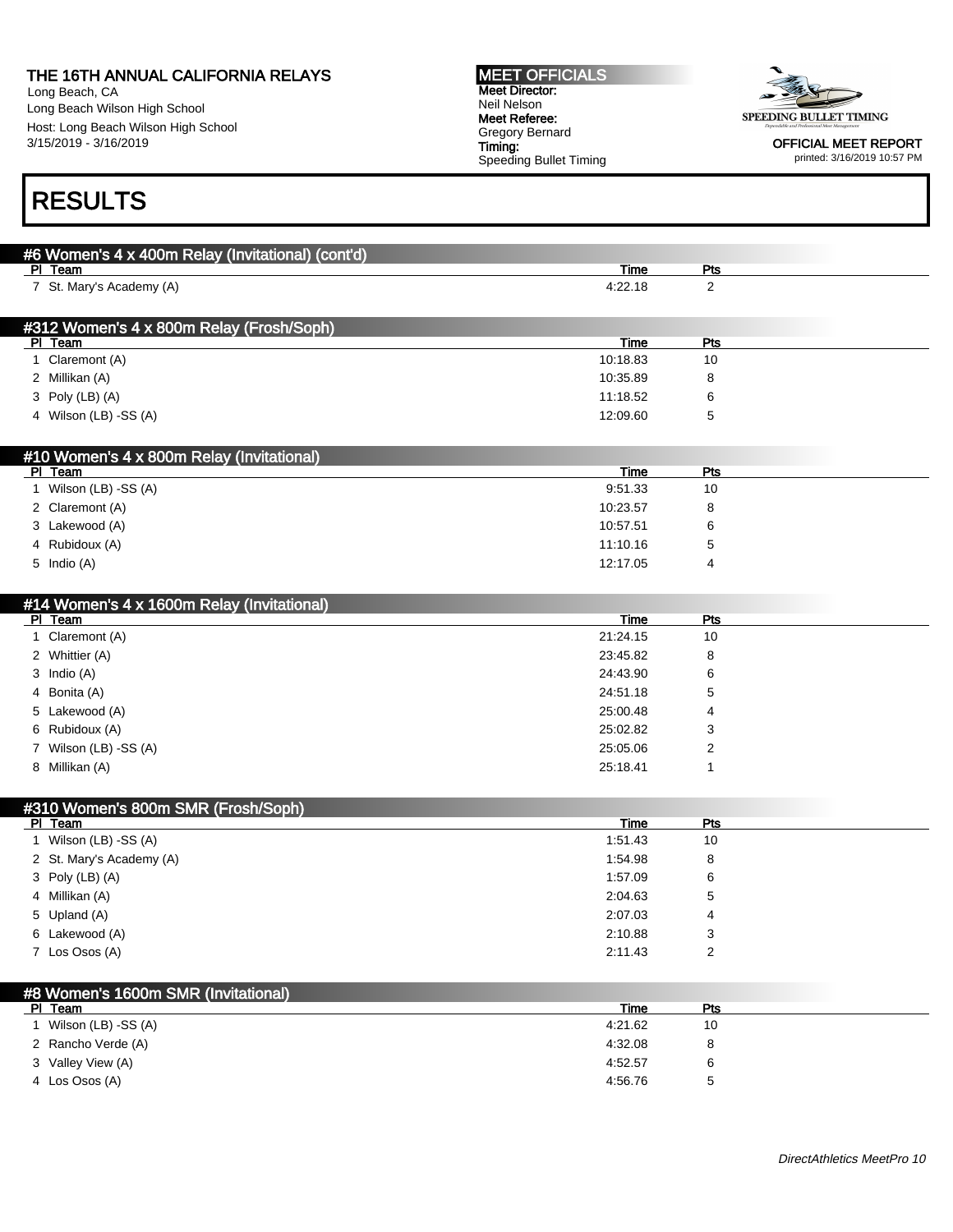#6 Women's 4 x 400m Relay (Invitational) (cont'd)

Long Beach, CA Long Beach Wilson High School Host: Long Beach Wilson High School 3/15/2019 - 3/16/2019

#### MEET OFFICIALS Meet Director: Neil Nelson Meet Referee: Gregory Bernard Timing: Speeding Bullet Timing



OFFICIAL MEET REPORT printed: 3/16/2019 10:57 PM

## RESULTS

| PI Team                                             | <u>Time</u> | <b>Pts</b>              |  |
|-----------------------------------------------------|-------------|-------------------------|--|
| 7 St. Mary's Academy (A)                            | 4:22.18     | $\overline{2}$          |  |
|                                                     |             |                         |  |
|                                                     |             |                         |  |
| #312 Women's 4 x 800m Relay (Frosh/Soph)<br>PI Team | <b>Time</b> | <b>Pts</b>              |  |
| 1 Claremont (A)                                     | 10:18.83    | 10                      |  |
| 2 Millikan (A)                                      | 10:35.89    |                         |  |
|                                                     |             | 8                       |  |
| 3 Poly (LB) (A)                                     | 11:18.52    | 6                       |  |
| 4 Wilson (LB) -SS (A)                               | 12:09.60    | 5                       |  |
|                                                     |             |                         |  |
| #10 Women's 4 x 800m Relay (Invitational)           |             |                         |  |
| PI Team                                             | <u>Time</u> | <u>Pts</u>              |  |
| 1 Wilson (LB) -SS (A)                               | 9:51.33     | 10                      |  |
| 2 Claremont (A)                                     | 10:23.57    | 8                       |  |
| 3 Lakewood (A)                                      | 10:57.51    | 6                       |  |
| 4 Rubidoux (A)                                      | 11:10.16    | 5                       |  |
| 5 Indio (A)                                         | 12:17.05    | 4                       |  |
|                                                     |             |                         |  |
|                                                     |             |                         |  |
| #14 Women's 4 x 1600m Relay (Invitational)          |             |                         |  |
| PI Team                                             | <b>Time</b> | <u>Pts</u><br>10        |  |
| 1 Claremont (A)                                     | 21:24.15    |                         |  |
| 2 Whittier (A)                                      | 23:45.82    | 8                       |  |
| 3 Indio (A)                                         | 24:43.90    | 6                       |  |
| 4 Bonita (A)                                        | 24:51.18    | 5                       |  |
| 5 Lakewood (A)                                      | 25:00.48    | 4                       |  |
| 6 Rubidoux (A)                                      | 25:02.82    | 3                       |  |
| 7 Wilson (LB) -SS (A)                               | 25:05.06    | 2                       |  |
| 8 Millikan (A)                                      | 25:18.41    | $\mathbf{1}$            |  |
|                                                     |             |                         |  |
| #310 Women's 800m SMR (Frosh/Soph)                  |             |                         |  |
| PI Team                                             | <b>Time</b> | <b>Pts</b>              |  |
| 1 Wilson (LB) -SS (A)                               | 1.51.43     | 10                      |  |
| 2 St. Mary's Academy (A)                            | 1:54.98     | 8                       |  |
| 3 Poly (LB) (A)                                     | 1:57.09     | 6                       |  |
| 4 Millikan (A)                                      | 2:04.63     | 5                       |  |
| 5 Upland (A)                                        | 2:07.03     | 4                       |  |
| 6 Lakewood (A)                                      | 2:10.88     | 3                       |  |
|                                                     |             |                         |  |
| 7 Los Osos (A)                                      | 2:11.43     | $\overline{\mathbf{c}}$ |  |
|                                                     |             |                         |  |
| #8 Women's 1600m SMR (Invitational)                 |             |                         |  |
| PI Team                                             | <b>Time</b> | <b>Pts</b>              |  |
| 1 Wilson (LB) -SS (A)                               | 4:21.62     | $10$                    |  |
| 2 Rancho Verde (A)                                  | 4:32.08     | 8                       |  |
| 3 Valley View (A)                                   | 4:52.57     | 6                       |  |
| 4 Los Osos (A)                                      | 4:56.76     | 5                       |  |
|                                                     |             |                         |  |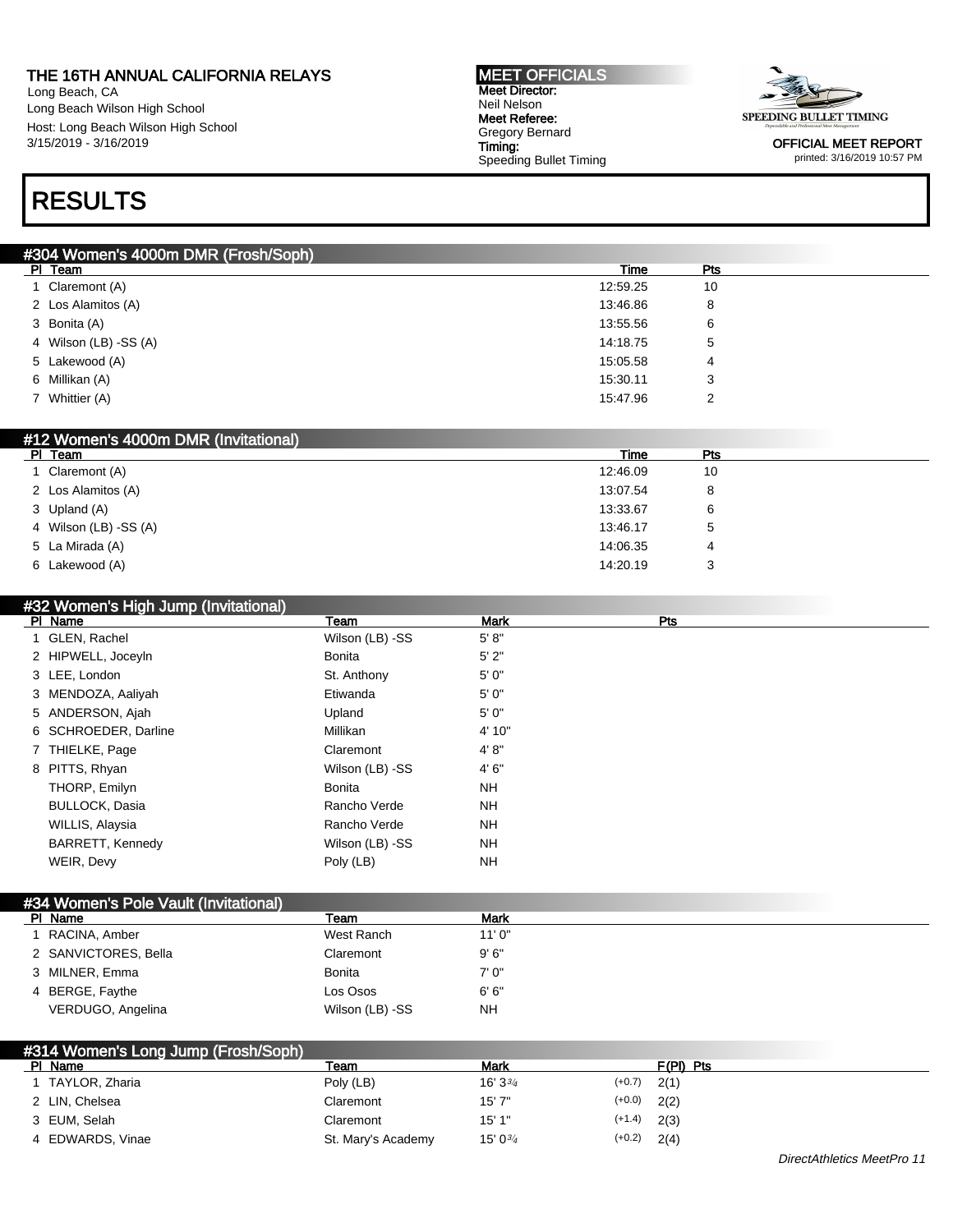Long Beach, CA Long Beach Wilson High School Host: Long Beach Wilson High School 3/15/2019 - 3/16/2019

#### MEET OFFICIALS Meet Director: Neil Nelson Meet Referee: Gregory Bernard Timing: Speeding Bullet Timing



OFFICIAL MEET REPORT printed: 3/16/2019 10:57 PM

### RESULTS

| #304 Women's 4000m DMR (Frosh/Soph) |          |     |  |  |
|-------------------------------------|----------|-----|--|--|
| PI Team                             | Time     | Pts |  |  |
| 1 Claremont (A)                     | 12:59.25 | 10  |  |  |
| 2 Los Alamitos (A)                  | 13:46.86 | 8   |  |  |
| 3 Bonita (A)                        | 13:55.56 | 6   |  |  |
| 4 Wilson (LB) -SS (A)               | 14:18.75 | 5   |  |  |
| 5 Lakewood (A)                      | 15:05.58 | 4   |  |  |
| 6 Millikan (A)                      | 15:30.11 | 3   |  |  |
| 7 Whittier (A)                      | 15:47.96 | 2   |  |  |
|                                     |          |     |  |  |

| #12 Women's 4000m DMR (Invitational) |          |            |  |
|--------------------------------------|----------|------------|--|
| PI Team                              | Time     | <b>Pts</b> |  |
| 1 Claremont (A)                      | 12:46.09 | 10         |  |
| 2 Los Alamitos (A)                   | 13:07.54 |            |  |
| 3 Upland (A)                         | 13:33.67 | 6          |  |
| 4 Wilson (LB) -SS (A)                | 13:46.17 | 5          |  |
| 5 La Mirada (A)                      | 14:06.35 | 4          |  |
| 6 Lakewood (A)                       | 14:20.19 |            |  |
|                                      |          |            |  |

#### #32 Women's High Jump (Invitational)

| PI Name                 | Team            | Mark      | Pts |  |
|-------------------------|-----------------|-----------|-----|--|
| 1 GLEN, Rachel          | Wilson (LB) -SS | 5' 8''    |     |  |
| 2 HIPWELL, Joceyln      | <b>Bonita</b>   | 5'2"      |     |  |
| 3 LEE, London           | St. Anthony     | 5'0''     |     |  |
| 3 MENDOZA, Aaliyah      | Etiwanda        | 5'0''     |     |  |
| 5 ANDERSON, Ajah        | Upland          | 5'0''     |     |  |
| 6 SCHROEDER, Darline    | Millikan        | 4' 10"    |     |  |
| 7 THIELKE, Page         | Claremont       | 4' 8''    |     |  |
| 8 PITTS, Rhyan          | Wilson (LB) -SS | 4'6''     |     |  |
| THORP, Emilyn           | <b>Bonita</b>   | <b>NH</b> |     |  |
| <b>BULLOCK, Dasia</b>   | Rancho Verde    | <b>NH</b> |     |  |
| WILLIS, Alaysia         | Rancho Verde    | <b>NH</b> |     |  |
| <b>BARRETT, Kennedy</b> | Wilson (LB) -SS | <b>NH</b> |     |  |
| WEIR, Devy              | Poly (LB)       | <b>NH</b> |     |  |
|                         |                 |           |     |  |

| #34 Women's Pole Vault (Invitational) |                 |        |  |
|---------------------------------------|-----------------|--------|--|
| PI Name                               | Team            | Mark   |  |
| 1 RACINA, Amber                       | West Ranch      | 11'0'' |  |
| 2 SANVICTORES, Bella                  | Claremont       | 9'6''  |  |
| 3 MILNER, Emma                        | <b>Bonita</b>   | 7'0''  |  |
| 4 BERGE, Faythe                       | Los Osos        | 6'6''  |  |
| VERDUGO, Angelina                     | Wilson (LB) -SS | NH     |  |

| #314 Women's Long Jump (Frosh/Soph) |                    |                      |          |           |  |
|-------------------------------------|--------------------|----------------------|----------|-----------|--|
| PI Name                             | Team               | Mark                 |          | F(PI) Pts |  |
| TAYLOR, Zharia                      | Poly (LB)          | $16'3^{3/4}$         | $(+0.7)$ | 2(1)      |  |
| 2 LIN. Chelsea                      | Claremont          | 15'7"                | $(+0.0)$ | 2(2)      |  |
| 3 EUM. Selah                        | Claremont          | 15'1"                | $(+1.4)$ | 2(3)      |  |
| 4 EDWARDS, Vinae                    | St. Mary's Academy | 15' 0 <sup>3/4</sup> | $(+0.2)$ | 2(4)      |  |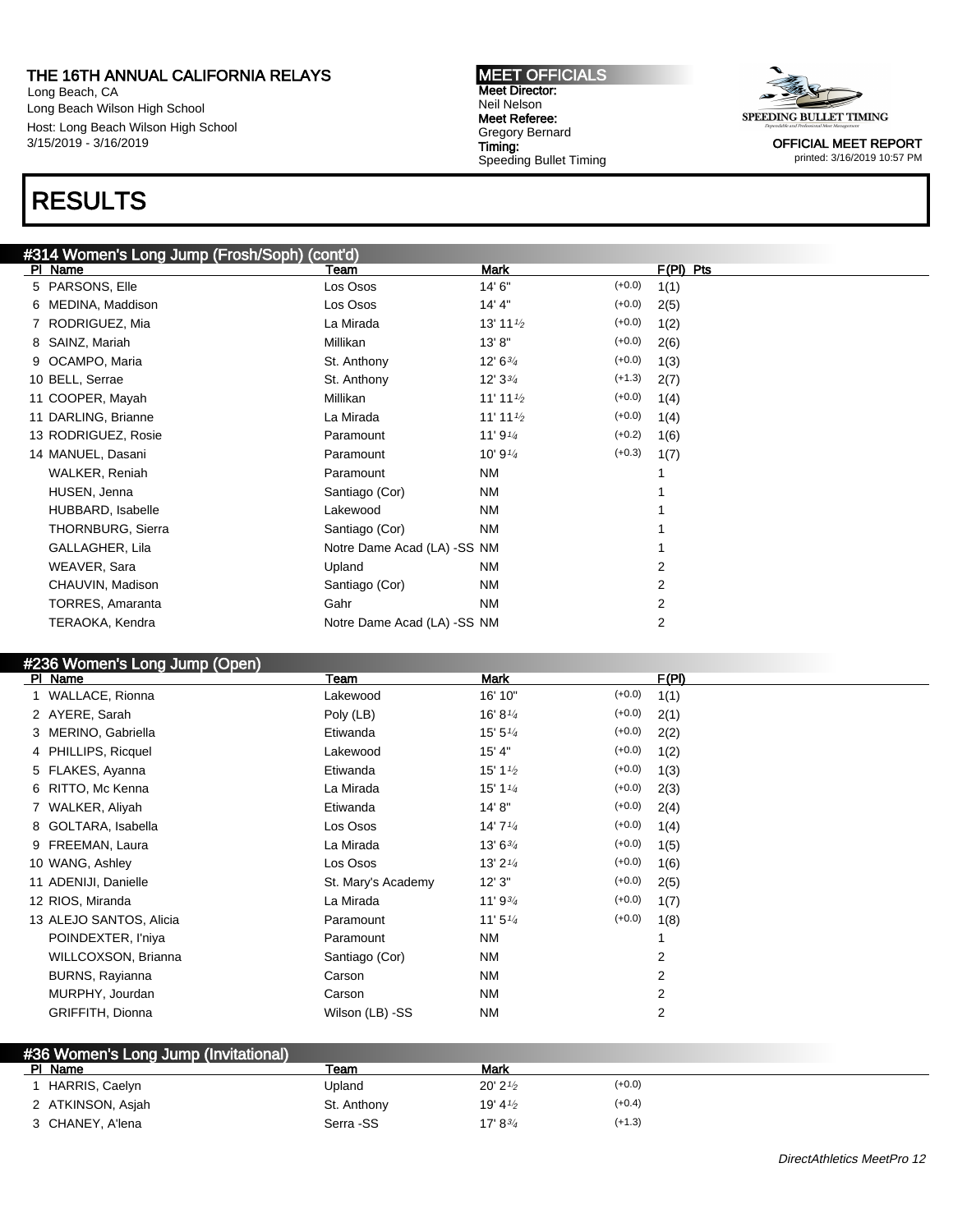Long Beach, CA Long Beach Wilson High School Host: Long Beach Wilson High School 3/15/2019 - 3/16/2019

## RESULTS

### #314 Women's Long Jump (Frosh/Soph) (cont'd)

| PI Name                 | Team                        | <b>Mark</b>          |          | $F(PI)$ Pts |
|-------------------------|-----------------------------|----------------------|----------|-------------|
| 5 PARSONS, Elle         | Los Osos                    | 14' 6"               | $(+0.0)$ | 1(1)        |
| 6 MEDINA, Maddison      | Los Osos                    | 14' 4"               | $(+0.0)$ | 2(5)        |
| 7 RODRIGUEZ, Mia        | La Mirada                   | 13' 11 $\frac{1}{2}$ | $(+0.0)$ | 1(2)        |
| 8 SAINZ, Mariah         | Millikan                    | 13'8"                | $(+0.0)$ | 2(6)        |
| 9 OCAMPO, Maria         | St. Anthony                 | $12' 6^{3/4}$        | $(+0.0)$ | 1(3)        |
| 10 BELL, Serrae         | St. Anthony                 | $12'3^{3/4}$         | $(+1.3)$ | 2(7)        |
| 11 COOPER, Mayah        | Millikan                    | 11' 11 $\frac{1}{2}$ | $(+0.0)$ | 1(4)        |
| 11 DARLING, Brianne     | La Mirada                   | 11' 11 $\frac{1}{2}$ | $(+0.0)$ | 1(4)        |
| 13 RODRIGUEZ, Rosie     | Paramount                   | 11' 9 $\frac{1}{4}$  | $(+0.2)$ | 1(6)        |
| 14 MANUEL, Dasani       | Paramount                   | 10' 9 $\frac{1}{4}$  | $(+0.3)$ | 1(7)        |
| WALKER, Reniah          | Paramount                   | NM                   |          |             |
| HUSEN, Jenna            | Santiago (Cor)              | <b>NM</b>            |          |             |
| HUBBARD, Isabelle       | Lakewood                    | <b>NM</b>            |          |             |
| THORNBURG, Sierra       | Santiago (Cor)              | <b>NM</b>            |          |             |
| GALLAGHER, Lila         | Notre Dame Acad (LA) -SS NM |                      |          |             |
| WEAVER, Sara            | Upland                      | <b>NM</b>            |          | 2           |
| CHAUVIN, Madison        | Santiago (Cor)              | <b>NM</b>            |          | 2           |
| <b>TORRES, Amaranta</b> | Gahr                        | <b>NM</b>            |          | 2           |
| TERAOKA, Kendra         | Notre Dame Acad (LA) -SS NM |                      |          | 2           |
|                         |                             |                      |          |             |

MEET OFFICIALS Meet Director: Neil Nelson Meet Referee: Gregory Bernard Timing:

Speeding Bullet Timing

#### #236 Women's Long Jump (Open)

| PI Name                 | Team               | Mark                              |          | F(PI) |
|-------------------------|--------------------|-----------------------------------|----------|-------|
| 1 WALLACE, Rionna       | Lakewood           | 16' 10"                           | $(+0.0)$ | 1(1)  |
| 2 AYERE, Sarah          | Poly (LB)          | 16' 8 $\frac{1}{4}$               | $(+0.0)$ | 2(1)  |
| 3 MERINO, Gabriella     | Etiwanda           | 15' 5''                           | $(+0.0)$ | 2(2)  |
| 4 PHILLIPS, Ricquel     | Lakewood           | 15' 4"                            | $(+0.0)$ | 1(2)  |
| 5 FLAKES, Ayanna        | Etiwanda           | 15' 1 $\frac{1}{2}$               | $(+0.0)$ | 1(3)  |
| 6 RITTO, Mc Kenna       | La Mirada          | 15' 1 <sup>1</sup> / <sub>4</sub> | $(+0.0)$ | 2(3)  |
| 7 WALKER, Aliyah        | Etiwanda           | 14' 8"                            | $(+0.0)$ | 2(4)  |
| 8 GOLTARA, Isabella     | Los Osos           | 14'7''                            | $(+0.0)$ | 1(4)  |
| 9 FREEMAN, Laura        | La Mirada          | 13' 63/4                          | $(+0.0)$ | 1(5)  |
| 10 WANG, Ashley         | Los Osos           | 13' $2\frac{1}{4}$                | $(+0.0)$ | 1(6)  |
| 11 ADENIJI, Danielle    | St. Mary's Academy | 12'3''                            | $(+0.0)$ | 2(5)  |
| 12 RIOS, Miranda        | La Mirada          | 11' 9 $\frac{3}{4}$               | $(+0.0)$ | 1(7)  |
| 13 ALEJO SANTOS, Alicia | Paramount          | 11'5''4                           | $(+0.0)$ | 1(8)  |
| POINDEXTER, I'niya      | Paramount          | <b>NM</b>                         |          |       |
| WILLCOXSON, Brianna     | Santiago (Cor)     | <b>NM</b>                         |          | 2     |
| BURNS, Rayianna         | Carson             | <b>NM</b>                         |          | 2     |
| MURPHY, Jourdan         | Carson             | <b>NM</b>                         |          | 2     |
| GRIFFITH, Dionna        | Wilson (LB) -SS    | <b>NM</b>                         |          | 2     |
|                         |                    |                                   |          |       |

| #36 Women's Long Jump (Invitational) |             |                                   |          |
|--------------------------------------|-------------|-----------------------------------|----------|
| PI Name                              | Team        | Mark                              |          |
| HARRIS, Caelyn                       | Upland      | $20'$ 2 $\frac{1}{2}$             | $(+0.0)$ |
| 2 ATKINSON, Asjah                    | St. Anthony | 19' 4 $\frac{1}{2}$               | $(+0.4)$ |
| 3 CHANEY, A'lena                     | Serra -SS   | 17' 8 <sup>3</sup> / <sub>4</sub> | $(+1.3)$ |

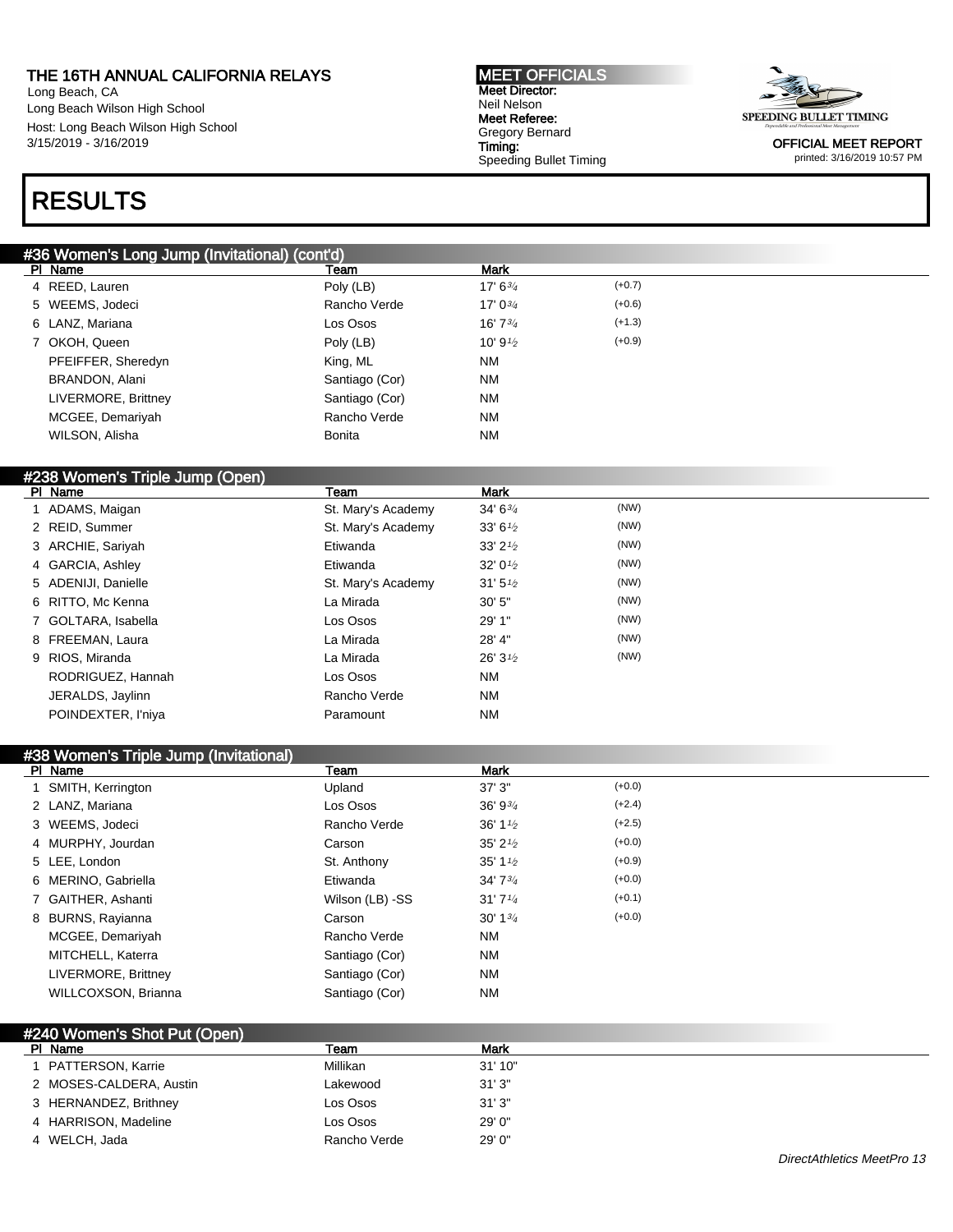Long Beach, CA Long Beach Wilson High School Host: Long Beach Wilson High School 3/15/2019 - 3/16/2019

## RESULTS

#### #36 Women's Long Jump (Invitational) (cont'd)

| PI Name             | Team           | <b>Mark</b>                       |          |
|---------------------|----------------|-----------------------------------|----------|
| 4 REED, Lauren      | Poly (LB)      | 17' 6 <sup>3</sup> / <sub>4</sub> | $(+0.7)$ |
| 5 WEEMS, Jodeci     | Rancho Verde   | 17' $0\frac{3}{4}$                | $(+0.6)$ |
| 6 LANZ, Mariana     | Los Osos       | $16'7^{3/4}$                      | $(+1.3)$ |
| 7 OKOH, Queen       | Poly (LB)      | 10' 9 $\frac{1}{2}$               | $(+0.9)$ |
| PFEIFFER, Sheredyn  | King, ML       | <b>NM</b>                         |          |
| BRANDON, Alani      | Santiago (Cor) | <b>NM</b>                         |          |
| LIVERMORE, Brittney | Santiago (Cor) | <b>NM</b>                         |          |
| MCGEE, Demariyah    | Rancho Verde   | <b>NM</b>                         |          |
| WILSON, Alisha      | <b>Bonita</b>  | <b>NM</b>                         |          |
|                     |                |                                   |          |

MEET OFFICIALS Meet Director: Neil Nelson Meet Referee: Gregory Bernard Timing:

Speeding Bullet Timing

### #238 Women's Triple Jump (Open)

| PI Name             | Team               | <b>Mark</b>         |      |  |
|---------------------|--------------------|---------------------|------|--|
| ADAMS, Maigan       | St. Mary's Academy | 34'6'3'4            | (NW) |  |
| 2 REID, Summer      | St. Mary's Academy | 33' $6\frac{1}{2}$  | (NW) |  |
| 3 ARCHIE, Sariyah   | Etiwanda           | 33' $2\frac{1}{2}$  | (NW) |  |
| 4 GARCIA, Ashley    | Etiwanda           | 32' $0\frac{1}{2}$  | (NW) |  |
| 5 ADENIJI, Danielle | St. Mary's Academy | $31'5\frac{1}{2}$   | (NW) |  |
| 6 RITTO, Mc Kenna   | La Mirada          | 30'5"               | (NW) |  |
| 7 GOLTARA, Isabella | Los Osos           | 29' 1"              | (NW) |  |
| 8 FREEMAN, Laura    | La Mirada          | 28' 4"              | (NW) |  |
| 9 RIOS, Miranda     | La Mirada          | 26'3'' <sub>2</sub> | (NW) |  |
| RODRIGUEZ, Hannah   | Los Osos           | <b>NM</b>           |      |  |
| JERALDS, Jaylinn    | Rancho Verde       | <b>NM</b>           |      |  |
| POINDEXTER, I'niya  | Paramount          | <b>NM</b>           |      |  |

#### #38 Women's Triple Jump (Invitational)

| PI Name             | Team            | <b>Mark</b>                       |          |
|---------------------|-----------------|-----------------------------------|----------|
| 1 SMITH, Kerrington | Upland          | 37'3''                            | $(+0.0)$ |
| 2 LANZ, Mariana     | Los Osos        | 36' 9 <sup>3</sup> / <sub>4</sub> | $(+2.4)$ |
| 3 WEEMS, Jodeci     | Rancho Verde    | 36' $1\frac{1}{2}$                | $(+2.5)$ |
| 4 MURPHY, Jourdan   | Carson          | $35'$ 2 $\frac{1}{2}$             | $(+0.0)$ |
| 5 LEE, London       | St. Anthony     | 35' $1\frac{1}{2}$                | $(+0.9)$ |
| 6 MERINO, Gabriella | Etiwanda        | 34'73'                            | $(+0.0)$ |
| 7 GAITHER, Ashanti  | Wilson (LB) -SS | 31'7''                            | $(+0.1)$ |
| 8 BURNS, Rayianna   | Carson          | 30' $1\frac{3}{4}$                | $(+0.0)$ |
| MCGEE, Demariyah    | Rancho Verde    | <b>NM</b>                         |          |
| MITCHELL, Katerra   | Santiago (Cor)  | <b>NM</b>                         |          |
| LIVERMORE, Brittney | Santiago (Cor)  | <b>NM</b>                         |          |
| WILLCOXSON, Brianna | Santiago (Cor)  | <b>NM</b>                         |          |

| #240 Women's Shot Put (Open) |              |        |  |
|------------------------------|--------------|--------|--|
| PI Name                      | Team         | Mark   |  |
| 1 PATTERSON, Karrie          | Millikan     | 31'10" |  |
| 2 MOSES-CALDERA, Austin      | Lakewood     | 31'3'' |  |
| 3 HERNANDEZ, Brithney        | Los Osos     | 31'3'' |  |
| 4 HARRISON, Madeline         | Los Osos     | 29' 0" |  |
| 4 WELCH, Jada                | Rancho Verde | 29' 0" |  |

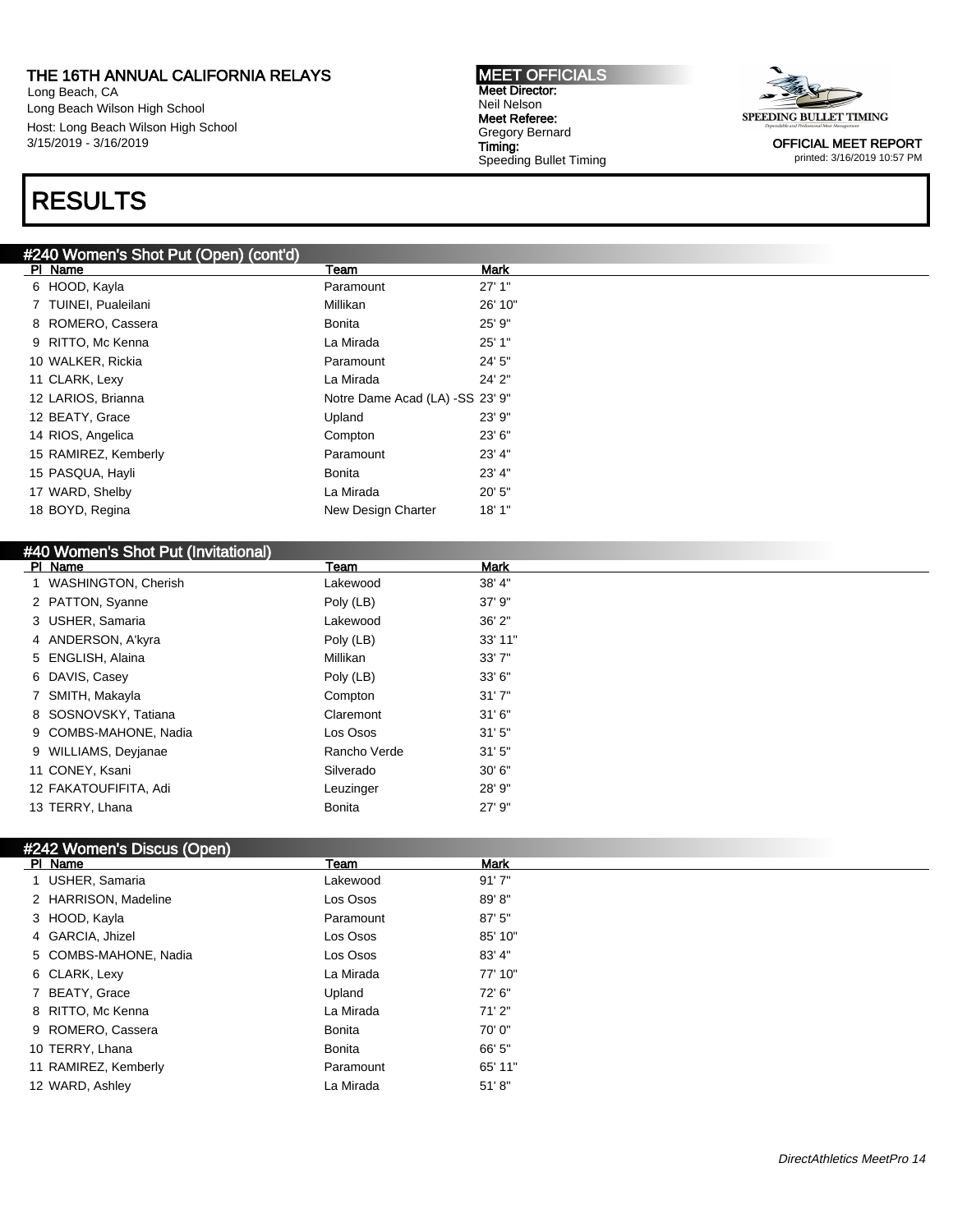Long Beach, CA Long Beach Wilson High School Host: Long Beach Wilson High School 3/15/2019 - 3/16/2019

## RESULTS

#### #240 Women's Shot Put (Open) (cont'd)

| PI | Name                 | Team                            | <b>Mark</b> |
|----|----------------------|---------------------------------|-------------|
| 6  | HOOD, Kayla          | Paramount                       | 27'1"       |
|    | TUINEI, Pualeilani   | Millikan                        | 26' 10"     |
| 8  | ROMERO, Cassera      | Bonita                          | 25' 9"      |
| 9  | RITTO, Mc Kenna      | La Mirada                       | 25'1"       |
|    | 10 WALKER, Rickia    | Paramount                       | 24' 5"      |
|    | 11 CLARK, Lexy       | La Mirada                       | 24' 2"      |
|    | 12 LARIOS, Brianna   | Notre Dame Acad (LA) -SS 23' 9" |             |
|    | 12 BEATY, Grace      | Upland                          | 23'9''      |
|    | 14 RIOS, Angelica    | Compton                         | 23'6''      |
|    | 15 RAMIREZ, Kemberly | Paramount                       | 23' 4"      |
|    | 15 PASQUA, Hayli     | <b>Bonita</b>                   | 23' 4"      |
|    | 17 WARD, Shelby      | La Mirada                       | 20'5"       |
|    | 18 BOYD, Regina      | New Design Charter              | 18'1"       |

#### #40 Women's Shot Put (Invitational)

| PI Name               | Team         | <b>Mark</b> |
|-----------------------|--------------|-------------|
| 1 WASHINGTON, Cherish | Lakewood     | 38' 4"      |
| 2 PATTON, Syanne      | Poly (LB)    | 37'9''      |
| 3 USHER, Samaria      | Lakewood     | 36'2"       |
| 4 ANDERSON, A'kyra    | Poly (LB)    | 33' 11"     |
| 5 ENGLISH, Alaina     | Millikan     | 33'7''      |
| 6 DAVIS, Casey        | Poly (LB)    | 33' 6"      |
| 7 SMITH, Makayla      | Compton      | 31'7''      |
| 8 SOSNOVSKY, Tatiana  | Claremont    | 31'6''      |
| 9 COMBS-MAHONE, Nadia | Los Osos     | 31'5''      |
| 9 WILLIAMS, Deyjanae  | Rancho Verde | 31'5''      |
| 11 CONEY, Ksani       | Silverado    | 30'6''      |
| 12 FAKATOUFIFITA, Adi | Leuzinger    | 28' 9"      |
| 13 TERRY, Lhana       | Bonita       | 27' 9"      |

MEET OFFICIALS Meet Director: Neil Nelson Meet Referee: Gregory Bernard Timing:

Speeding Bullet Timing

### #242 Women's Discus (Open)

| PI Name               | Team      | Mark    |
|-----------------------|-----------|---------|
| 1 USHER, Samaria      | Lakewood  | 91'7''  |
| 2 HARRISON, Madeline  | Los Osos  | 89'8"   |
| 3 HOOD, Kayla         | Paramount | 87' 5"  |
| 4 GARCIA, Jhizel      | Los Osos  | 85' 10" |
| 5 COMBS-MAHONE, Nadia | Los Osos  | 83' 4"  |
| 6 CLARK, Lexy         | La Mirada | 77' 10" |
| 7 BEATY, Grace        | Upland    | 72' 6"  |
| 8 RITTO, Mc Kenna     | La Mirada | 71'2"   |
| 9 ROMERO, Cassera     | Bonita    | 70'0"   |
| 10 TERRY, Lhana       | Bonita    | 66' 5"  |
| 11 RAMIREZ, Kemberly  | Paramount | 65' 11" |
| 12 WARD, Ashley       | La Mirada | 51' 8'' |

SPEEDING BULLET TIMING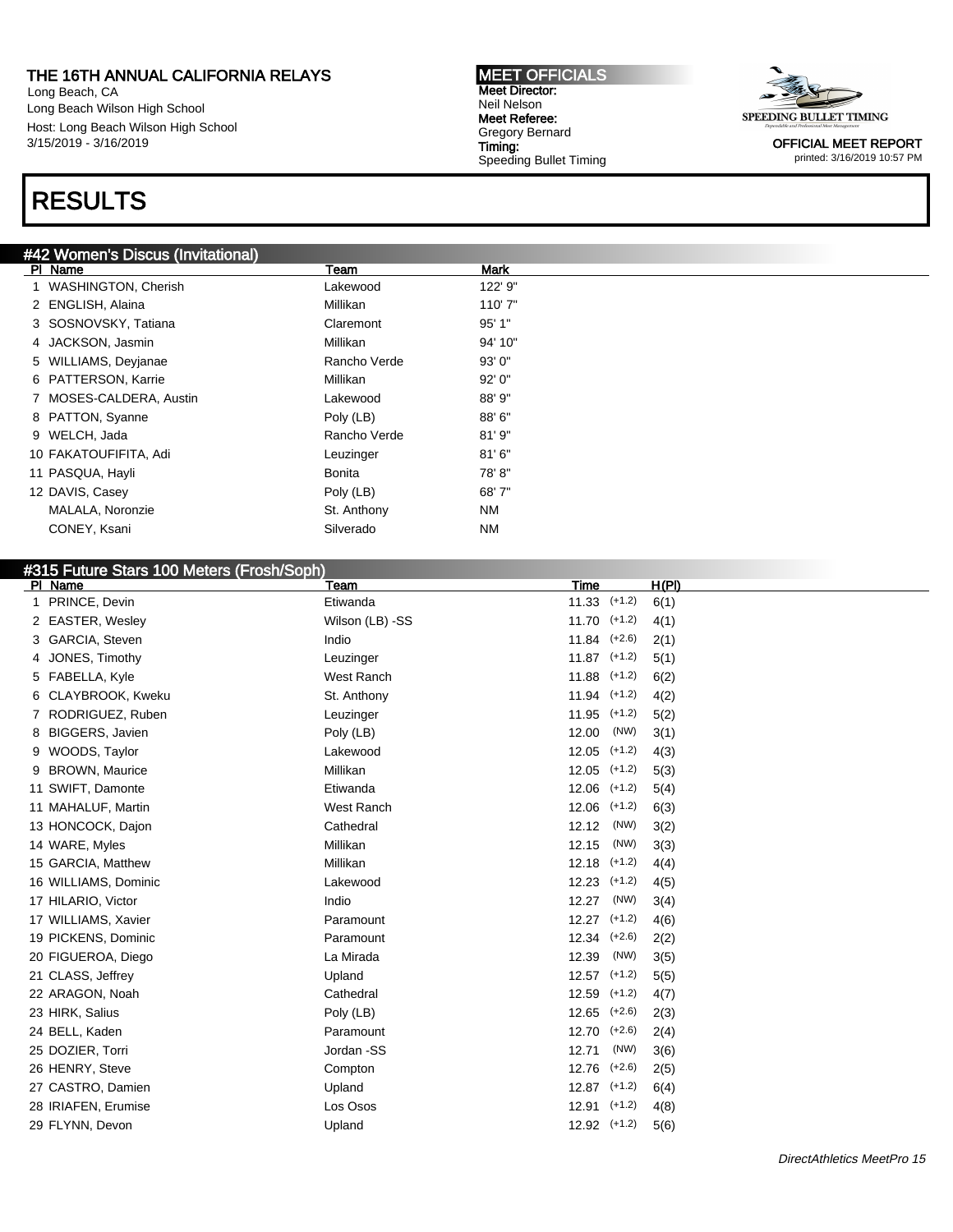Long Beach, CA Long Beach Wilson High School Host: Long Beach Wilson High School 3/15/2019 - 3/16/2019

## RESULTS

#### #42 Women's Discus (Invitational)

| PI Name                    | Team         | <b>Mark</b> |
|----------------------------|--------------|-------------|
| <b>WASHINGTON, Cherish</b> | Lakewood     | 122' 9"     |
| 2 ENGLISH, Alaina          | Millikan     | 110'7"      |
| 3 SOSNOVSKY, Tatiana       | Claremont    | 95'1"       |
| 4 JACKSON, Jasmin          | Millikan     | 94' 10"     |
| 5 WILLIAMS, Devianae       | Rancho Verde | 93'0''      |
| 6 PATTERSON, Karrie        | Millikan     | 92'0''      |
| 7 MOSES-CALDERA, Austin    | Lakewood     | 88' 9"      |
| 8 PATTON, Syanne           | Poly (LB)    | 88'6"       |
| 9 WELCH, Jada              | Rancho Verde | 81'9"       |
| 10 FAKATOUFIFITA, Adi      | Leuzinger    | 81'6''      |
| 11 PASQUA, Hayli           | Bonita       | 78'8"       |
| 12 DAVIS, Casey            | Poly (LB)    | 68'7"       |
| MALALA, Noronzie           | St. Anthony  | <b>NM</b>   |
| CONEY, Ksani               | Silverado    | <b>NM</b>   |

MEET OFFICIALS Meet Director: Neil Nelson Meet Referee: Gregory Bernard Timing:

Speeding Bullet Timing

### #315 Future Stars 100 Meters (Frosh/Soph)

| PI Name                     | Team            | <b>Time</b>       | H(PI) |
|-----------------------------|-----------------|-------------------|-------|
| PRINCE, Devin<br>1.         | Etiwanda        | $(+1.2)$<br>11.33 | 6(1)  |
| 2 EASTER, Wesley            | Wilson (LB) -SS | 11.70<br>$(+1.2)$ | 4(1)  |
| GARCIA, Steven<br>3         | Indio           | $11.84$ $(+2.6)$  | 2(1)  |
| JONES, Timothy<br>4         | Leuzinger       | $11.87$ $(+1.2)$  | 5(1)  |
| 5 FABELLA, Kyle             | West Ranch      | 11.88<br>$(+1.2)$ | 6(2)  |
| CLAYBROOK, Kweku<br>6       | St. Anthony     | $(+1.2)$<br>11.94 | 4(2)  |
| RODRIGUEZ, Ruben<br>7       | Leuzinger       | 11.95<br>$(+1.2)$ | 5(2)  |
| <b>BIGGERS, Javien</b><br>8 | Poly (LB)       | 12.00<br>(NW)     | 3(1)  |
| WOODS, Taylor<br>9          | Lakewood        | $(+1.2)$<br>12.05 | 4(3)  |
| <b>BROWN, Maurice</b><br>9  | Millikan        | $(+1.2)$<br>12.05 | 5(3)  |
| 11 SWIFT, Damonte           | Etiwanda        | 12.06<br>$(+1.2)$ | 5(4)  |
| 11 MAHALUF, Martin          | West Ranch      | 12.06<br>$(+1.2)$ | 6(3)  |
| 13 HONCOCK, Dajon           | Cathedral       | (NW)<br>12.12     | 3(2)  |
| 14 WARE, Myles              | Millikan        | (NW)<br>12.15     | 3(3)  |
| 15 GARCIA, Matthew          | Millikan        | $(+1.2)$<br>12.18 | 4(4)  |
| 16 WILLIAMS, Dominic        | Lakewood        | 12.23<br>$(+1.2)$ | 4(5)  |
| 17 HILARIO, Victor          | Indio           | (NW)<br>12.27     | 3(4)  |
| 17 WILLIAMS, Xavier         | Paramount       | 12.27<br>$(+1.2)$ | 4(6)  |
| 19 PICKENS, Dominic         | Paramount       | 12.34<br>$(+2.6)$ | 2(2)  |
| 20 FIGUEROA, Diego          | La Mirada       | (NW)<br>12.39     | 3(5)  |
| 21 CLASS, Jeffrey           | Upland          | 12.57<br>$(+1.2)$ | 5(5)  |
| 22 ARAGON, Noah             | Cathedral       | 12.59<br>$(+1.2)$ | 4(7)  |
| 23 HIRK, Salius             | Poly (LB)       | 12.65<br>$(+2.6)$ | 2(3)  |
| 24 BELL, Kaden              | Paramount       | 12.70<br>$(+2.6)$ | 2(4)  |
| 25 DOZIER, Torri            | Jordan -SS      | (NW)<br>12.71     | 3(6)  |
| 26 HENRY, Steve             | Compton         | 12.76<br>$(+2.6)$ | 2(5)  |
| 27 CASTRO, Damien           | Upland          | $(+1.2)$<br>12.87 | 6(4)  |
| 28 IRIAFEN, Erumise         | Los Osos        | 12.91<br>$(+1.2)$ | 4(8)  |
| 29 FLYNN, Devon             | Upland          | $12.92$ $(+1.2)$  | 5(6)  |
|                             |                 |                   |       |

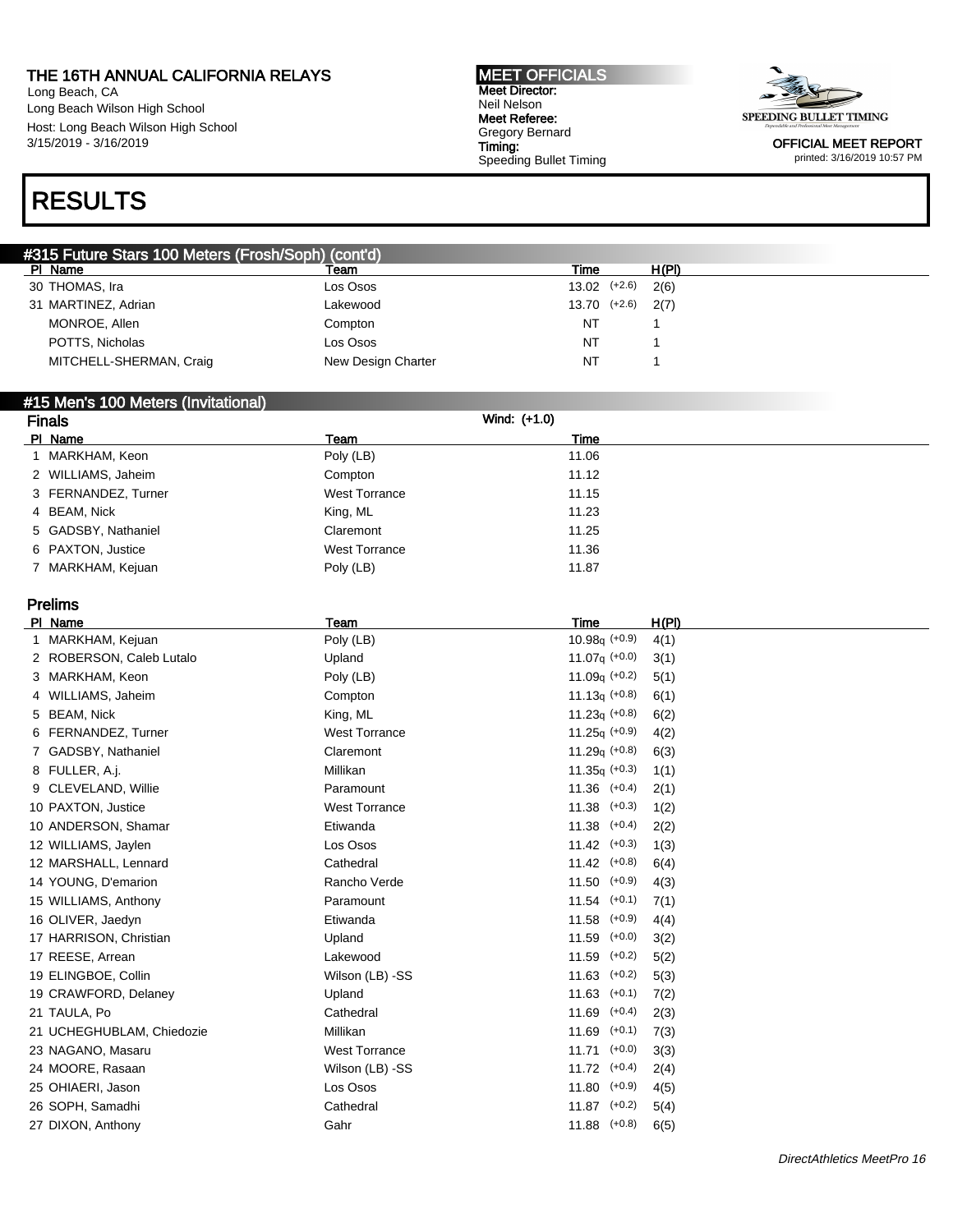Long Beach, CA Long Beach Wilson High School Host: Long Beach Wilson High School 3/15/2019 - 3/16/2019

#### MEET OFFICIALS Meet Director: Neil Nelson Meet Referee: Gregory Bernard Timing: Speeding Bullet Timing



OFFICIAL MEET REPORT printed: 3/16/2019 10:57 PM

### RESULTS

| #315 Future Stars 100 Meters (Frosh/Soph) (cont'd) |                    |                  |  |       |
|----------------------------------------------------|--------------------|------------------|--|-------|
| PI Name                                            | Team               | Time             |  | H(PI) |
| 30 THOMAS, Ira                                     | Los Osos           | $13.02$ $(+2.6)$ |  | 2(6)  |
| 31 MARTINEZ, Adrian                                | Lakewood           | 13.70 (+2.6)     |  | 2(7)  |
| MONROE, Allen                                      | Compton            | NT               |  |       |
| POTTS, Nicholas                                    | Los Osos           | NT               |  |       |
| MITCHELL-SHERMAN, Craig                            | New Design Charter | NT.              |  |       |

#### #15 Men's 100 Meters (Invitational)

| <b>Finals</b>       | Wind: (+1.0)         |       |  |
|---------------------|----------------------|-------|--|
| PI Name             | Team                 | Time  |  |
| 1 MARKHAM, Keon     | Poly (LB)            | 11.06 |  |
| 2 WILLIAMS, Jaheim  | Compton              | 11.12 |  |
| 3 FERNANDEZ, Turner | <b>West Torrance</b> | 11.15 |  |
| 4 BEAM, Nick        | King, ML             | 11.23 |  |
| 5 GADSBY, Nathaniel | Claremont            | 11.25 |  |
| 6 PAXTON, Justice   | <b>West Torrance</b> | 11.36 |  |
| 7 MARKHAM, Kejuan   | Poly (LB)            | 11.87 |  |

#### Prelims

| PI Name                   | Team                 | <b>Time</b>       | <u>H(PI)</u> |  |
|---------------------------|----------------------|-------------------|--------------|--|
| 1 MARKHAM, Kejuan         | Poly (LB)            | $10.98q (+0.9)$   | 4(1)         |  |
| 2 ROBERSON, Caleb Lutalo  | Upland               | 11.07 $q (+0.0)$  | 3(1)         |  |
| 3 MARKHAM, Keon           | Poly (LB)            | 11.09 $q (+0.2)$  | 5(1)         |  |
| 4 WILLIAMS, Jaheim        | Compton              | $11.13q (+0.8)$   | 6(1)         |  |
| 5 BEAM, Nick              | King, ML             | $11.23q$ (+0.8)   | 6(2)         |  |
| 6 FERNANDEZ, Turner       | <b>West Torrance</b> | $11.25q (+0.9)$   | 4(2)         |  |
| 7 GADSBY, Nathaniel       | Claremont            | $11.29q (+0.8)$   | 6(3)         |  |
| 8 FULLER, A.j.            | Millikan             | $11.35q (+0.3)$   | 1(1)         |  |
| 9 CLEVELAND, Willie       | Paramount            | $11.36$ $(+0.4)$  | 2(1)         |  |
| 10 PAXTON, Justice        | <b>West Torrance</b> | $11.38$ $(+0.3)$  | 1(2)         |  |
| 10 ANDERSON, Shamar       | Etiwanda             | $11.38$ $(+0.4)$  | 2(2)         |  |
| 12 WILLIAMS, Jaylen       | Los Osos             | $11.42$ $(+0.3)$  | 1(3)         |  |
| 12 MARSHALL, Lennard      | Cathedral            | $11.42$ $(+0.8)$  | 6(4)         |  |
| 14 YOUNG, D'emarion       | Rancho Verde         | $11.50$ $(+0.9)$  | 4(3)         |  |
| 15 WILLIAMS, Anthony      | Paramount            | $11.54$ $(+0.1)$  | 7(1)         |  |
| 16 OLIVER, Jaedyn         | Etiwanda             | $11.58$ $(+0.9)$  | 4(4)         |  |
| 17 HARRISON, Christian    | Upland               | $11.59$ $(+0.0)$  | 3(2)         |  |
| 17 REESE, Arrean          | Lakewood             | 11.59<br>$(+0.2)$ | 5(2)         |  |
| 19 ELINGBOE, Collin       | Wilson (LB) -SS      | $11.63$ $(+0.2)$  | 5(3)         |  |
| 19 CRAWFORD, Delaney      | Upland               | $11.63$ $(+0.1)$  | 7(2)         |  |
| 21 TAULA, Po              | Cathedral            | $11.69$ $(+0.4)$  | 2(3)         |  |
| 21 UCHEGHUBLAM, Chiedozie | Millikan             | $11.69$ $(+0.1)$  | 7(3)         |  |
| 23 NAGANO, Masaru         | <b>West Torrance</b> | $11.71$ $(+0.0)$  | 3(3)         |  |
| 24 MOORE, Rasaan          | Wilson (LB) -SS      | $11.72$ $(+0.4)$  | 2(4)         |  |
| 25 OHIAERI, Jason         | Los Osos             | $11.80$ $(+0.9)$  | 4(5)         |  |
| 26 SOPH, Samadhi          | Cathedral            | $11.87$ (+0.2)    | 5(4)         |  |
| 27 DIXON, Anthony         | Gahr                 | $11.88$ (+0.8)    | 6(5)         |  |
|                           |                      |                   |              |  |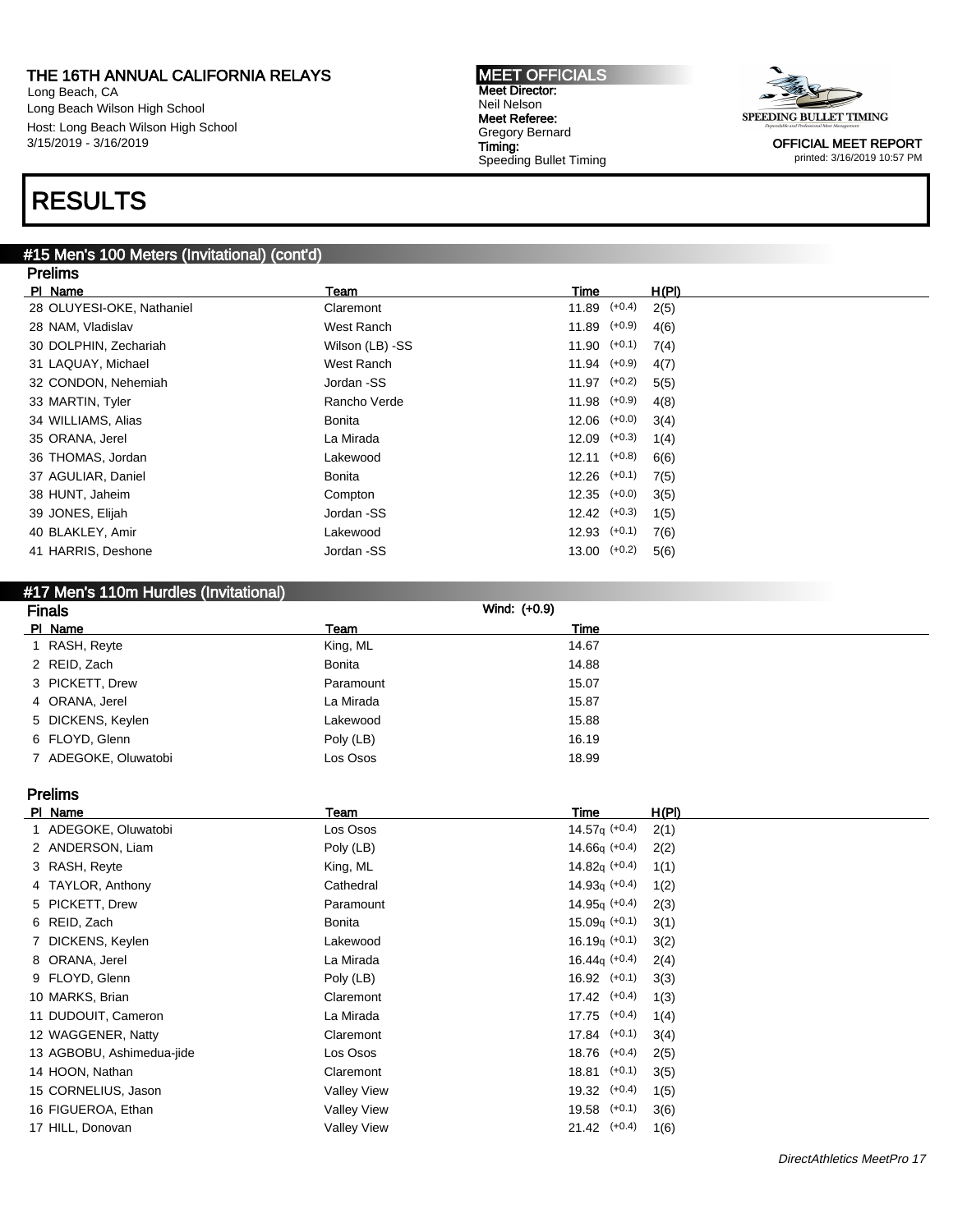Long Beach, CA Long Beach Wilson High School Host: Long Beach Wilson High School 3/15/2019 - 3/16/2019

## RESULTS

#### #15 Men's 100 Meters (Invitational) (cont'd)

| <b>Prelims</b>            |                 |                  |       |
|---------------------------|-----------------|------------------|-------|
| PI Name                   | Team            | Time             | H(PI) |
| 28 OLUYESI-OKE, Nathaniel | Claremont       | $11.89$ $(+0.4)$ | 2(5)  |
| 28 NAM, Vladislav         | West Ranch      | $11.89$ $(+0.9)$ | 4(6)  |
| 30 DOLPHIN, Zechariah     | Wilson (LB) -SS | $11.90$ $(+0.1)$ | 7(4)  |
| 31 LAQUAY, Michael        | West Ranch      | $11.94$ $(+0.9)$ | 4(7)  |
| 32 CONDON, Nehemiah       | Jordan -SS      | $11.97$ $(+0.2)$ | 5(5)  |
| 33 MARTIN, Tyler          | Rancho Verde    | $11.98$ $(+0.9)$ | 4(8)  |
| 34 WILLIAMS, Alias        | Bonita          | $12.06$ $(+0.0)$ | 3(4)  |
| 35 ORANA, Jerel           | La Mirada       | $12.09$ $(+0.3)$ | 1(4)  |
| 36 THOMAS, Jordan         | Lakewood        | $12.11$ $(+0.8)$ | 6(6)  |
| 37 AGULIAR, Daniel        | Bonita          | $12.26$ $(+0.1)$ | 7(5)  |
| 38 HUNT, Jaheim           | Compton         | $12.35$ $(+0.0)$ | 3(5)  |
| 39 JONES, Elijah          | Jordan -SS      | $12.42$ $(+0.3)$ | 1(5)  |
| 40 BLAKLEY, Amir          | Lakewood        | $12.93$ $(+0.1)$ | 7(6)  |
| 41 HARRIS, Deshone        | Jordan -SS      | $13.00$ $(+0.2)$ | 5(6)  |

MEET OFFICIALS Meet Director: Neil Nelson Meet Referee: Gregory Bernard Timing:

Speeding Bullet Timing

### #17 Men's 110m Hurdles (Invitational)

| <b>Finals</b>        |               | Wind: (+0.9) |  |
|----------------------|---------------|--------------|--|
| PI Name              | Team          | Time         |  |
| 1 RASH, Reyte        | King, ML      | 14.67        |  |
| 2 REID, Zach         | <b>Bonita</b> | 14.88        |  |
| 3 PICKETT, Drew      | Paramount     | 15.07        |  |
| 4 ORANA, Jerel       | La Mirada     | 15.87        |  |
| 5 DICKENS, Keylen    | Lakewood      | 15.88        |  |
| 6 FLOYD, Glenn       | Poly (LB)     | 16.19        |  |
| 7 ADEGOKE, Oluwatobi | Los Osos      | 18.99        |  |

Prelims

| PI Name          |                           | Team               | Time              | H(PI) |
|------------------|---------------------------|--------------------|-------------------|-------|
|                  | 1 ADEGOKE, Oluwatobi      | Los Osos           | 14.57 $q (+0.4)$  | 2(1)  |
|                  | 2 ANDERSON, Liam          | Poly (LB)          | $14.66q$ (+0.4)   | 2(2)  |
| 3 RASH, Reyte    |                           | King, ML           | $14.82q$ (+0.4)   | 1(1)  |
|                  | 4 TAYLOR, Anthony         | Cathedral          | $14.93q (+0.4)$   | 1(2)  |
| 5 PICKETT, Drew  |                           | Paramount          | $14.95q (+0.4)$   | 2(3)  |
| 6 REID, Zach     |                           | <b>Bonita</b>      | $15.09q$ (+0.1)   | 3(1)  |
|                  | 7 DICKENS, Keylen         | Lakewood           | $16.19q (+0.1)$   | 3(2)  |
| 8 ORANA, Jerel   |                           | La Mirada          | $16.44q$ (+0.4)   | 2(4)  |
| 9 FLOYD, Glenn   |                           | Poly (LB)          | $16.92$ $(+0.1)$  | 3(3)  |
| 10 MARKS, Brian  |                           | Claremont          | $17.42$ $(+0.4)$  | 1(3)  |
|                  | 11 DUDOUIT, Cameron       | La Mirada          | $17.75$ $(+0.4)$  | 1(4)  |
|                  | 12 WAGGENER, Natty        | Claremont          | $17.84$ $(+0.1)$  | 3(4)  |
|                  | 13 AGBOBU, Ashimedua-jide | Los Osos           | $18.76$ $(+0.4)$  | 2(5)  |
| 14 HOON, Nathan  |                           | Claremont          | $(+0.1)$<br>18.81 | 3(5)  |
|                  | 15 CORNELIUS, Jason       | <b>Valley View</b> | $19.32$ $(+0.4)$  | 1(5)  |
|                  | 16 FIGUEROA, Ethan        | <b>Valley View</b> | $19.58$ $(+0.1)$  | 3(6)  |
| 17 HILL, Donovan |                           | <b>Valley View</b> | $21.42$ (+0.4)    | 1(6)  |

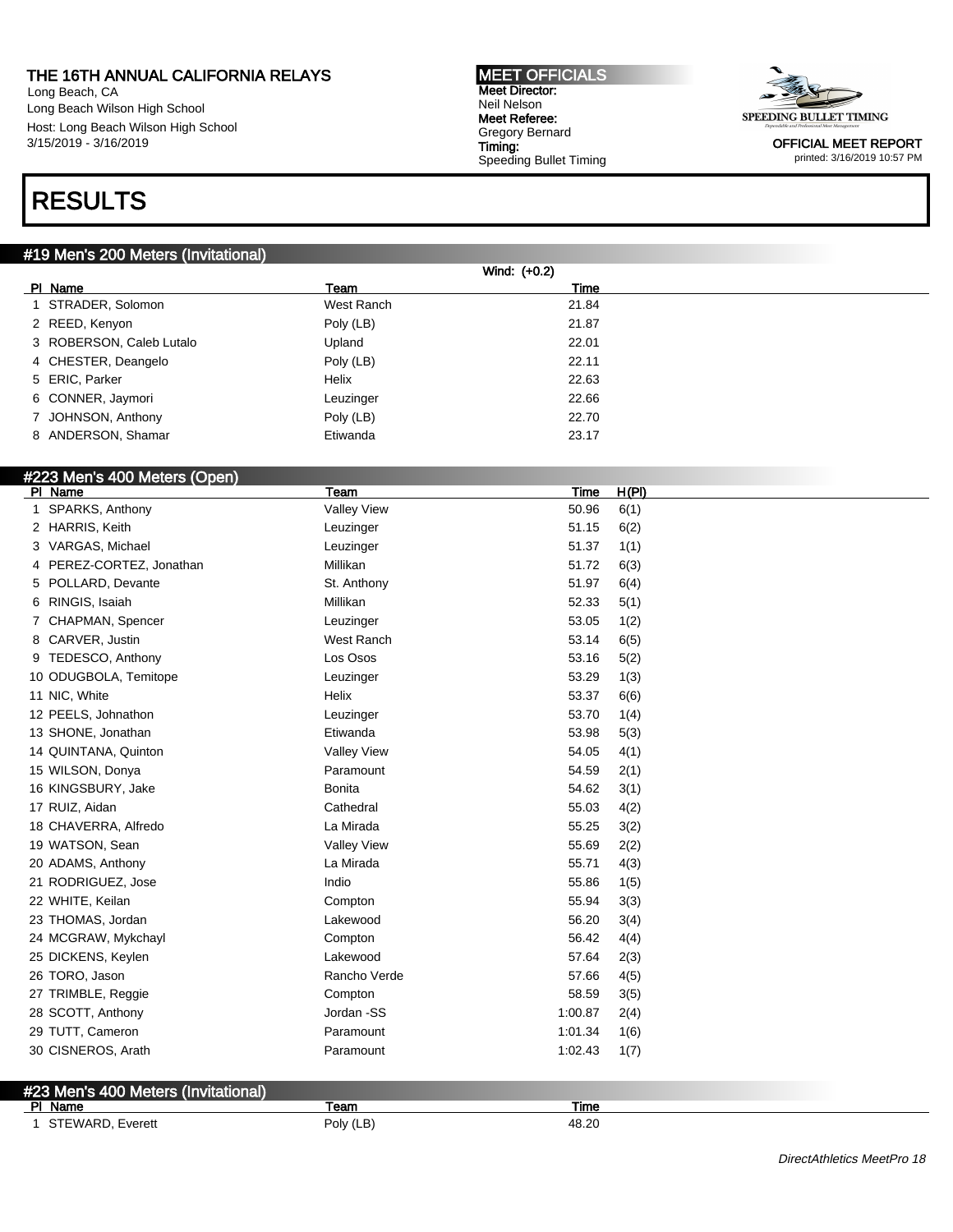Long Beach, CA Long Beach Wilson High School Host: Long Beach Wilson High School 3/15/2019 - 3/16/2019

## RESULTS

#### #19 Men's 200 Meters (Invitational)

|                          |            | Wind: (+0.2) |  |
|--------------------------|------------|--------------|--|
| PI Name                  | Team       | Time         |  |
| STRADER, Solomon         | West Ranch | 21.84        |  |
| 2 REED, Kenyon           | Poly (LB)  | 21.87        |  |
| 3 ROBERSON, Caleb Lutalo | Upland     | 22.01        |  |
| 4 CHESTER, Deangelo      | Poly (LB)  | 22.11        |  |
| 5 ERIC, Parker           | Helix      | 22.63        |  |
| 6 CONNER, Jaymori        | Leuzinger  | 22.66        |  |
| 7 JOHNSON, Anthony       | Poly (LB)  | 22.70        |  |
| 8 ANDERSON, Shamar       | Etiwanda   | 23.17        |  |

MEET OFFICIALS Meet Director: Neil Nelson Meet Referee: Gregory Bernard Timing:

Speeding Bullet Timing

### #223 Men's 400 Meters (Open)

| PI Name                  | Team          | <b>Time</b>                 | H(PI) |
|--------------------------|---------------|-----------------------------|-------|
| SPARKS, Anthony          |               | <b>Valley View</b><br>50.96 | 6(1)  |
| 2 HARRIS, Keith          |               | 51.15<br>Leuzinger          | 6(2)  |
| 3 VARGAS, Michael        |               | 51.37<br>Leuzinger          | 1(1)  |
| 4 PEREZ-CORTEZ, Jonathan | Millikan      | 51.72                       | 6(3)  |
| 5 POLLARD, Devante       |               | 51.97<br>St. Anthony        | 6(4)  |
| 6 RINGIS, Isaiah         | Millikan      | 52.33                       | 5(1)  |
| 7 CHAPMAN, Spencer       |               | 53.05<br>Leuzinger          | 1(2)  |
| 8 CARVER, Justin         |               | West Ranch<br>53.14         | 6(5)  |
| 9 TEDESCO, Anthony       |               | Los Osos<br>53.16           | 5(2)  |
| 10 ODUGBOLA, Temitope    |               | 53.29<br>Leuzinger          | 1(3)  |
| 11 NIC, White            | Helix         | 53.37                       | 6(6)  |
| 12 PEELS, Johnathon      |               | 53.70<br>Leuzinger          | 1(4)  |
| 13 SHONE, Jonathan       |               | Etiwanda<br>53.98           | 5(3)  |
| 14 QUINTANA, Quinton     |               | <b>Valley View</b><br>54.05 | 4(1)  |
| 15 WILSON, Donya         |               | 54.59<br>Paramount          | 2(1)  |
| 16 KINGSBURY, Jake       | <b>Bonita</b> | 54.62                       | 3(1)  |
| 17 RUIZ, Aidan           |               | Cathedral<br>55.03          | 4(2)  |
| 18 CHAVERRA, Alfredo     |               | La Mirada<br>55.25          | 3(2)  |
| 19 WATSON, Sean          |               | <b>Valley View</b><br>55.69 | 2(2)  |
| 20 ADAMS, Anthony        |               | La Mirada<br>55.71          | 4(3)  |
| 21 RODRIGUEZ, Jose       | Indio         | 55.86                       | 1(5)  |
| 22 WHITE, Keilan         |               | 55.94<br>Compton            | 3(3)  |
| 23 THOMAS, Jordan        |               | Lakewood<br>56.20           | 3(4)  |
| 24 MCGRAW, Mykchayl      |               | 56.42<br>Compton            | 4(4)  |
| 25 DICKENS, Keylen       |               | Lakewood<br>57.64           | 2(3)  |
| 26 TORO, Jason           |               | Rancho Verde<br>57.66       | 4(5)  |
| 27 TRIMBLE, Reggie       |               | 58.59<br>Compton            | 3(5)  |
| 28 SCOTT, Anthony        |               | Jordan -SS<br>1:00.87       | 2(4)  |
| 29 TUTT, Cameron         |               | Paramount<br>1:01.34        | 1(6)  |
| 30 CISNEROS, Arath       |               | 1:02.43<br>Paramount        | 1(7)  |
|                          |               |                             |       |

#### #23 Men's 400 Meters (Invitational) PI Name Team Team Team Team Team Time 1 STEWARD, Everett **Poly (LB)** Poly (LB) 48.20

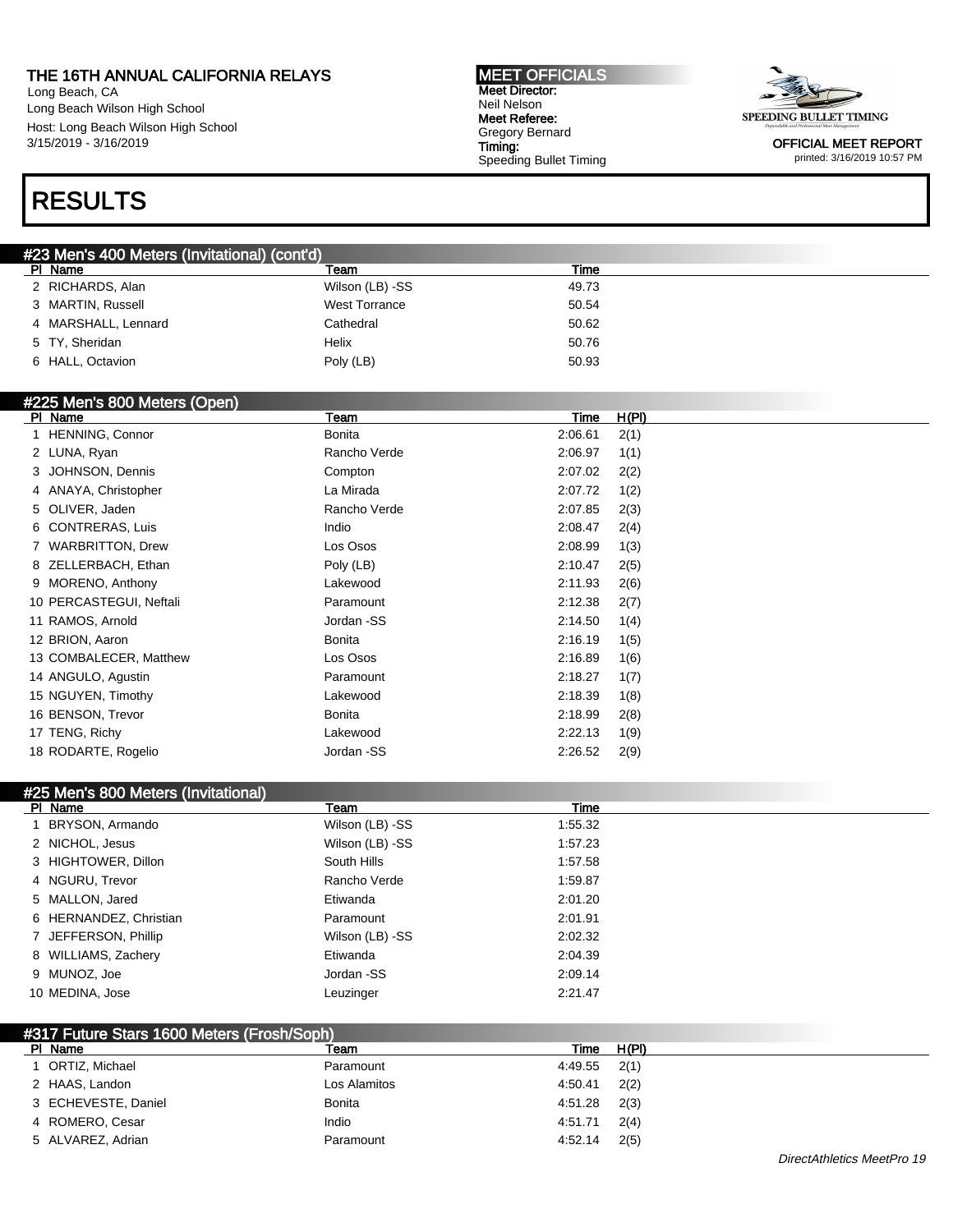Long Beach, CA Long Beach Wilson High School Host: Long Beach Wilson High School 3/15/2019 - 3/16/2019

#### MEET OFFICIALS Meet Director: Neil Nelson Meet Referee: Gregory Bernard Timing: Speeding Bullet Timing



OFFICIAL MEET REPORT printed: 3/16/2019 10:57 PM

## RESULTS

| #23 Men's 400 Meters (Invitational) (cont'd) |                      |       |  |
|----------------------------------------------|----------------------|-------|--|
| PI Name                                      | Team                 | Time  |  |
| 2 RICHARDS, Alan                             | Wilson (LB) -SS      | 49.73 |  |
| 3 MARTIN, Russell                            | <b>West Torrance</b> | 50.54 |  |
| 4 MARSHALL, Lennard                          | Cathedral            | 50.62 |  |
| 5 TY, Sheridan                               | Helix                | 50.76 |  |
| 6 HALL, Octavion                             | Poly (LB)            | 50.93 |  |

#### #225 Men's 800 Meters (Open)

| <b>PI</b><br>Name       | Team         | <b>Time</b> | H(PI) |
|-------------------------|--------------|-------------|-------|
| <b>HENNING, Connor</b>  | Bonita       | 2:06.61     | 2(1)  |
| 2 LUNA, Ryan            | Rancho Verde | 2:06.97     | 1(1)  |
| 3 JOHNSON, Dennis       | Compton      | 2:07.02     | 2(2)  |
| 4 ANAYA, Christopher    | La Mirada    | 2:07.72     | 1(2)  |
| 5 OLIVER, Jaden         | Rancho Verde | 2:07.85     | 2(3)  |
| 6 CONTRERAS, Luis       | Indio        | 2:08.47     | 2(4)  |
| 7 WARBRITTON, Drew      | Los Osos     | 2:08.99     | 1(3)  |
| 8 ZELLERBACH, Ethan     | Poly (LB)    | 2:10.47     | 2(5)  |
| 9 MORENO, Anthony       | Lakewood     | 2:11.93     | 2(6)  |
| 10 PERCASTEGUI, Neftali | Paramount    | 2:12.38     | 2(7)  |
| 11 RAMOS, Arnold        | Jordan -SS   | 2:14.50     | 1(4)  |
| 12 BRION, Aaron         | Bonita       | 2:16.19     | 1(5)  |
| 13 COMBALECER, Matthew  | Los Osos     | 2:16.89     | 1(6)  |
| 14 ANGULO, Agustin      | Paramount    | 2:18.27     | 1(7)  |
| 15 NGUYEN, Timothy      | Lakewood     | 2:18.39     | 1(8)  |
| 16 BENSON, Trevor       | Bonita       | 2:18.99     | 2(8)  |
| 17 TENG, Richy          | Lakewood     | 2:22.13     | 1(9)  |
| 18 RODARTE, Rogelio     | Jordan -SS   | 2:26.52     | 2(9)  |
|                         |              |             |       |

| #25 Men's 800 Meters (Invitational) |                 |         |
|-------------------------------------|-----------------|---------|
| PI Name                             | Team            | Time    |
| BRYSON, Armando                     | Wilson (LB) -SS | 1:55.32 |
| 2 NICHOL, Jesus                     | Wilson (LB) -SS | 1:57.23 |
| 3 HIGHTOWER, Dillon                 | South Hills     | 1:57.58 |
| 4 NGURU, Trevor                     | Rancho Verde    | 1:59.87 |
| 5 MALLON, Jared                     | Etiwanda        | 2:01.20 |
| 6 HERNANDEZ, Christian              | Paramount       | 2:01.91 |
| 7 JEFFERSON, Phillip                | Wilson (LB) -SS | 2:02.32 |
| 8 WILLIAMS, Zachery                 | Etiwanda        | 2:04.39 |
| 9 MUNOZ, Joe                        | Jordan -SS      | 2:09.14 |
| 10 MEDINA, Jose                     | Leuzinger       | 2:21.47 |

| #317 Future Stars 1600 Meters (Frosh/Soph) |               |         |       |  |  |
|--------------------------------------------|---------------|---------|-------|--|--|
| PI Name                                    | Team          | Time    | H(PI) |  |  |
| 1 ORTIZ, Michael                           | Paramount     | 4:49.55 | 2(1)  |  |  |
| 2 HAAS, Landon                             | Los Alamitos  | 4:50.41 | 2(2)  |  |  |
| 3 ECHEVESTE, Daniel                        | <b>Bonita</b> | 4:51.28 | 2(3)  |  |  |
| 4 ROMERO, Cesar                            | Indio         | 4:51.71 | 2(4)  |  |  |
| 5 ALVAREZ, Adrian                          | Paramount     | 4:52.14 | 2(5)  |  |  |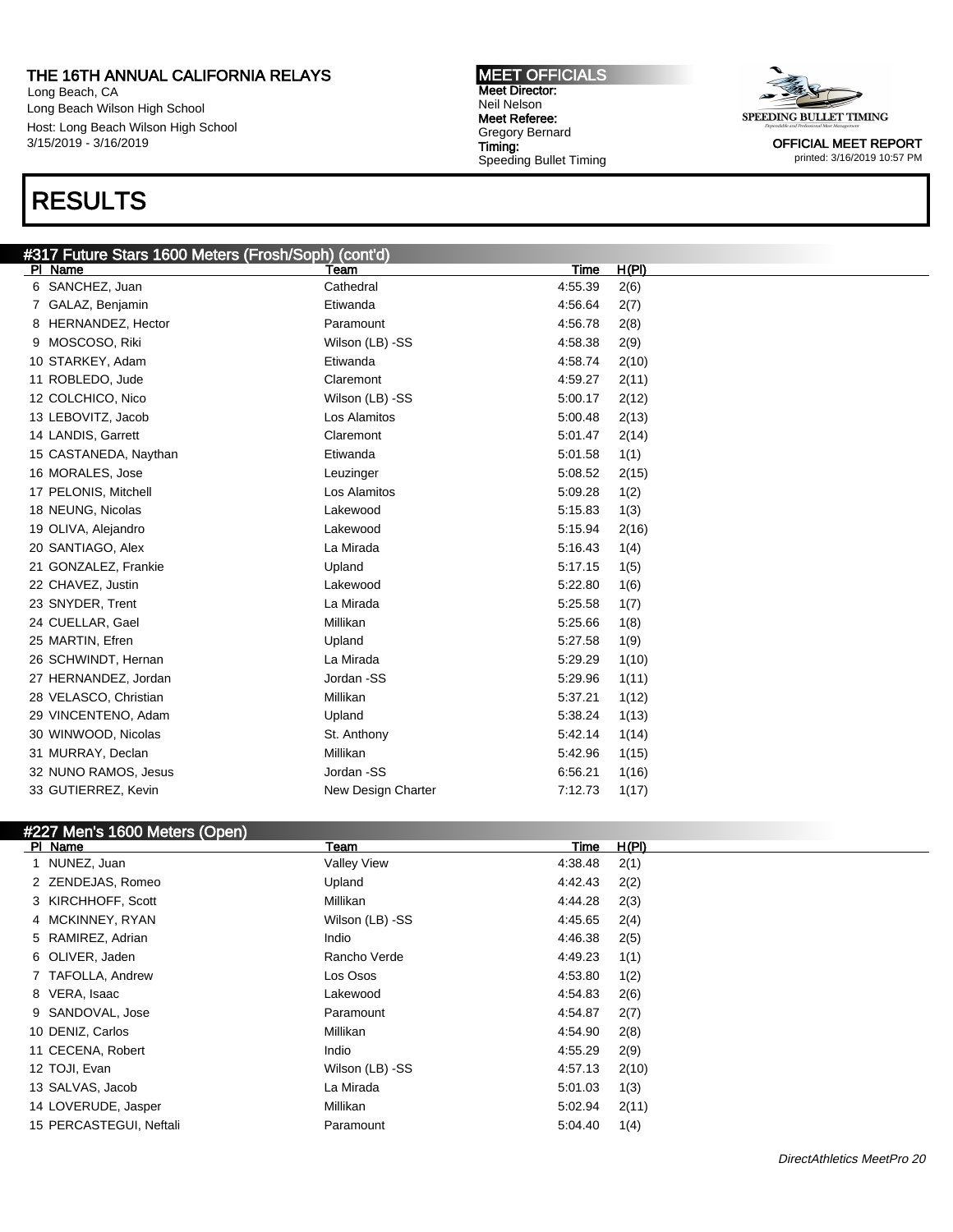Long Beach, CA Long Beach Wilson High School Host: Long Beach Wilson High School 3/15/2019 - 3/16/2019

## RESULTS

#### MEET OFFICIALS Meet Director: Neil Nelson Meet Referee: Gregory Bernard Timing: Speeding Bullet Timing



OFFICIAL MEET REPORT printed: 3/16/2019 10:57 PM

#### #317 Future Stars 1600 Meters (Frosh/Soph) (cont'd) Pl Name Team Time H(Pl)

| <b>FI NATILE</b>      | ι σαιτι            | <b>TILL</b><br>очги |  |
|-----------------------|--------------------|---------------------|--|
| 6 SANCHEZ, Juan       | Cathedral          | 4:55.39<br>2(6)     |  |
| GALAZ, Benjamin       | Etiwanda           | 4:56.64<br>2(7)     |  |
| 8 HERNANDEZ, Hector   | Paramount          | 4:56.78<br>2(8)     |  |
| MOSCOSO, Riki<br>9    | Wilson (LB) -SS    | 4:58.38<br>2(9)     |  |
| 10 STARKEY, Adam      | Etiwanda           | 4:58.74<br>2(10)    |  |
| 11 ROBLEDO, Jude      | Claremont          | 4:59.27<br>2(11)    |  |
| 12 COLCHICO, Nico     | Wilson (LB) -SS    | 5:00.17<br>2(12)    |  |
| 13 LEBOVITZ, Jacob    | Los Alamitos       | 5:00.48<br>2(13)    |  |
| 14 LANDIS, Garrett    | Claremont          | 5:01.47<br>2(14)    |  |
| 15 CASTANEDA, Naythan | Etiwanda           | 5:01.58<br>1(1)     |  |
| 16 MORALES, Jose      | Leuzinger          | 5:08.52<br>2(15)    |  |
| 17 PELONIS, Mitchell  | Los Alamitos       | 5:09.28<br>1(2)     |  |
| 18 NEUNG, Nicolas     | Lakewood           | 5.15.83<br>1(3)     |  |
| 19 OLIVA, Alejandro   | Lakewood           | 5:15.94<br>2(16)    |  |
| 20 SANTIAGO, Alex     | La Mirada          | 5.16.43<br>1(4)     |  |
| 21 GONZALEZ, Frankie  | Upland             | 5:17.15<br>1(5)     |  |
| 22 CHAVEZ, Justin     | Lakewood           | 5:22.80<br>1(6)     |  |
| 23 SNYDER, Trent      | La Mirada          | 5:25.58<br>1(7)     |  |
| 24 CUELLAR, Gael      | Millikan           | 5.25.66<br>1(8)     |  |
| 25 MARTIN, Efren      | Upland             | 5:27.58<br>1(9)     |  |
| 26 SCHWINDT, Hernan   | La Mirada          | 5:29.29<br>1(10)    |  |
| 27 HERNANDEZ, Jordan  | Jordan -SS         | 5.29.96<br>1(11)    |  |
| 28 VELASCO, Christian | Millikan           | 5:37.21<br>1(12)    |  |
| 29 VINCENTENO, Adam   | Upland             | 5:38.24<br>1(13)    |  |
| 30 WINWOOD, Nicolas   | St. Anthony        | 5:42.14<br>1(14)    |  |
| 31 MURRAY, Declan     | Millikan           | 5:42.96<br>1(15)    |  |
| 32 NUNO RAMOS, Jesus  | Jordan -SS         | 6:56.21<br>1(16)    |  |
| 33 GUTIERREZ, Kevin   | New Design Charter | 7:12.73<br>1(17)    |  |
|                       |                    |                     |  |

### #227 Men's 1600 Meters (Open)

| PI Name                 | Team               | Time    | <u>H(PI)</u> |
|-------------------------|--------------------|---------|--------------|
| 1 NUNEZ, Juan           | <b>Valley View</b> | 4:38.48 | 2(1)         |
| 2 ZENDEJAS, Romeo       | Upland             | 4:42.43 | 2(2)         |
| 3 KIRCHHOFF, Scott      | Millikan           | 4:44.28 | 2(3)         |
| 4 MCKINNEY, RYAN        | Wilson (LB) -SS    | 4:45.65 | 2(4)         |
| 5 RAMIREZ, Adrian       | Indio              | 4:46.38 | 2(5)         |
| 6 OLIVER, Jaden         | Rancho Verde       | 4:49.23 | 1(1)         |
| 7 TAFOLLA, Andrew       | Los Osos           | 4:53.80 | 1(2)         |
| 8 VERA, Isaac           | Lakewood           | 4:54.83 | 2(6)         |
| 9 SANDOVAL, Jose        | Paramount          | 4:54.87 | 2(7)         |
| 10 DENIZ, Carlos        | Millikan           | 4:54.90 | 2(8)         |
| 11 CECENA, Robert       | Indio              | 4:55.29 | 2(9)         |
| 12 TOJI, Evan           | Wilson (LB) -SS    | 4.57.13 | 2(10)        |
| 13 SALVAS, Jacob        | La Mirada          | 5:01.03 | 1(3)         |
| 14 LOVERUDE, Jasper     | Millikan           | 5:02.94 | 2(11)        |
| 15 PERCASTEGUI, Neftali | Paramount          | 5:04.40 | 1(4)         |
|                         |                    |         |              |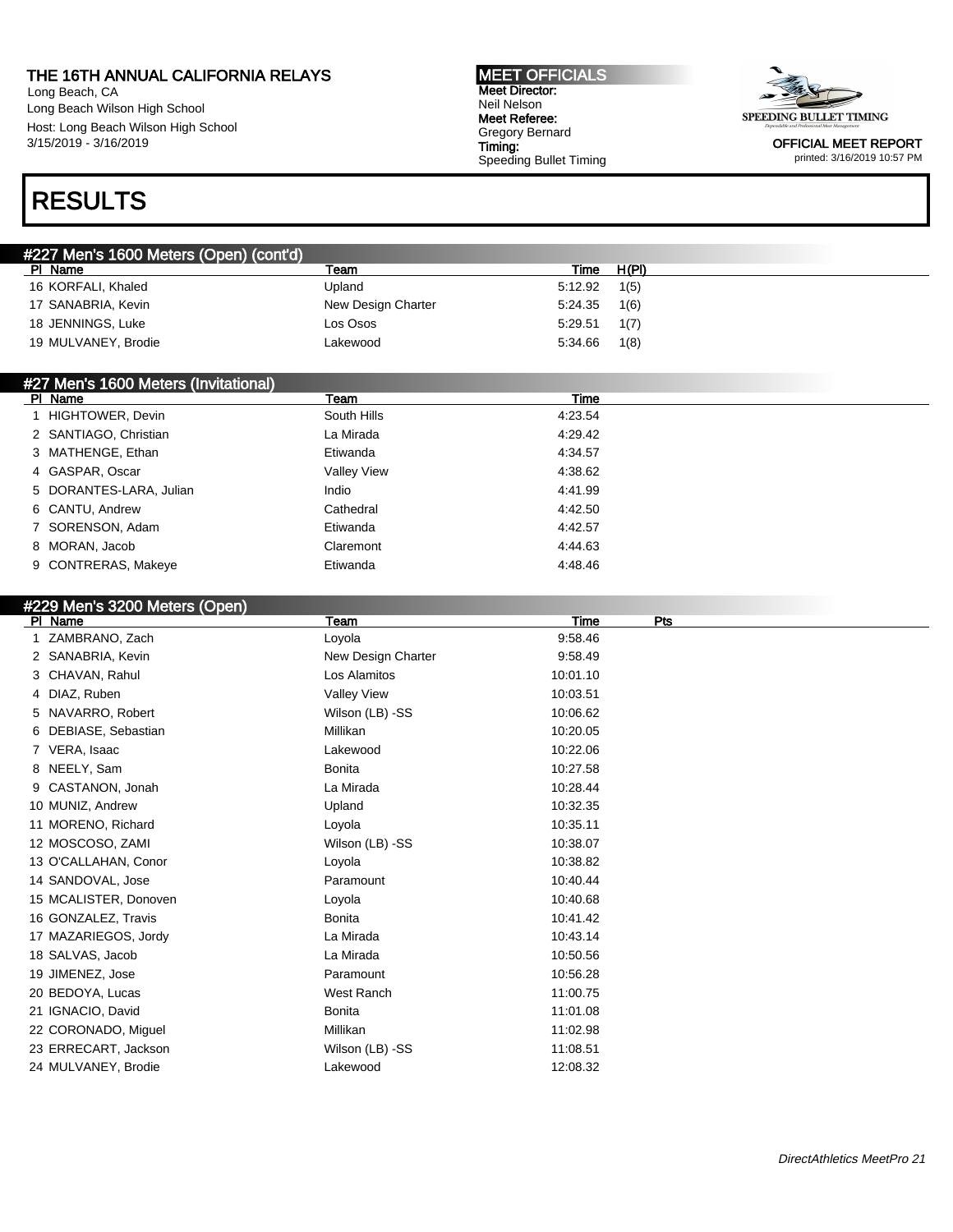Long Beach, CA Long Beach Wilson High School Host: Long Beach Wilson High School 3/15/2019 - 3/16/2019

#### MEET OFFICIALS Meet Director: Neil Nelson Meet Referee: Gregory Bernard Timing: Speeding Bullet Timing



OFFICIAL MEET REPORT printed: 3/16/2019 10:57 PM

### RESULTS

| #227 Men's 1600 Meters (Open) (cont'd) |                    |         |       |  |
|----------------------------------------|--------------------|---------|-------|--|
| PI Name                                | Team               | Time    | H(PI) |  |
| 16 KORFALI, Khaled                     | Upland             | 5:12.92 | 1(5)  |  |
| 17 SANABRIA, Kevin                     | New Design Charter | 5:24.35 | 1(6)  |  |
| 18 JENNINGS, Luke                      | Los Osos           | 5:29.51 | 1(7)  |  |
| 19 MULVANEY, Brodie                    | Lakewood           | 5:34.66 | 1(8)  |  |

#### #27 Men's 1600 Meters (Invitational)<br>| Pl Name PI Name Team Time Team Team Team Team Time Time Time Time  $\sim$ 1 HIGHTOWER, Devin **South Hills** South Hills 4:23.54 2 SANTIAGO, Christian La Mirada 4:29.42 3 MATHENGE, Ethan **Etiwanda** Etiwanda 4:34.57 4 GASPAR, Oscar Cassett Controller and Mulley View Cassett At 238.62 5 DORANTES-LARA, Julian 1991 | Indio 1991 | Indio 14:41.99 6 CANTU, Andrew Cathedral 4:42.50 7 SORENSON, Adam Etiwanda 4:42.57 8 MORAN, Jacob Claremont Characteristic Control of the 4:44.63 9 CONTRERAS, Makeye **Etiwanda** Etiwanda 4:48.46

#### #229 Men's 3200 Meters (Open)

| Team               | <b>Time</b><br>Pts |
|--------------------|--------------------|
| Loyola             | 9:58.46            |
| New Design Charter | 9:58.49            |
| Los Alamitos       | 10:01.10           |
| Valley View        | 10:03.51           |
| Wilson (LB) -SS    | 10:06.62           |
| Millikan           | 10:20.05           |
| Lakewood           | 10:22.06           |
| <b>Bonita</b>      | 10:27.58           |
| La Mirada          | 10:28.44           |
| Upland             | 10:32.35           |
| Loyola             | 10:35.11           |
| Wilson (LB) -SS    | 10:38.07           |
| Loyola             | 10:38.82           |
| Paramount          | 10:40.44           |
| Loyola             | 10:40.68           |
| <b>Bonita</b>      | 10:41.42           |
| La Mirada          | 10:43.14           |
| La Mirada          | 10:50.56           |
| Paramount          | 10:56.28           |
| West Ranch         | 11:00.75           |
| <b>Bonita</b>      | 11:01.08           |
| Millikan           | 11:02.98           |
| Wilson (LB) -SS    | 11:08.51           |
| Lakewood           | 12:08.32           |
|                    |                    |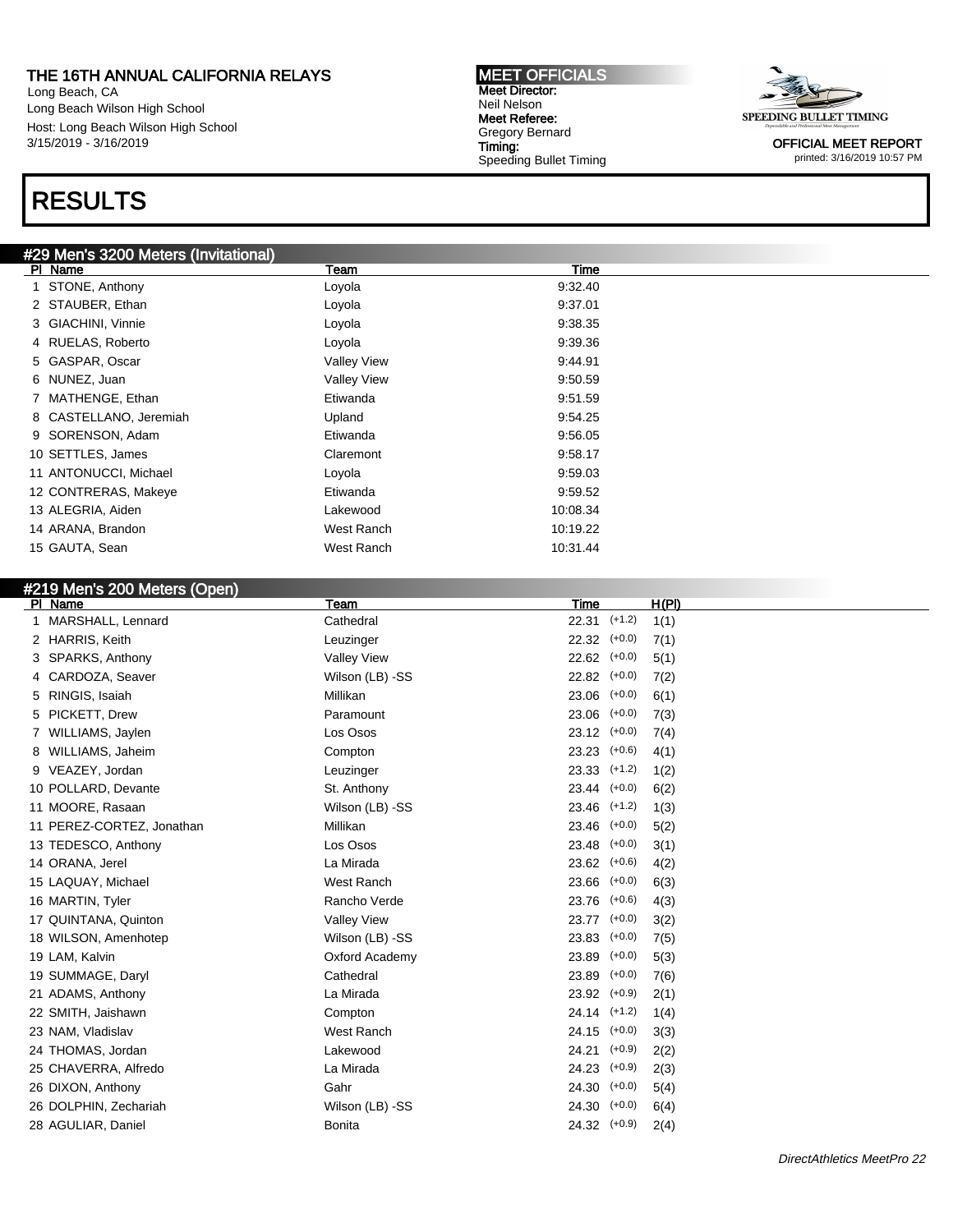Long Beach, CA Long Beach Wilson High School Host: Long Beach Wilson High School 3/15/2019 - 3/16/2019

## RESULTS

### #29 Men's 3200 Meters (Invitational)

| PI Name                | Team               | Time     |
|------------------------|--------------------|----------|
| 1 STONE, Anthony       | Loyola             | 9:32.40  |
| 2 STAUBER, Ethan       | Loyola             | 9:37.01  |
| 3 GIACHINI, Vinnie     | Loyola             | 9:38.35  |
| 4 RUELAS, Roberto      | Loyola             | 9:39.36  |
| 5 GASPAR, Oscar        | <b>Valley View</b> | 9:44.91  |
| 6 NUNEZ, Juan          | <b>Valley View</b> | 9:50.59  |
| 7 MATHENGE, Ethan      | Etiwanda           | 9:51.59  |
| 8 CASTELLANO, Jeremiah | Upland             | 9:54.25  |
| 9 SORENSON, Adam       | Etiwanda           | 9:56.05  |
| 10 SETTLES, James      | Claremont          | 9:58.17  |
| 11 ANTONUCCI, Michael  | Loyola             | 9.59.03  |
| 12 CONTRERAS, Makeye   | Etiwanda           | 9:59.52  |
| 13 ALEGRIA, Aiden      | Lakewood           | 10:08.34 |
| 14 ARANA, Brandon      | West Ranch         | 10:19.22 |
| 15 GAUTA, Sean         | West Ranch         | 10:31.44 |
|                        |                    |          |

| #219 Men's 200 Meters (Open) |  |  |
|------------------------------|--|--|
|                              |  |  |

| PI Name                   | Team               | <b>Time</b>       | H(PI) |
|---------------------------|--------------------|-------------------|-------|
| MARSHALL, Lennard<br>1.   | Cathedral          | $22.31$ (+1.2)    | 1(1)  |
| 2 HARRIS, Keith           | Leuzinger          | 22.32<br>$(+0.0)$ | 7(1)  |
| 3 SPARKS, Anthony         | <b>Valley View</b> | 22.62<br>$(+0.0)$ | 5(1)  |
| 4 CARDOZA, Seaver         | Wilson (LB) -SS    | 22.82<br>$(+0.0)$ | 7(2)  |
| 5 RINGIS, Isaiah          | Millikan           | 23.06<br>$(+0.0)$ | 6(1)  |
| 5 PICKETT, Drew           | Paramount          | 23.06<br>$(+0.0)$ | 7(3)  |
| 7 WILLIAMS, Jaylen        | Los Osos           | 23.12<br>$(+0.0)$ | 7(4)  |
| 8 WILLIAMS, Jaheim        | Compton            | 23.23<br>$(+0.6)$ | 4(1)  |
| 9 VEAZEY, Jordan          | Leuzinger          | $23.33$ $(+1.2)$  | 1(2)  |
| 10 POLLARD, Devante       | St. Anthony        | $23.44$ $(+0.0)$  | 6(2)  |
| 11 MOORE, Rasaan          | Wilson (LB) -SS    | 23.46<br>$(+1.2)$ | 1(3)  |
| 11 PEREZ-CORTEZ, Jonathan | Millikan           | 23.46<br>$(+0.0)$ | 5(2)  |
| 13 TEDESCO, Anthony       | Los Osos           | 23.48<br>$(+0.0)$ | 3(1)  |
| 14 ORANA, Jerel           | La Mirada          | 23.62<br>$(+0.6)$ | 4(2)  |
| 15 LAQUAY, Michael        | West Ranch         | 23.66<br>$(+0.0)$ | 6(3)  |
| 16 MARTIN, Tyler          | Rancho Verde       | 23.76<br>$(+0.6)$ | 4(3)  |
| 17 QUINTANA, Quinton      | <b>Valley View</b> | 23.77<br>$(+0.0)$ | 3(2)  |
| 18 WILSON, Amenhotep      | Wilson (LB) -SS    | 23.83<br>$(+0.0)$ | 7(5)  |
| 19 LAM, Kalvin            | Oxford Academy     | 23.89<br>$(+0.0)$ | 5(3)  |
| 19 SUMMAGE, Daryl         | Cathedral          | 23.89<br>$(+0.0)$ | 7(6)  |
| 21 ADAMS, Anthony         | La Mirada          | 23.92<br>$(+0.9)$ | 2(1)  |
| 22 SMITH, Jaishawn        | Compton            | $24.14$ $(+1.2)$  | 1(4)  |
| 23 NAM, Vladislav         | West Ranch         | 24.15<br>$(+0.0)$ | 3(3)  |
| 24 THOMAS, Jordan         | Lakewood           | 24.21<br>$(+0.9)$ | 2(2)  |
| 25 CHAVERRA, Alfredo      | La Mirada          | 24.23<br>$(+0.9)$ | 2(3)  |
| 26 DIXON, Anthony         | Gahr               | 24.30<br>$(+0.0)$ | 5(4)  |
| 26 DOLPHIN, Zechariah     | Wilson (LB) -SS    | $24.30$ $(+0.0)$  | 6(4)  |
| 28 AGULIAR, Daniel        | <b>Bonita</b>      | $24.32$ $(+0.9)$  | 2(4)  |
|                           |                    |                   |       |



Neil Nelson Meet Referee: Gregory Bernard Timing: Speeding Bullet Timing

MEET OFFICIALS Meet Director:

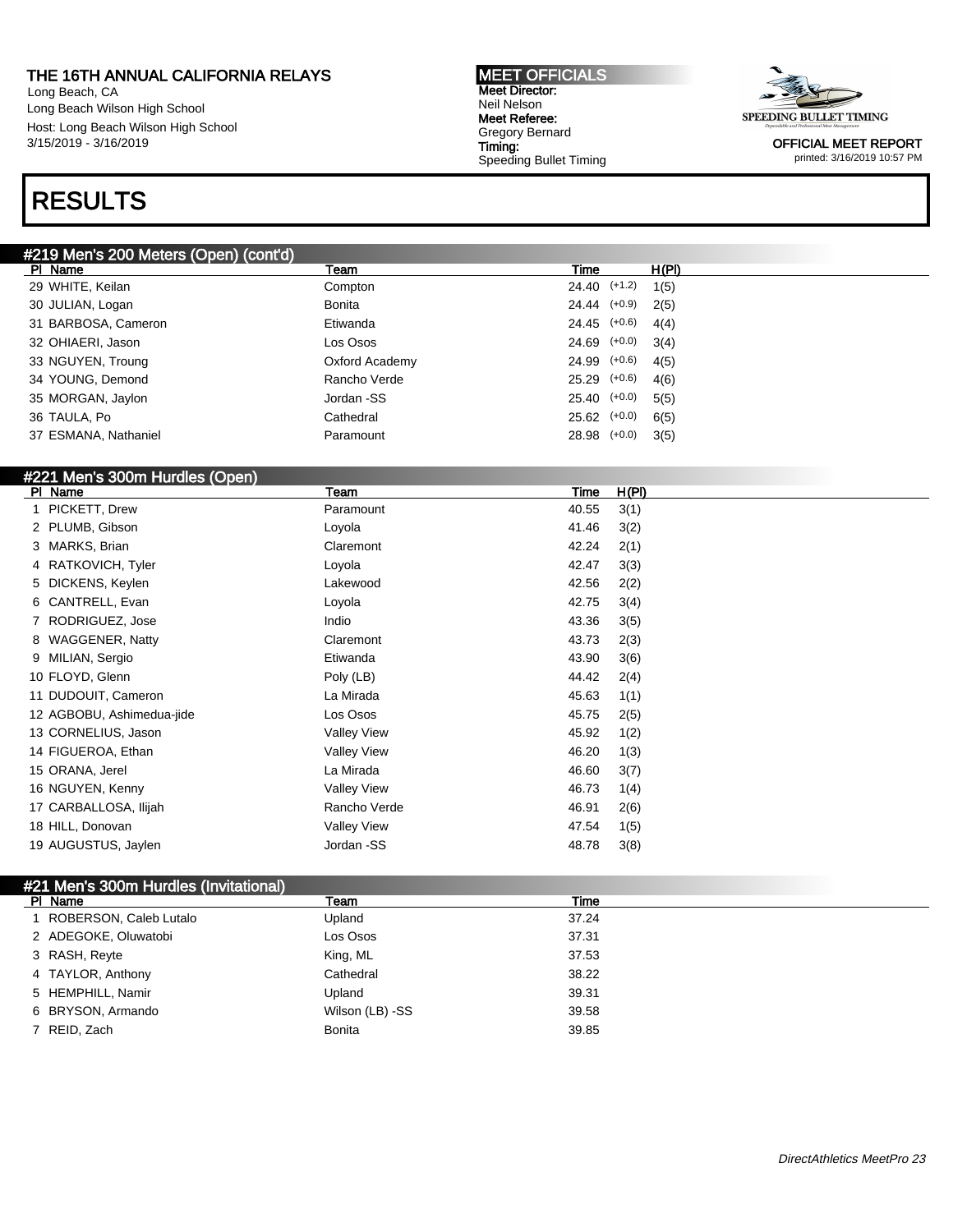Long Beach, CA Long Beach Wilson High School Host: Long Beach Wilson High School 3/15/2019 - 3/16/2019

## RESULTS

### #219 Men's 200 Meters (Open) (cont'd)

| PI Name              | Team           | Time             | H(PI) |
|----------------------|----------------|------------------|-------|
| 29 WHITE, Keilan     | Compton        | $24.40$ $(+1.2)$ | 1(5)  |
| 30 JULIAN, Logan     | Bonita         | $24.44$ $(+0.9)$ | 2(5)  |
| 31 BARBOSA, Cameron  | Etiwanda       | $24.45$ (+0.6)   | 4(4)  |
| 32 OHIAERI, Jason    | Los Osos       | $24.69$ $(+0.0)$ | 3(4)  |
| 33 NGUYEN, Troung    | Oxford Academy | $24.99$ $(+0.6)$ | 4(5)  |
| 34 YOUNG, Demond     | Rancho Verde   | $25.29$ $(+0.6)$ | 4(6)  |
| 35 MORGAN, Jaylon    | Jordan -SS     | $25.40$ $(+0.0)$ | 5(5)  |
| 36 TAULA, Po         | Cathedral      | $25.62$ $(+0.0)$ | 6(5)  |
| 37 ESMANA, Nathaniel | Paramount      | 28.98 (+0.0)     | 3(5)  |
|                      |                |                  |       |

### #221 Men's 300m Hurdles (Open)

| PI Name                   | Team               | Time  | H(PI) |
|---------------------------|--------------------|-------|-------|
| 1 PICKETT, Drew           | Paramount          | 40.55 | 3(1)  |
| 2 PLUMB, Gibson           | Loyola             | 41.46 | 3(2)  |
| 3 MARKS, Brian            | Claremont          | 42.24 | 2(1)  |
| 4 RATKOVICH, Tyler        | Loyola             | 42.47 | 3(3)  |
| 5 DICKENS, Keylen         | Lakewood           | 42.56 | 2(2)  |
| 6 CANTRELL, Evan          | Loyola             | 42.75 | 3(4)  |
| 7 RODRIGUEZ, Jose         | Indio              | 43.36 | 3(5)  |
| 8 WAGGENER, Natty         | Claremont          | 43.73 | 2(3)  |
| 9 MILIAN, Sergio          | Etiwanda           | 43.90 | 3(6)  |
| 10 FLOYD, Glenn           | Poly (LB)          | 44.42 | 2(4)  |
| 11 DUDOUIT, Cameron       | La Mirada          | 45.63 | 1(1)  |
| 12 AGBOBU, Ashimedua-jide | Los Osos           | 45.75 | 2(5)  |
| 13 CORNELIUS, Jason       | <b>Valley View</b> | 45.92 | 1(2)  |
| 14 FIGUEROA, Ethan        | <b>Valley View</b> | 46.20 | 1(3)  |
| 15 ORANA, Jerel           | La Mirada          | 46.60 | 3(7)  |
| 16 NGUYEN, Kenny          | <b>Valley View</b> | 46.73 | 1(4)  |
| 17 CARBALLOSA, Ilijah     | Rancho Verde       | 46.91 | 2(6)  |
| 18 HILL, Donovan          | <b>Valley View</b> | 47.54 | 1(5)  |
| 19 AUGUSTUS, Jaylen       | Jordan -SS         | 48.78 | 3(8)  |
|                           |                    |       |       |

#### #21 Men's 300m Hurdles (Invitational)

| PI Name                | Team            | Time  |  |
|------------------------|-----------------|-------|--|
| ROBERSON, Caleb Lutalo | Upland          | 37.24 |  |
| 2 ADEGOKE, Oluwatobi   | Los Osos        | 37.31 |  |
| 3 RASH, Reyte          | King, ML        | 37.53 |  |
| 4 TAYLOR, Anthony      | Cathedral       | 38.22 |  |
| 5 HEMPHILL, Namir      | Upland          | 39.31 |  |
| 6 BRYSON, Armando      | Wilson (LB) -SS | 39.58 |  |
| 7 REID, Zach           | <b>Bonita</b>   | 39.85 |  |

MEET OFFICIALS Meet Director: Neil Nelson Meet Referee: Gregory Bernard Timing: Speeding Bullet Timing

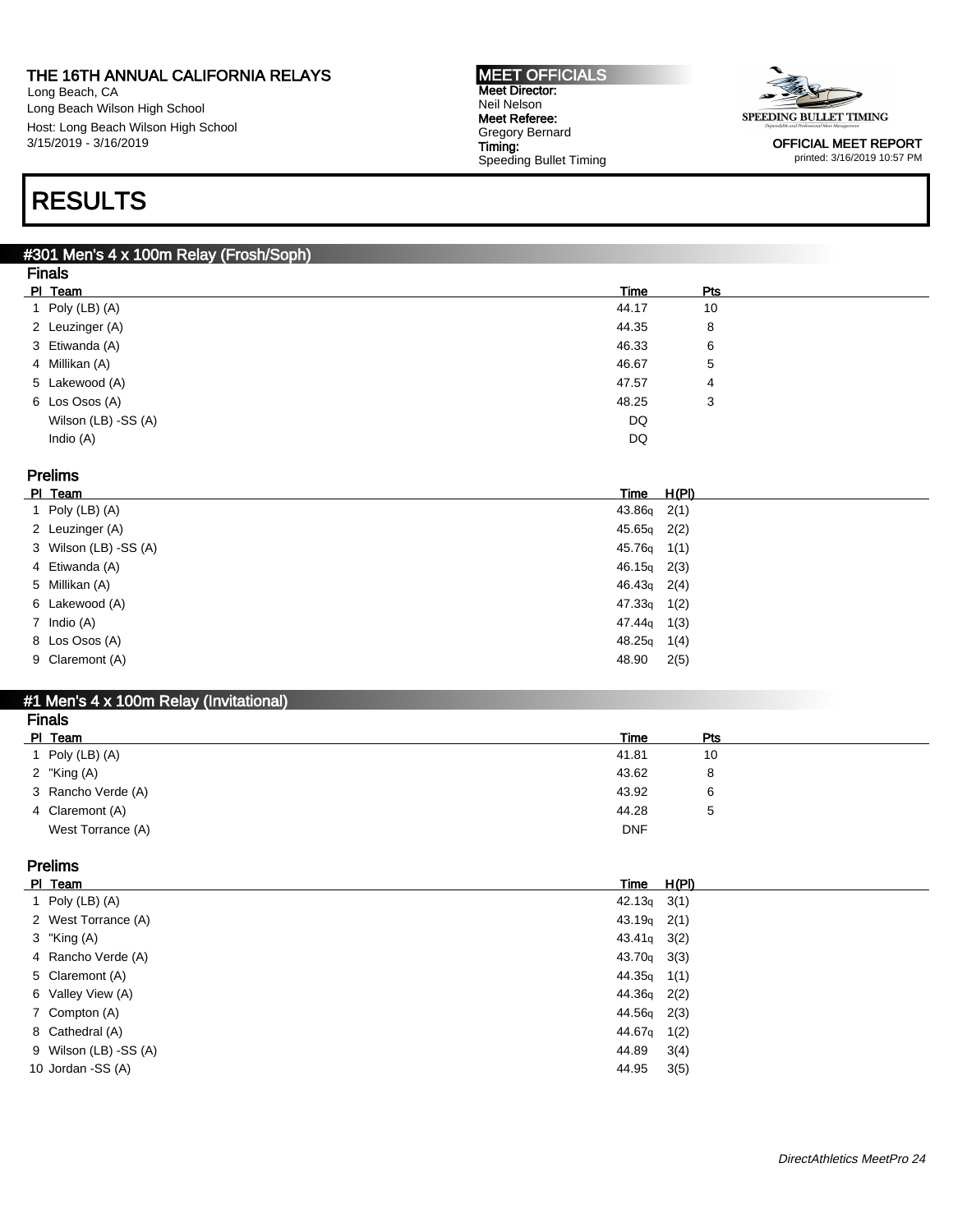Long Beach, CA Long Beach Wilson High School Host: Long Beach Wilson High School 3/15/2019 - 3/16/2019

#### MEET OFFICIALS Meet Director: Neil Nelson Meet Referee: Gregory Bernard Timing: Speeding Bullet Timing



OFFICIAL MEET REPORT printed: 3/16/2019 10:57 PM

## RESULTS

#### #301 Men's 4 x 100m Relay (Frosh/Soph) Finals

| <b>Finals</b>       |       |            |  |
|---------------------|-------|------------|--|
| PI Team             | Time  | <b>Pts</b> |  |
| 1 Poly $(LB)$ $(A)$ | 44.17 | 10         |  |
| 2 Leuzinger (A)     | 44.35 | 8          |  |
| 3 Etiwanda (A)      | 46.33 | 6          |  |
| 4 Millikan (A)      | 46.67 | 5          |  |
| 5 Lakewood (A)      | 47.57 | 4          |  |
| 6 Los Osos (A)      | 48.25 | 3          |  |
| Wilson (LB) -SS (A) | DQ    |            |  |
| Indio (A)           | DQ    |            |  |
|                     |       |            |  |

### Prelims

| PI Team               | Time          | <u>H(PI)</u> |
|-----------------------|---------------|--------------|
| 1 Poly $(LB)$ $(A)$   | $43.86q$ 2(1) |              |
| 2 Leuzinger (A)       | $45.65q$ 2(2) |              |
| 3 Wilson (LB) -SS (A) | $45.76q$ 1(1) |              |
| 4 Etiwanda (A)        | $46.15q$ 2(3) |              |
| 5 Millikan (A)        | $46.43q$ 2(4) |              |
| 6 Lakewood (A)        | $47.33q$ 1(2) |              |
| 7 Indio (A)           | $47.44q$ 1(3) |              |
| 8 Los Osos (A)        | $48.25q$ 1(4) |              |
| 9 Claremont (A)       | 48.90         | 2(5)         |

#### #1 Men's 4 x 100m Relay (Invitational) Finals

| .                  |             |     |
|--------------------|-------------|-----|
| PI Team            | <b>Time</b> | Pts |
| Poly (LB) (A)      | 41.81       | 10  |
| 2 "King (A)        | 43.62       | 8   |
| 3 Rancho Verde (A) | 43.92       | 6   |
| 4 Claremont (A)    | 44.28       | 5   |
| West Torrance (A)  | <b>DNF</b>  |     |
|                    |             |     |

#### Prelims

| PI Team               | Time               | <u>H(PI)</u> |
|-----------------------|--------------------|--------------|
| 1 Poly $(LB)$ $(A)$   | 42.13 <sub>9</sub> | 3(1)         |
| 2 West Torrance (A)   | $43.19q$ 2(1)      |              |
| 3 "King $(A)$         | $43.41q$ $3(2)$    |              |
| 4 Rancho Verde (A)    | 43.70 <sub>g</sub> | 3(3)         |
| 5 Claremont (A)       | 44.35 <sub>g</sub> | 1(1)         |
| 6 Valley View (A)     | 44.36 <sub>g</sub> | 2(2)         |
| 7 Compton (A)         | 44.56q             | 2(3)         |
| 8 Cathedral (A)       | 44.67 <sub>a</sub> | 1(2)         |
| 9 Wilson (LB) -SS (A) | 44.89              | 3(4)         |
| 10 Jordan -SS (A)     | 44.95              | 3(5)         |
|                       |                    |              |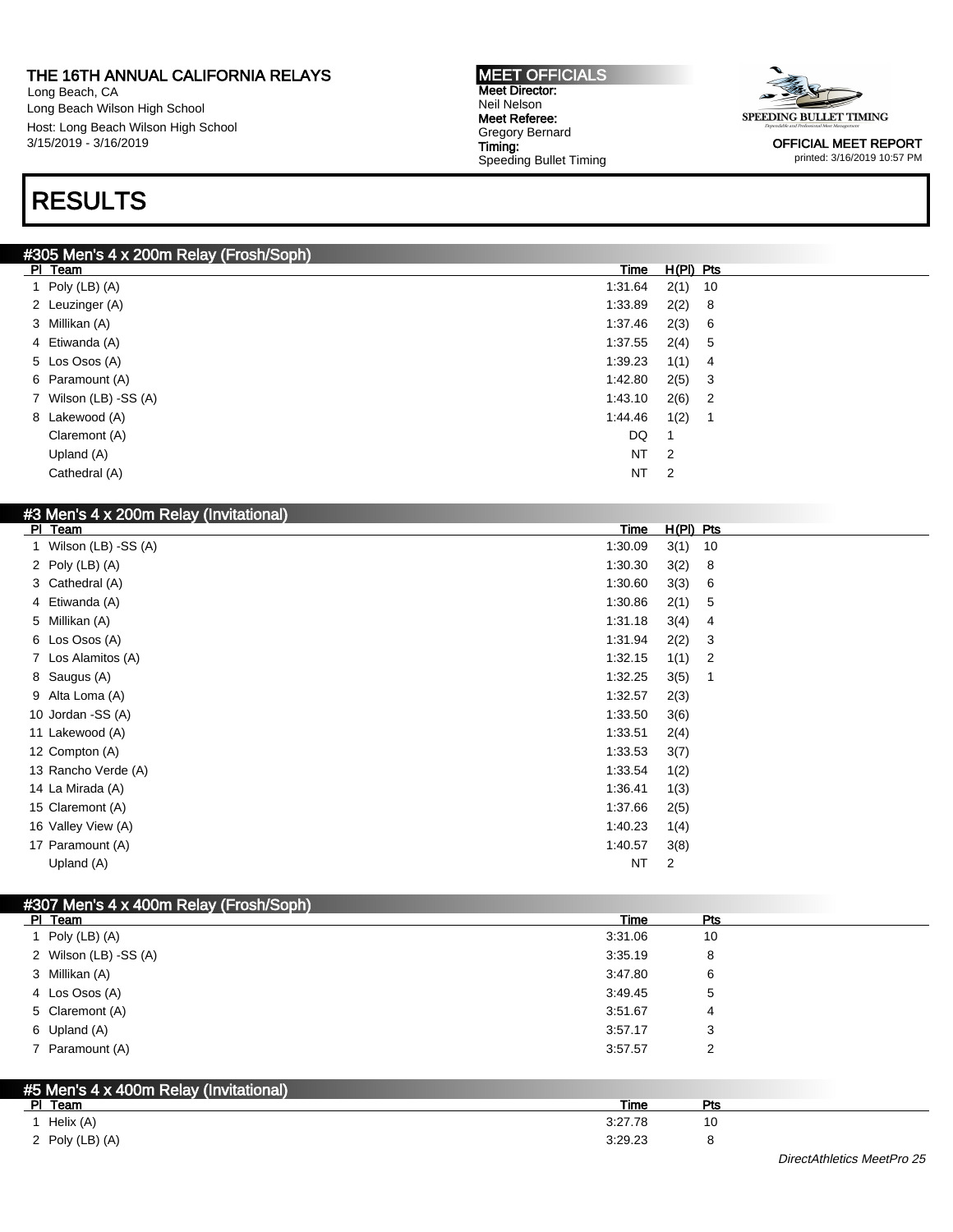Long Beach, CA Long Beach Wilson High School Host: Long Beach Wilson High School 3/15/2019 - 3/16/2019

## RESULTS

#### MEET OFFICIALS Meet Director: Neil Nelson Meet Referee: Gregory Bernard Timing: Speeding Bullet Timing



OFFICIAL MEET REPORT printed: 3/16/2019 10:57 PM

|                     | #305 Men's 4 x 200m Relay (Frosh/Soph) |                |     |
|---------------------|----------------------------------------|----------------|-----|
| PI Team             | Time                                   | $H(PI)$ Pts    |     |
| 1 Poly $(LB)$ $(A)$ | 1:31.64                                | $2(1)$ 10      |     |
| 2 Leuzinger (A)     | 1:33.89                                | 2(2)           | - 8 |
| 3 Millikan (A)      | 1:37.46                                | 2(3) 6         |     |
| 4 Etiwanda (A)      | 1:37.55                                | 2(4) 5         |     |
| 5 Los Osos (A)      | 1:39.23                                | 1(1)           | - 4 |
| 6 Paramount (A)     | 1:42.80                                | $2(5)$ 3       |     |
|                     | 7 Wilson (LB) -SS (A)<br>1:43.10       | $2(6)$ 2       |     |
| 8 Lakewood (A)      | 1:44.46                                | 1(2)           |     |
|                     | DQ<br>Claremont (A)                    | 1              |     |
| Upland (A)          | NT                                     | $\overline{2}$ |     |
|                     | <b>NT</b><br>Cathedral (A)             | $\overline{2}$ |     |

|         | #3 Men's 4 x 200m Relay (Invitational) |             |             |                |
|---------|----------------------------------------|-------------|-------------|----------------|
| PI Team |                                        | <b>Time</b> | $H(PI)$ Pts |                |
|         | 1 Wilson (LB) -SS (A)                  | 1:30.09     | 3(1)        | 10             |
|         | 2 Poly $(LB)$ $(A)$                    | 1:30.30     | 3(2)        | 8              |
|         | 3 Cathedral (A)                        | 1:30.60     | 3(3)        | 6              |
|         | 4 Etiwanda (A)                         | 1:30.86     | 2(1)        | 5              |
|         | 5 Millikan (A)                         | 1:31.18     | 3(4)        | 4              |
|         | 6 Los Osos (A)                         | 1:31.94     | 2(2)        | 3              |
|         | 7 Los Alamitos (A)                     | 1:32.15     | 1(1)        | $\overline{2}$ |
|         | 8 Saugus (A)                           | 1:32.25     | 3(5)        | 1              |
|         | 9 Alta Loma (A)                        | 1:32.57     | 2(3)        |                |
|         | 10 Jordan - SS (A)                     | 1:33.50     | 3(6)        |                |
|         | 11 Lakewood (A)                        | 1:33.51     | 2(4)        |                |
|         | 12 Compton (A)                         | 1:33.53     | 3(7)        |                |
|         | 13 Rancho Verde (A)                    | 1:33.54     | 1(2)        |                |
|         | 14 La Mirada (A)                       | 1:36.41     | 1(3)        |                |
|         | 15 Claremont (A)                       | 1:37.66     | 2(5)        |                |
|         | 16 Valley View (A)                     | 1:40.23     | 1(4)        |                |
|         | 17 Paramount (A)                       | 1:40.57     | 3(8)        |                |
|         | Upland (A)                             | <b>NT</b>   | 2           |                |

|                | #307 Men's 4 x 400m Relay (Frosh/Soph) |                    |     |
|----------------|----------------------------------------|--------------------|-----|
| PI Team        |                                        | Time               | Pts |
|                | 1 Poly $(LB)$ $(A)$<br>3:31.06         | 10                 |     |
|                | 2 Wilson (LB) -SS (A)<br>3:35.19       | 8                  |     |
| 3 Millikan (A) | 3:47.80                                | 6                  |     |
|                | 4 Los Osos (A)<br>3:49.45              | 5                  |     |
|                | 5 Claremont (A)<br>3:51.67             | 4                  |     |
| 6 Upland (A)   | 3:57.17                                | 3                  |     |
|                | 7 Paramount (A)<br>3:57.57             | 2                  |     |
|                |                                        |                    |     |
|                | #5 Men's 4 x 400m Relay (Invitational) |                    |     |
| PI Team        |                                        | <b>Pts</b><br>Time |     |
| 1 Helix (A)    | 3:27.78                                | 10                 |     |

2 Poly (LB) (A) 3:29.23 8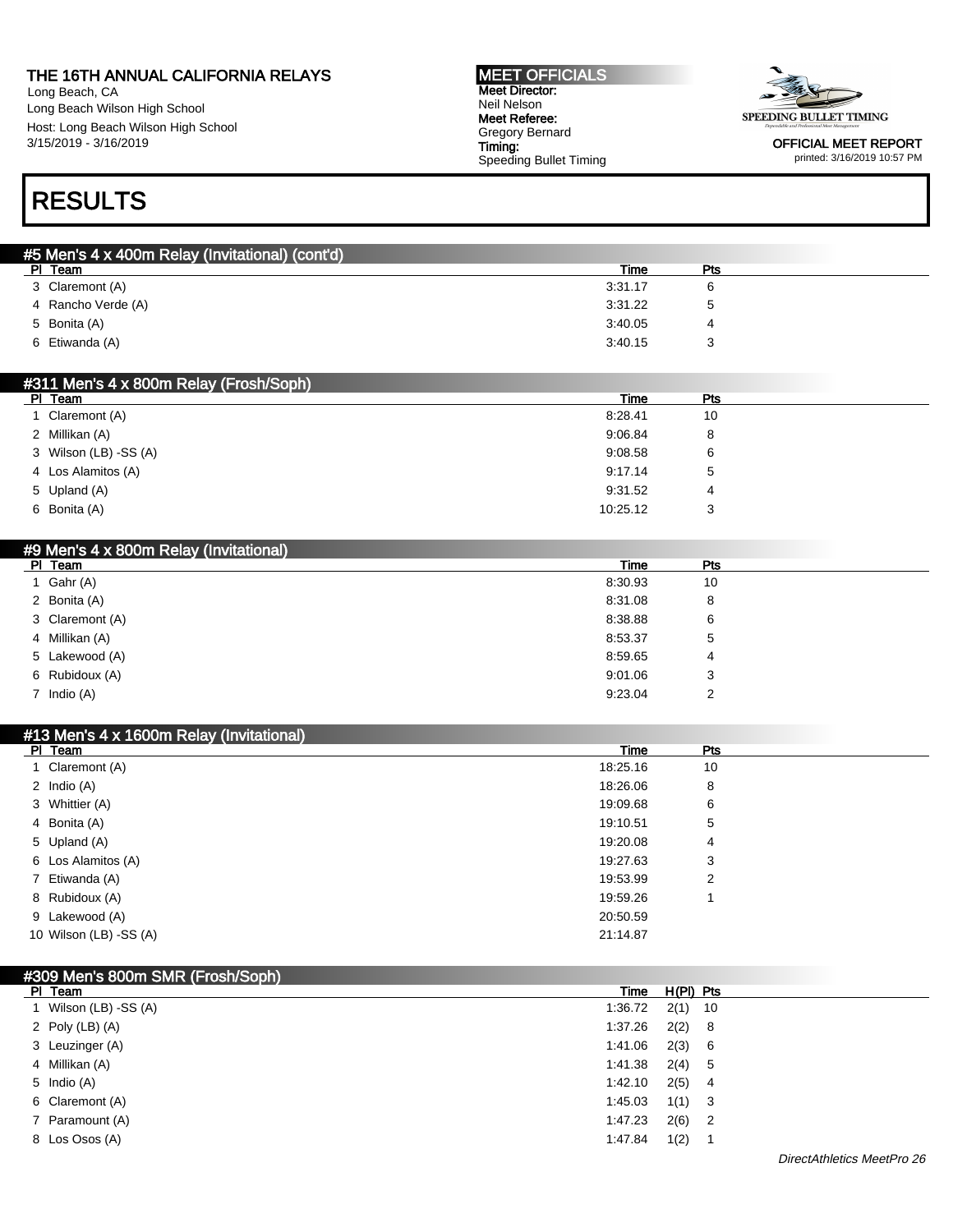Long Beach, CA Long Beach Wilson High School Host: Long Beach Wilson High School 3/15/2019 - 3/16/2019

#### MEET OFFICIALS Meet Director: Neil Nelson Meet Referee: Gregory Bernard Timing: Speeding Bullet Timing



OFFICIAL MEET REPORT printed: 3/16/2019 10:57 PM

### RESULTS

| Time    | Pts |  |
|---------|-----|--|
| 3:31.17 |     |  |
| 3:31.22 |     |  |
| 3:40.05 |     |  |
| 3:40.15 |     |  |
|         |     |  |

| #311 Men's 4 x 800m Relay (Frosh/Soph) |          |            |  |  |  |  |
|----------------------------------------|----------|------------|--|--|--|--|
| PI Team                                | Time     | <b>Pts</b> |  |  |  |  |
| Claremont (A)                          | 8:28.41  | 10         |  |  |  |  |
| 2 Millikan (A)                         | 9:06.84  | 8          |  |  |  |  |
| 3 Wilson (LB) -SS (A)                  | 9:08.58  | 6          |  |  |  |  |
| 4 Los Alamitos (A)                     | 9:17.14  | 5          |  |  |  |  |
| 5 Upland (A)                           | 9:31.52  | 4          |  |  |  |  |
| 6 Bonita (A)                           | 10:25.12 |            |  |  |  |  |

#### #9 Men's 4 x 800m Relay (Invitational)

| PI Team         | Time    | Pts |  |
|-----------------|---------|-----|--|
| 1 Gahr $(A)$    | 8:30.93 | 10  |  |
| 2 Bonita (A)    | 8:31.08 | 8   |  |
| 3 Claremont (A) | 8:38.88 | 6   |  |
| 4 Millikan (A)  | 8:53.37 | 5   |  |
| 5 Lakewood (A)  | 8:59.65 | 4   |  |
| 6 Rubidoux (A)  | 9:01.06 | 3   |  |
| 7 Indio (A)     | 9:23.04 | 2   |  |

|               | #13 Men's 4 x 1600m Relay (Invitational) |             |  |
|---------------|------------------------------------------|-------------|--|
| PI Team       |                                          | Pts<br>Time |  |
|               | 1 Claremont (A)<br>18:25.16              | 10          |  |
| 2 Indio $(A)$ | 18:26.06                                 | 8           |  |
|               | 3 Whittier (A)<br>19:09.68               | 6           |  |
| 4 Bonita (A)  | 19:10.51                                 | 5           |  |
|               | 5 Upland (A)<br>19:20.08                 | 4           |  |
|               | 6 Los Alamitos (A)<br>19:27.63           | 3           |  |
|               | 7 Etiwanda (A)<br>19:53.99               | 2           |  |
|               | 8 Rubidoux (A)<br>19:59.26               |             |  |
|               | 9 Lakewood (A)<br>20:50.59               |             |  |
|               | 10 Wilson (LB) -SS (A)<br>21:14.87       |             |  |

| #309 Men's 800m SMR (Frosh/Soph) |         |             |     |  |
|----------------------------------|---------|-------------|-----|--|
| PI Team                          | Time    | $H(PI)$ Pts |     |  |
| 1 Wilson (LB) -SS (A)            | 1:36.72 | $2(1)$ 10   |     |  |
| 2 Poly $(LB)$ $(A)$              | 1:37.26 | $2(2)$ 8    |     |  |
| 3 Leuzinger (A)                  | 1:41.06 | 2(3) 6      |     |  |
| 4 Millikan (A)                   | 1:41.38 | $2(4)$ 5    |     |  |
| 5 Indio (A)                      | 1:42.10 | $2(5)$ 4    |     |  |
| 6 Claremont (A)                  | 1:45.03 | $1(1)$ 3    |     |  |
| 7 Paramount (A)                  | 1:47.23 | $2(6)$ 2    |     |  |
| 8 Los Osos (A)                   | 1:47.84 | 1(2)        | - 1 |  |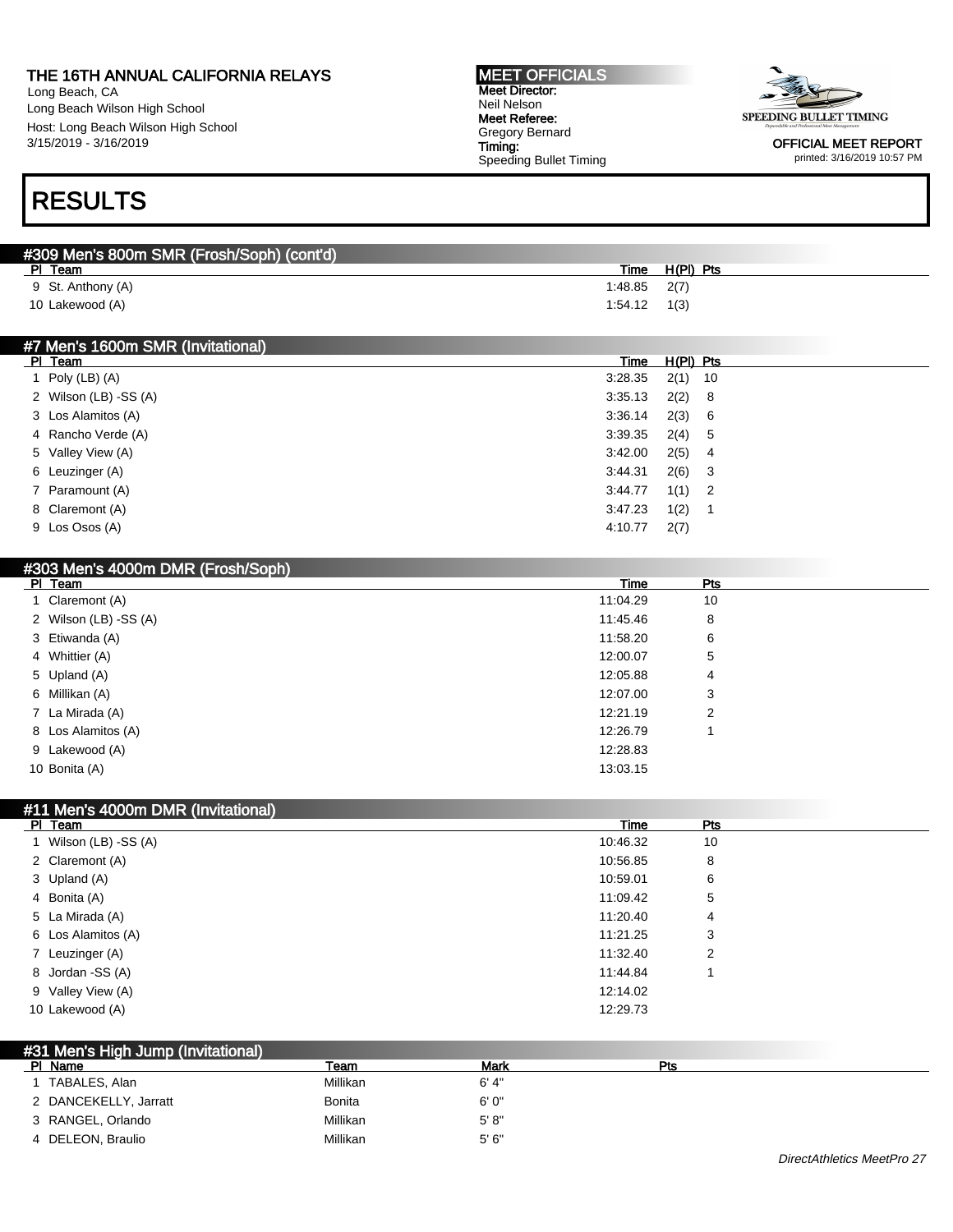Long Beach, CA Long Beach Wilson High School Host: Long Beach Wilson High School 3/15/2019 - 3/16/2019

# RESULTS

| Time | H(PI) Pts |                             |
|------|-----------|-----------------------------|
|      |           |                             |
|      | 1(3)      |                             |
|      |           | $1:48.85$ $2(7)$<br>1.54.12 |

MEET OFFICIALS Meet Director: Neil Nelson Meet Referee: Gregory Bernard Timing:

Speeding Bullet Timing

#### #7 Men's 1600m SMR (Invitational)

| PI Team               | Time | $H(PI)$ Pts                                                                                     |  |
|-----------------------|------|-------------------------------------------------------------------------------------------------|--|
| Poly (LB) (A)         |      | $2(1)$ 10                                                                                       |  |
| 2 Wilson (LB) -SS (A) |      | $2(2)$ 8                                                                                        |  |
| 3 Los Alamitos (A)    |      | 2(3) 6                                                                                          |  |
| 4 Rancho Verde (A)    |      | 2(4) 5                                                                                          |  |
| 5 Valley View (A)     |      | $2(5)$ 4                                                                                        |  |
| 6 Leuzinger (A)       |      | $2(6)$ 3                                                                                        |  |
| 7 Paramount (A)       |      | $1(1)$ 2                                                                                        |  |
| 8 Claremont (A)       |      | 1(2)                                                                                            |  |
| 9 Los Osos (A)        |      | 2(7)                                                                                            |  |
|                       |      | 3:28.35<br>3:35.13<br>3:36.14<br>3:39.35<br>3:42.00<br>3:44.31<br>3:44.77<br>3:47.23<br>4:10.77 |  |

| #303 Men's 4000m DMR (Frosh/Soph) |          |     |  |
|-----------------------------------|----------|-----|--|
| PI Team                           | Time     | Pts |  |
| 1 Claremont (A)                   | 11:04.29 | 10  |  |
| 2 Wilson (LB) -SS (A)             | 11:45.46 | 8   |  |
| 3 Etiwanda (A)                    | 11:58.20 | 6   |  |
| 4 Whittier (A)                    | 12:00.07 | 5   |  |
| 5 Upland (A)                      | 12:05.88 | 4   |  |
| 6 Millikan (A)                    | 12:07.00 | 3   |  |
| 7 La Mirada (A)                   | 12:21.19 | 2   |  |
| 8 Los Alamitos (A)                | 12:26.79 |     |  |
| 9 Lakewood (A)                    | 12:28.83 |     |  |
| 10 Bonita (A)                     | 13:03.15 |     |  |

#### #11 Men's 4000m DMR (Invitational)

| Team<br><b>PI</b>   | Time     | Pts |  |
|---------------------|----------|-----|--|
| Wilson (LB) -SS (A) | 10:46.32 | 10  |  |
| 2 Claremont (A)     | 10:56.85 | 8   |  |
| 3 Upland (A)        | 10:59.01 | 6   |  |
| 4 Bonita (A)        | 11:09.42 | 5   |  |
| 5 La Mirada (A)     | 11:20.40 | 4   |  |
| 6 Los Alamitos (A)  | 11:21.25 | 3   |  |
| 7 Leuzinger (A)     | 11:32.40 | 2   |  |
| 8 Jordan - SS (A)   | 11:44.84 |     |  |
| 9 Valley View (A)   | 12:14.02 |     |  |
| 10 Lakewood (A)     | 12:29.73 |     |  |

| #31 Men's High Jump (Invitational) |               |        |     |                            |
|------------------------------------|---------------|--------|-----|----------------------------|
| PI Name                            | Team          | Mark   | Pts |                            |
| TABALES, Alan                      | Millikan      | 6' 4'' |     |                            |
| 2 DANCEKELLY, Jarratt              | <b>Bonita</b> | 6'0''  |     |                            |
| 3 RANGEL, Orlando                  | Millikan      | 5' 8'' |     |                            |
| 4 DELEON, Braulio                  | Millikan      | 5'6''  |     |                            |
|                                    |               |        |     | DirectAthletics MeetPro 27 |

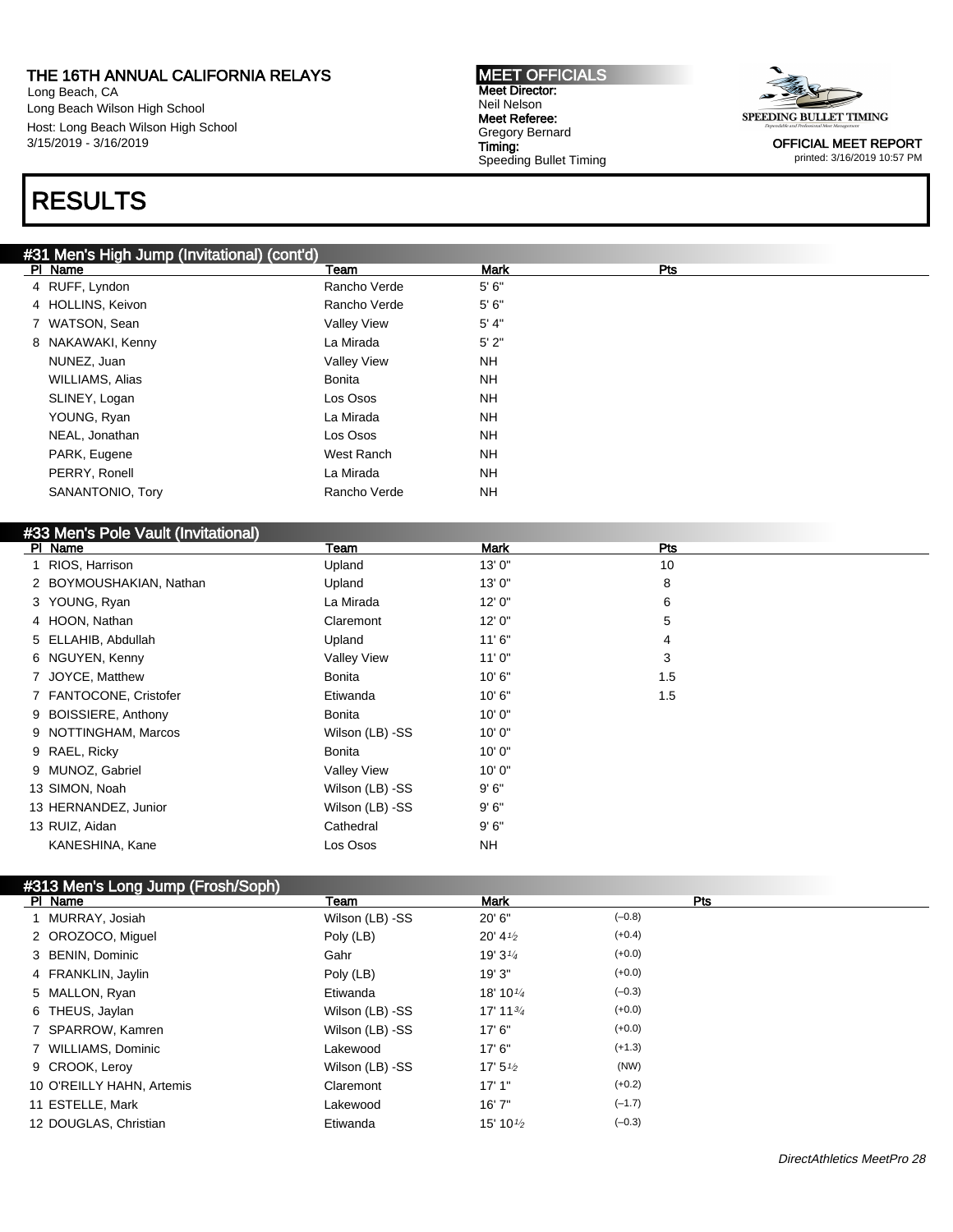Long Beach, CA Long Beach Wilson High School Host: Long Beach Wilson High School 3/15/2019 - 3/16/2019

## RESULTS

### #31 Men's High Jump (Invitational) (cont'd)

| PI Name           | Team               | <b>Mark</b> | Pts |
|-------------------|--------------------|-------------|-----|
| 4 RUFF, Lyndon    | Rancho Verde       | 5'6''       |     |
| 4 HOLLINS, Keivon | Rancho Verde       | 5'6''       |     |
| 7 WATSON, Sean    | <b>Valley View</b> | 5' 4"       |     |
| 8 NAKAWAKI, Kenny | La Mirada          | 5'2"        |     |
| NUNEZ, Juan       | <b>Valley View</b> | <b>NH</b>   |     |
| WILLIAMS, Alias   | <b>Bonita</b>      | <b>NH</b>   |     |
| SLINEY, Logan     | Los Osos           | <b>NH</b>   |     |
| YOUNG, Ryan       | La Mirada          | <b>NH</b>   |     |
| NEAL, Jonathan    | Los Osos           | <b>NH</b>   |     |
| PARK, Eugene      | West Ranch         | <b>NH</b>   |     |
| PERRY, Ronell     | La Mirada          | <b>NH</b>   |     |
| SANANTONIO, Tory  | Rancho Verde       | NH          |     |

#### #33 Men's Pole Vault (Invitational)

| PI Name                 | Team               | <b>Mark</b> | <b>Pts</b> |
|-------------------------|--------------------|-------------|------------|
| 1 RIOS, Harrison        | Upland             | 13' 0"      | 10         |
| 2 BOYMOUSHAKIAN, Nathan | Upland             | 13'0''      | 8          |
| 3 YOUNG, Ryan           | La Mirada          | 12'0''      | 6          |
| 4 HOON, Nathan          | Claremont          | 12'0''      | 5          |
| 5 ELLAHIB, Abdullah     | Upland             | 11'6''      | 4          |
| 6 NGUYEN, Kenny         | <b>Valley View</b> | 11'0''      | 3          |
| 7 JOYCE, Matthew        | Bonita             | 10'6"       | 1.5        |
| 7 FANTOCONE, Cristofer  | Etiwanda           | 10'6"       | 1.5        |
| 9 BOISSIERE, Anthony    | Bonita             | 10'0''      |            |
| 9 NOTTINGHAM, Marcos    | Wilson (LB) -SS    | 10'0''      |            |
| 9 RAEL, Ricky           | <b>Bonita</b>      | 10'0''      |            |
| 9 MUNOZ, Gabriel        | <b>Valley View</b> | 10'0''      |            |
| 13 SIMON, Noah          | Wilson (LB) -SS    | 9'6''       |            |
| 13 HERNANDEZ, Junior    | Wilson (LB) -SS    | 9'6''       |            |
| 13 RUIZ, Aidan          | Cathedral          | 9'6''       |            |
| KANESHINA, Kane         | Los Osos           | <b>NH</b>   |            |

### #313 Men's Long Jump (Frosh/Soph)

| _______<br>PI Name        | Team            | <b>Mark</b>          | Pts      |
|---------------------------|-----------------|----------------------|----------|
| 1 MURRAY, Josiah          | Wilson (LB) -SS | 20'6''               | $(-0.8)$ |
| 2 OROZOCO, Miguel         | Poly (LB)       | $20' 4\frac{1}{2}$   | $(+0.4)$ |
| 3 BENIN, Dominic          | Gahr            | 19' $3\frac{1}{4}$   | $(+0.0)$ |
| 4 FRANKLIN, Jaylin        | Poly (LB)       | 19'3"                | $(+0.0)$ |
| 5 MALLON, Ryan            | Etiwanda        | 18' 10 $\frac{1}{4}$ | $(-0.3)$ |
| 6 THEUS, Jaylan           | Wilson (LB) -SS | 17' 11 $\frac{3}{4}$ | $(+0.0)$ |
| 7 SPARROW, Kamren         | Wilson (LB) -SS | 17'6''               | $(+0.0)$ |
| 7 WILLIAMS, Dominic       | Lakewood        | 17'6''               | $(+1.3)$ |
| 9 CROOK, Leroy            | Wilson (LB) -SS | 17' $5\frac{1}{2}$   | (NW)     |
| 10 O'REILLY HAHN, Artemis | Claremont       | 17'1"                | $(+0.2)$ |
| 11 ESTELLE, Mark          | Lakewood        | 16'7''               | $(-1.7)$ |
| 12 DOUGLAS, Christian     | Etiwanda        | 15' 10 $\frac{1}{2}$ | $(-0.3)$ |

OFFICIAL MEET REPORT

Gregory Bernard Speeding Bullet Timing

MEET OFFICIALS Meet Director: Neil Nelson Meet Referee:

Timing:



printed: 3/16/2019 10:57 PM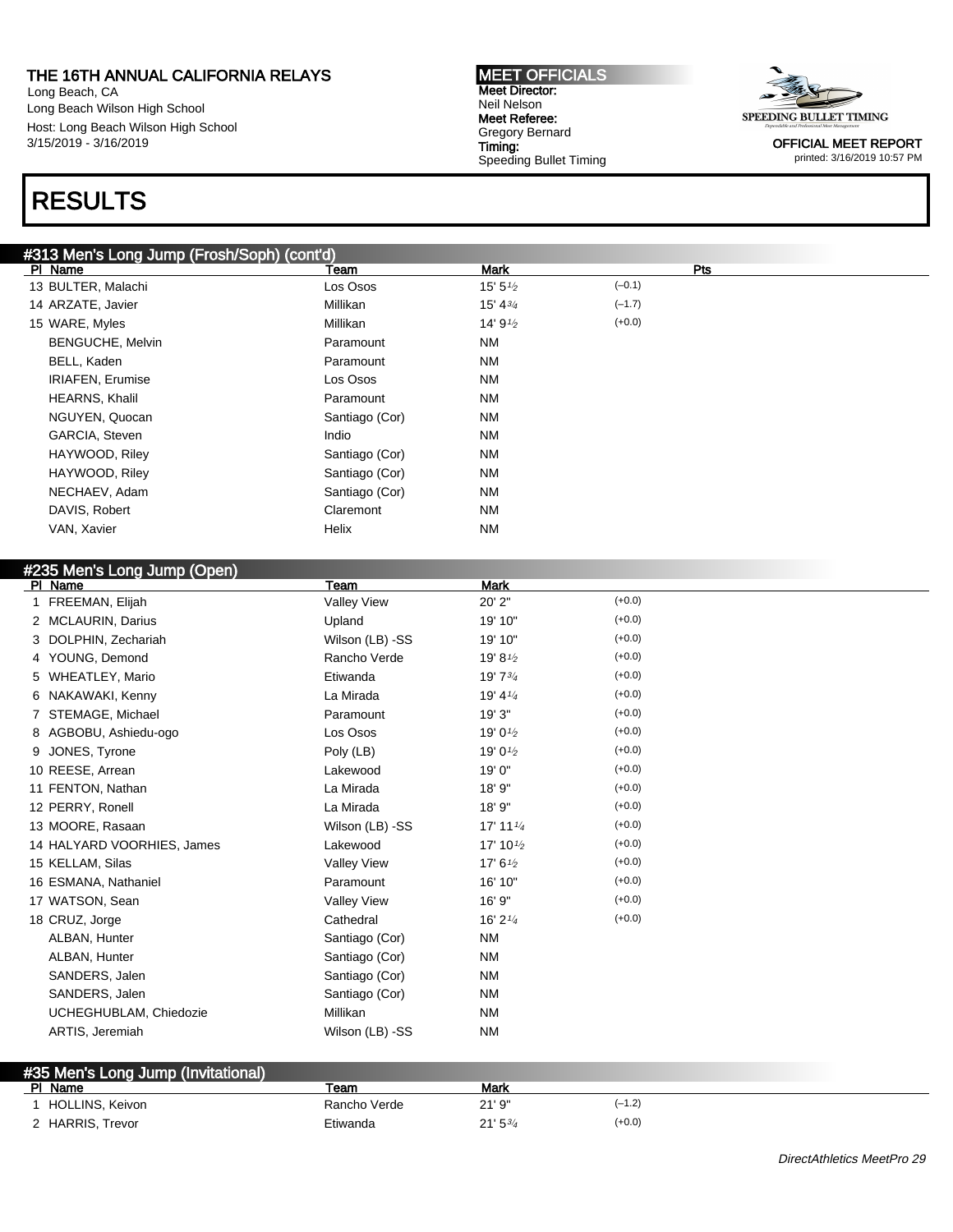Long Beach, CA Long Beach Wilson High School Host: Long Beach Wilson High School 3/15/2019 - 3/16/2019

### RESULTS

### #313 Men's Long Jump (Frosh/Soph) (cont'd)

PI Name **Team Mark Propose Propose Propose** Propose Propose Propose Propose Propose Propose Propose Propose Pro 13 BULTER, Malachi Los Osos 15' 5<sup>1</sup>/2  $(-0.1)$ 14 ARZATE, Javier **15' 43/4** Millikan Millikan 15' 43/4  $(-1.7)$ 15 WARE, Myles **Millikan**  $14' 9<sup>1</sup>⁄<sub>2</sub>$  $(+0.0)$ BENGUCHE, Melvin **Paramount** Paramount NM BELL, Kaden NM IRIAFEN, Erumise Los Osos NM HEARNS, Khalil NM Paramount NM NGUYEN, Quocan Santiago (Cor) NM GARCIA, Steven **Indio** Indio NM HAYWOOD, Riley **Santiago** (Cor) NM HAYWOOD, Riley Santiago (Cor) NM NECHAEV, Adam Santiago (Cor) NM DAVIS, Robert NM VAN, Xavier NM

| #235 Men's Long Jump (Open) |                    |                        |          |
|-----------------------------|--------------------|------------------------|----------|
| PI Name                     | Team               | <b>Mark</b>            |          |
| 1 FREEMAN, Elijah           | <b>Valley View</b> | 20' 2"                 | $(+0.0)$ |
| 2 MCLAURIN, Darius          | Upland             | 19' 10"                | $(+0.0)$ |
| 3 DOLPHIN, Zechariah        | Wilson (LB) -SS    | 19' 10"                | $(+0.0)$ |
| 4 YOUNG, Demond             | Rancho Verde       | 19' 81/2               | $(+0.0)$ |
| 5 WHEATLEY, Mario           | Etiwanda           | 19' 73/4               | $(+0.0)$ |
| 6 NAKAWAKI, Kenny           | La Mirada          | 19' $4\frac{1}{4}$     | $(+0.0)$ |
| 7 STEMAGE, Michael          | Paramount          | 19' 3"                 | $(+0.0)$ |
| 8 AGBOBU, Ashiedu-ogo       | Los Osos           | 19' 01/2               | $(+0.0)$ |
| 9 JONES, Tyrone             | Poly (LB)          | 19' 0 $\frac{1}{2}$    | $(+0.0)$ |
| 10 REESE, Arrean            | Lakewood           | 19' 0"                 | $(+0.0)$ |
| 11 FENTON, Nathan           | La Mirada          | 18' 9"                 | $(+0.0)$ |
| 12 PERRY, Ronell            | La Mirada          | 18' 9"                 | $(+0.0)$ |
| 13 MOORE, Rasaan            | Wilson (LB) -SS    | $17'$ 11 $\frac{1}{4}$ | $(+0.0)$ |
| 14 HALYARD VOORHIES, James  | Lakewood           | 17' 10 $\frac{1}{2}$   | $(+0.0)$ |
| 15 KELLAM, Silas            | <b>Valley View</b> | 17' $6\frac{1}{2}$     | $(+0.0)$ |
| 16 ESMANA, Nathaniel        | Paramount          | 16' 10"                | $(+0.0)$ |
| 17 WATSON, Sean             | <b>Valley View</b> | 16' 9"                 | $(+0.0)$ |
| 18 CRUZ, Jorge              | Cathedral          | 16' $2\frac{1}{4}$     | $(+0.0)$ |
| ALBAN, Hunter               | Santiago (Cor)     | <b>NM</b>              |          |
| ALBAN, Hunter               | Santiago (Cor)     | <b>NM</b>              |          |
| SANDERS, Jalen              | Santiago (Cor)     | <b>NM</b>              |          |
| SANDERS, Jalen              | Santiago (Cor)     | <b>NM</b>              |          |
| UCHEGHUBLAM, Chiedozie      | Millikan           | <b>NM</b>              |          |
| ARTIS, Jeremiah             | Wilson (LB) -SS    | <b>NM</b>              |          |
|                             |                    |                        |          |

| #35 Men's Long Jump (Invitational) |                  |              |              |          |
|------------------------------------|------------------|--------------|--------------|----------|
|                                    | PI Name          | Team         | Mark         |          |
|                                    | HOLLINS, Keivon  | Rancho Verde | 21'9''       | (–1.2)   |
|                                    | 2 HARRIS, Trevor | Etiwanda     | $21'5^{3/4}$ | $(+0.0)$ |

OFFICIAL MEET REPORT printed: 3/16/2019 10:57 PM

DirectAthletics MeetPro 29

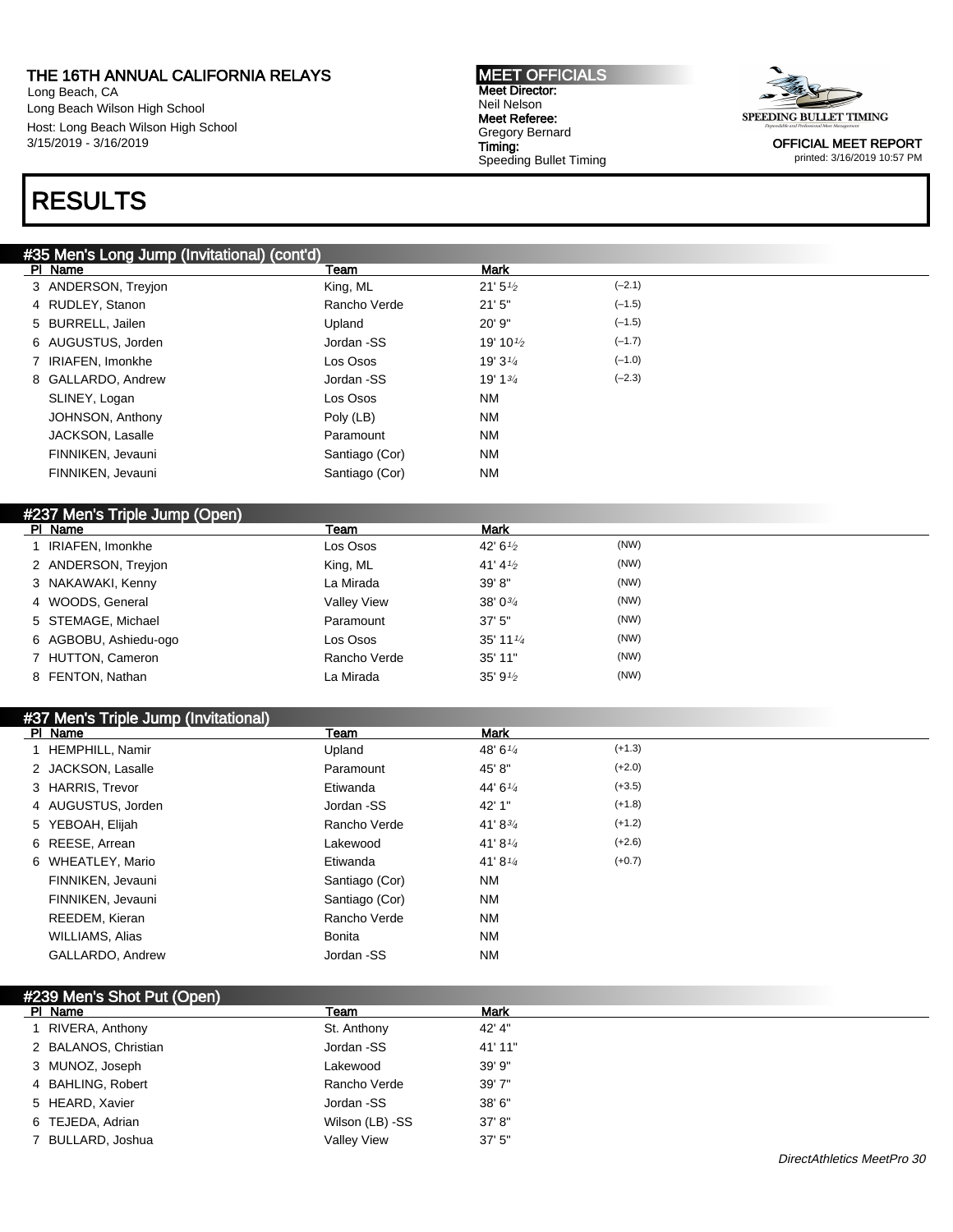Long Beach, CA Long Beach Wilson High School Host: Long Beach Wilson High School 3/15/2019 - 3/16/2019

## RESULTS

#### #35 Men's Long Jump (Invitational) (cont'd)

| PI Name             | Team           | <b>Mark</b>          |          |
|---------------------|----------------|----------------------|----------|
| 3 ANDERSON, Trevion | King, ML       | 21'5'' <sub>2</sub>  | $(-2.1)$ |
| 4 RUDLEY, Stanon    | Rancho Verde   | 21'5''               | $(-1.5)$ |
| 5 BURRELL, Jailen   | Upland         | 20' 9"               | $(-1.5)$ |
| 6 AUGUSTUS, Jorden  | Jordan -SS     | 19' 10 $\frac{1}{2}$ | $(-1.7)$ |
| 7 IRIAFEN, Imonkhe  | Los Osos       | 19' $3\frac{1}{4}$   | $(-1.0)$ |
| 8 GALLARDO, Andrew  | Jordan -SS     | 19' $1^{3/4}$        | $(-2.3)$ |
| SLINEY, Logan       | Los Osos       | <b>NM</b>            |          |
| JOHNSON, Anthony    | Poly (LB)      | <b>NM</b>            |          |
| JACKSON, Lasalle    | Paramount      | <b>NM</b>            |          |
| FINNIKEN, Jevauni   | Santiago (Cor) | <b>NM</b>            |          |
| FINNIKEN, Jevauni   | Santiago (Cor) | <b>NM</b>            |          |
|                     |                |                      |          |

| #237 Men's Triple Jump (Open) |                       |                    |                      |      |
|-------------------------------|-----------------------|--------------------|----------------------|------|
|                               | PI Name               | Team               | <b>Mark</b>          |      |
|                               | 1 IRIAFEN, Imonkhe    | Los Osos           | 42' 6 $\frac{1}{2}$  | (NW) |
|                               | 2 ANDERSON, Trevion   | King, ML           | 41' 4 $\frac{1}{2}$  | (NW) |
|                               | 3 NAKAWAKI, Kenny     | La Mirada          | 39'8"                | (NW) |
|                               | 4 WOODS, General      | <b>Valley View</b> | 38' $0\frac{3}{4}$   | (NW) |
|                               | 5 STEMAGE, Michael    | Paramount          | $37'$ 5"             | (NW) |
|                               | 6 AGBOBU, Ashiedu-ogo | Los Osos           | 35' 11 $\frac{1}{4}$ | (NW) |
|                               | 7 HUTTON, Cameron     | Rancho Verde       | 35' 11"              | (NW) |
|                               | 8 FENTON, Nathan      | La Mirada          | 35' $9\frac{1}{2}$   | (NW) |

#### #37 Men's Triple Jump (Invitational) PI Name Mark 1 HEMPHILL, Namir **1 Company 1 Company 1 Hempiles 148' 6**<sup>1/4</sup>  $(+1.3)$ 2 JACKSON, Lasalle **Paramount** 45' 8" (+2.0) 3 HARRIS, Trevor **Etiwanda** 44' 6<sup>1/4</sup> (+3.5) 4 AUGUSTUS, Jorden 38 Jordan -SS 42' 1" (+1.8) 5 YEBOAH, Elijah Rancho Verde 41' 834  $(+1.2)$ 6 REESE, Arrean Lakewood 41' 81/<sup>4</sup>  $(+2.6)$ 6 WHEATLEY, Mario **Etiwanda** 41' 8<sup>1/4</sup> (+0.7) FINNIKEN, Jevauni **National Santiago (Cor)** NM FINNIKEN, Jevauni **Natural Santiago** (Cor) NM REEDEM, Kieran **Rancho Verde** NM WILLIAMS, Alias NM GALLARDO, Andrew Jordan -SS NM

| #239 Men's Shot Put (Open) |                    |             |  |
|----------------------------|--------------------|-------------|--|
| PI Name                    | Team               | <b>Mark</b> |  |
| RIVERA, Anthony            | St. Anthony        | 42' 4"      |  |
| 2 BALANOS, Christian       | Jordan -SS         | 41' 11"     |  |
| 3 MUNOZ, Joseph            | Lakewood           | 39' 9"      |  |
| 4 BAHLING, Robert          | Rancho Verde       | 39'7"       |  |
| 5 HEARD, Xavier            | Jordan -SS         | 38' 6"      |  |
| 6 TEJEDA, Adrian           | Wilson (LB) -SS    | 37' 8''     |  |
| BULLARD, Joshua            | <b>Valley View</b> | 37'5''      |  |

OFFICIAL MEET REPORT printed: 3/16/2019 10:57 PM



Meet Referee: Gregory Bernard Timing: Speeding Bullet Timing

MEET OFFICIALS Meet Director: Neil Nelson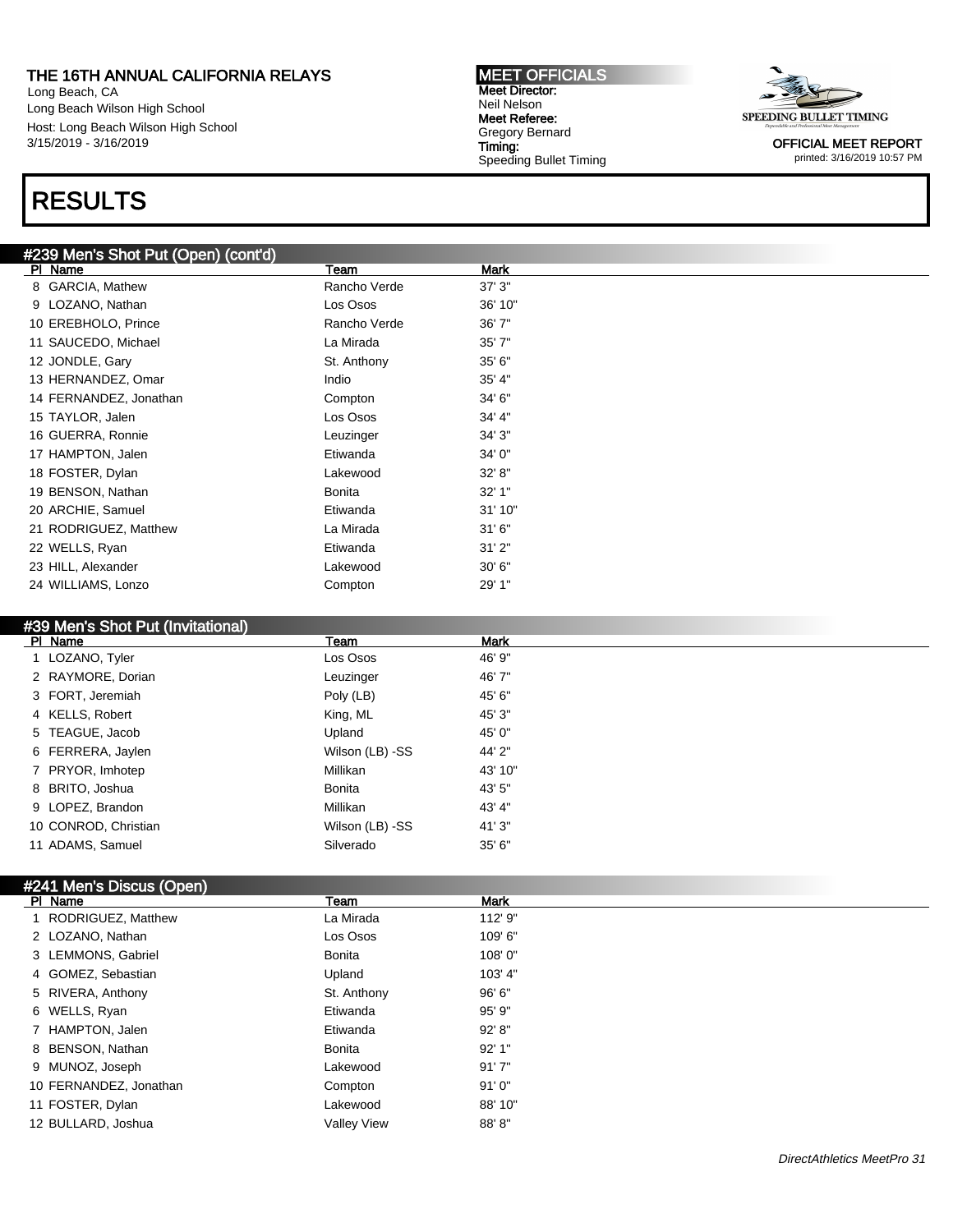Long Beach, CA Long Beach Wilson High School Host: Long Beach Wilson High School 3/15/2019 - 3/16/2019

## RESULTS

#### #239 Men's Shot Put (Open) (cont'd)

| ΡI<br>Name             | Team          | Mark    |
|------------------------|---------------|---------|
| GARCIA, Mathew<br>8    | Rancho Verde  | 37'3''  |
| LOZANO, Nathan<br>9    | Los Osos      | 36' 10" |
| 10 EREBHOLO, Prince    | Rancho Verde  | 36'7"   |
| 11 SAUCEDO, Michael    | La Mirada     | 35'7''  |
| 12 JONDLE, Gary        | St. Anthony   | 35'6''  |
| 13 HERNANDEZ, Omar     | Indio         | 35' 4"  |
| 14 FERNANDEZ, Jonathan | Compton       | 34' 6"  |
| 15 TAYLOR, Jalen       | Los Osos      | 34' 4"  |
| 16 GUERRA, Ronnie      | Leuzinger     | 34'3''  |
| 17 HAMPTON, Jalen      | Etiwanda      | 34' 0"  |
| 18 FOSTER, Dylan       | Lakewood      | 32' 8'' |
| 19 BENSON, Nathan      | <b>Bonita</b> | 32' 1"  |
| 20 ARCHIE, Samuel      | Etiwanda      | 31'10"  |
| 21 RODRIGUEZ, Matthew  | La Mirada     | 31'6''  |
| 22 WELLS, Ryan         | Etiwanda      | 31'2"   |
| 23 HILL, Alexander     | Lakewood      | 30'6''  |
| 24 WILLIAMS, Lonzo     | Compton       | 29' 1"  |
|                        |               |         |

#### #39 Men's Shot Put (Invitational)

| 46' 9"<br>1 LOZANO, Tyler<br>Los Osos<br>2 RAYMORE, Dorian<br>46'7"<br>Leuzinger<br>Poly (LB)<br>3 FORT, Jeremiah<br>45' 6"<br>King, ML<br>4 KELLS, Robert<br>45' 3"<br>Upland<br>45' 0"<br>5 TEAGUE, Jacob<br>44' 2"<br>6 FERRERA, Jaylen<br>Wilson (LB) -SS<br>Millikan<br>7 PRYOR, Imhotep<br>43' 10"<br>43' 5"<br>8 BRITO, Joshua<br>Bonita<br>Millikan<br>43' 4"<br>9 LOPEZ, Brandon<br>10 CONROD, Christian<br>41'3"<br>Wilson (LB) -SS | PI Name | Team | <b>Mark</b> |
|-----------------------------------------------------------------------------------------------------------------------------------------------------------------------------------------------------------------------------------------------------------------------------------------------------------------------------------------------------------------------------------------------------------------------------------------------|---------|------|-------------|
|                                                                                                                                                                                                                                                                                                                                                                                                                                               |         |      |             |
|                                                                                                                                                                                                                                                                                                                                                                                                                                               |         |      |             |
|                                                                                                                                                                                                                                                                                                                                                                                                                                               |         |      |             |
|                                                                                                                                                                                                                                                                                                                                                                                                                                               |         |      |             |
|                                                                                                                                                                                                                                                                                                                                                                                                                                               |         |      |             |
|                                                                                                                                                                                                                                                                                                                                                                                                                                               |         |      |             |
|                                                                                                                                                                                                                                                                                                                                                                                                                                               |         |      |             |
|                                                                                                                                                                                                                                                                                                                                                                                                                                               |         |      |             |
|                                                                                                                                                                                                                                                                                                                                                                                                                                               |         |      |             |
|                                                                                                                                                                                                                                                                                                                                                                                                                                               |         |      |             |
| 11 ADAMS, Samuel<br>Silverado<br>35'6''                                                                                                                                                                                                                                                                                                                                                                                                       |         |      |             |

### #241 Men's Discus (Open)

| PI Name                | Team               | <b>Mark</b> |  |
|------------------------|--------------------|-------------|--|
| 1 RODRIGUEZ, Matthew   | La Mirada          | 112' 9"     |  |
| 2 LOZANO, Nathan       | Los Osos           | 109' 6"     |  |
| 3 LEMMONS, Gabriel     | Bonita             | 108'0"      |  |
| 4 GOMEZ, Sebastian     | Upland             | 103' 4"     |  |
| 5 RIVERA, Anthony      | St. Anthony        | 96' 6"      |  |
| 6 WELLS, Ryan          | Etiwanda           | 95' 9"      |  |
| 7 HAMPTON, Jalen       | Etiwanda           | 92' 8"      |  |
| 8 BENSON, Nathan       | <b>Bonita</b>      | 92'1"       |  |
| 9 MUNOZ, Joseph        | Lakewood           | 91'7''      |  |
| 10 FERNANDEZ, Jonathan | Compton            | 91'0''      |  |
| 11 FOSTER, Dylan       | Lakewood           | 88' 10"     |  |
| 12 BULLARD, Joshua     | <b>Vallev View</b> | 88'8"       |  |

MEET OFFICIALS Meet Director: Neil Nelson Meet Referee: Gregory Bernard Timing: Speeding Bullet Timing